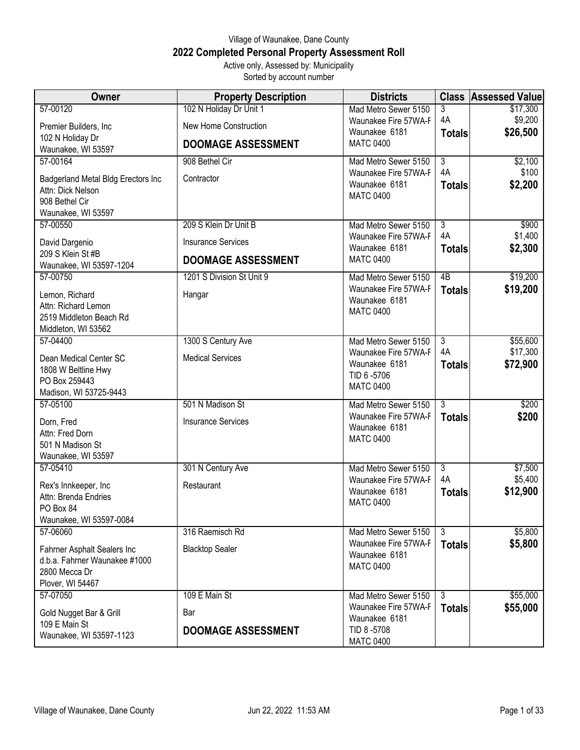## Village of Waunakee, Dane County **2022 Completed Personal Property Assessment Roll** Active only, Assessed by: Municipality

Sorted by account number

| Owner                                                        | <b>Property Description</b> | <b>Districts</b>                             |                      | <b>Class Assessed Value</b> |
|--------------------------------------------------------------|-----------------------------|----------------------------------------------|----------------------|-----------------------------|
| 57-00120                                                     | 102 N Holiday Dr Unit 1     | Mad Metro Sewer 5150                         | 3                    | \$17,300                    |
| Premier Builders, Inc                                        | New Home Construction       | Waunakee Fire 57WA-F<br>Waunakee 6181        | 4A<br><b>Totals</b>  | \$9,200<br>\$26,500         |
| 102 N Holiday Dr<br>Waunakee, WI 53597                       | <b>DOOMAGE ASSESSMENT</b>   | <b>MATC 0400</b>                             |                      |                             |
| 57-00164                                                     | 908 Bethel Cir              | Mad Metro Sewer 5150                         | $\overline{3}$       | \$2,100                     |
| Badgerland Metal Bldg Erectors Inc<br>Attn: Dick Nelson      | Contractor                  | Waunakee Fire 57WA-F<br>Waunakee 6181        | 4A<br><b>Totals</b>  | \$100<br>\$2,200            |
| 908 Bethel Cir                                               |                             | <b>MATC 0400</b>                             |                      |                             |
| Waunakee, WI 53597                                           |                             |                                              |                      |                             |
| 57-00550                                                     | 209 S Klein Dr Unit B       | Mad Metro Sewer 5150                         | $\overline{3}$<br>4A | \$900<br>\$1,400            |
| David Dargenio                                               | <b>Insurance Services</b>   | Waunakee Fire 57WA-F<br>Waunakee 6181        | <b>Totals</b>        | \$2,300                     |
| 209 S Klein St #B<br>Waunakee, WI 53597-1204                 | <b>DOOMAGE ASSESSMENT</b>   | <b>MATC 0400</b>                             |                      |                             |
| 57-00750                                                     | 1201 S Division St Unit 9   | Mad Metro Sewer 5150                         | 4B                   | \$19,200                    |
| Lemon, Richard                                               | Hangar                      | Waunakee Fire 57WA-F<br>Waunakee 6181        | <b>Totals</b>        | \$19,200                    |
| Attn: Richard Lemon<br>2519 Middleton Beach Rd               |                             | <b>MATC 0400</b>                             |                      |                             |
| Middleton, WI 53562                                          |                             |                                              |                      |                             |
| 57-04400                                                     | 1300 S Century Ave          | Mad Metro Sewer 5150                         | $\overline{3}$       | \$55,600                    |
| Dean Medical Center SC                                       | <b>Medical Services</b>     | Waunakee Fire 57WA-F                         | 4A                   | \$17,300                    |
| 1808 W Beltline Hwy                                          |                             | Waunakee 6181<br>TID 6-5706                  | <b>Totals</b>        | \$72,900                    |
| PO Box 259443<br>Madison, WI 53725-9443                      |                             | <b>MATC 0400</b>                             |                      |                             |
| 57-05100                                                     | 501 N Madison St            | Mad Metro Sewer 5150                         | $\overline{3}$       | \$200                       |
| Dorn, Fred                                                   | <b>Insurance Services</b>   | Waunakee Fire 57WA-F                         | <b>Totals</b>        | \$200                       |
| Attn: Fred Dorn                                              |                             | Waunakee 6181<br><b>MATC 0400</b>            |                      |                             |
| 501 N Madison St                                             |                             |                                              |                      |                             |
| Waunakee, WI 53597<br>57-05410                               | 301 N Century Ave           | Mad Metro Sewer 5150                         | $\overline{3}$       | \$7,500                     |
|                                                              | Restaurant                  | Waunakee Fire 57WA-F                         | 4A                   | \$5,400                     |
| Rex's Innkeeper, Inc<br>Attn: Brenda Endries                 |                             | Waunakee 6181                                | <b>Totals</b>        | \$12,900                    |
| PO Box 84                                                    |                             | <b>MATC 0400</b>                             |                      |                             |
| Waunakee, WI 53597-0084                                      |                             |                                              |                      |                             |
| 57-06060                                                     | 316 Raemisch Rd             | Mad Metro Sewer 5150<br>Waunakee Fire 57WA-F | 3<br><b>Totals</b>   | \$5,800<br>\$5,800          |
| Fahrner Asphalt Sealers Inc<br>d.b.a. Fahrner Waunakee #1000 | <b>Blacktop Sealer</b>      | Waunakee 6181                                |                      |                             |
| 2800 Mecca Dr                                                |                             | <b>MATC 0400</b>                             |                      |                             |
| Plover, WI 54467                                             |                             |                                              |                      |                             |
| 57-07050                                                     | 109 E Main St               | Mad Metro Sewer 5150                         | 3                    | \$55,000                    |
| Gold Nugget Bar & Grill                                      | Bar                         | Waunakee Fire 57WA-F<br>Waunakee 6181        | <b>Totals</b>        | \$55,000                    |
| 109 E Main St<br>Waunakee, WI 53597-1123                     | <b>DOOMAGE ASSESSMENT</b>   | TID 8-5708                                   |                      |                             |
|                                                              |                             | <b>MATC 0400</b>                             |                      |                             |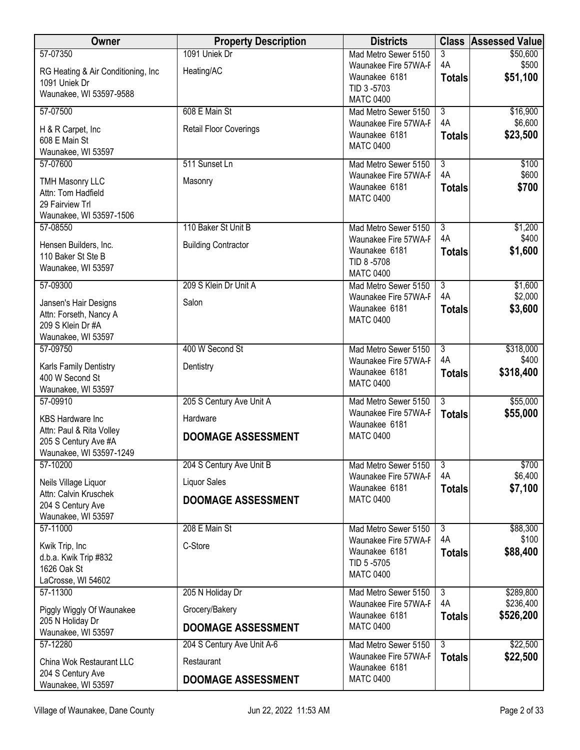| Owner                                            | <b>Property Description</b>   | <b>Districts</b>                             |                                 | <b>Class Assessed Value</b> |
|--------------------------------------------------|-------------------------------|----------------------------------------------|---------------------------------|-----------------------------|
| 57-07350                                         | 1091 Uniek Dr                 | Mad Metro Sewer 5150                         | 3                               | \$50,600                    |
| RG Heating & Air Conditioning, Inc.              | Heating/AC                    | Waunakee Fire 57WA-F<br>Waunakee 6181        | 4A<br><b>Totals</b>             | \$500<br>\$51,100           |
| 1091 Uniek Dr                                    |                               | TID 3-5703                                   |                                 |                             |
| Waunakee, WI 53597-9588                          |                               | <b>MATC 0400</b>                             |                                 |                             |
| 57-07500                                         | 608 E Main St                 | Mad Metro Sewer 5150                         | $\overline{3}$<br>4A            | \$16,900<br>\$6,600         |
| H & R Carpet, Inc.                               | <b>Retail Floor Coverings</b> | Waunakee Fire 57WA-F<br>Waunakee 6181        | <b>Totals</b>                   | \$23,500                    |
| 608 E Main St<br>Waunakee, WI 53597              |                               | <b>MATC 0400</b>                             |                                 |                             |
| 57-07600                                         | 511 Sunset Ln                 | Mad Metro Sewer 5150                         | $\overline{3}$                  | \$100                       |
| <b>TMH Masonry LLC</b>                           | Masonry                       | Waunakee Fire 57WA-F                         | 4A                              | \$600                       |
| Attn: Tom Hadfield                               |                               | Waunakee 6181                                | <b>Totals</b>                   | \$700                       |
| 29 Fairview Trl                                  |                               | <b>MATC 0400</b>                             |                                 |                             |
| Waunakee, WI 53597-1506                          |                               |                                              |                                 |                             |
| 57-08550                                         | 110 Baker St Unit B           | Mad Metro Sewer 5150<br>Waunakee Fire 57WA-F | $\overline{3}$<br>4A            | \$1,200<br>\$400            |
| Hensen Builders, Inc.                            | <b>Building Contractor</b>    | Waunakee 6181                                | <b>Totals</b>                   | \$1,600                     |
| 110 Baker St Ste B<br>Waunakee, WI 53597         |                               | TID 8-5708                                   |                                 |                             |
|                                                  |                               | <b>MATC 0400</b>                             |                                 |                             |
| 57-09300                                         | 209 S Klein Dr Unit A         | Mad Metro Sewer 5150<br>Waunakee Fire 57WA-F | $\overline{3}$<br>4A            | \$1,600<br>\$2,000          |
| Jansen's Hair Designs                            | Salon                         | Waunakee 6181                                | <b>Totals</b>                   | \$3,600                     |
| Attn: Forseth, Nancy A<br>209 S Klein Dr #A      |                               | <b>MATC 0400</b>                             |                                 |                             |
| Waunakee, WI 53597                               |                               |                                              |                                 |                             |
| 57-09750                                         | 400 W Second St               | Mad Metro Sewer 5150                         | $\overline{3}$                  | \$318,000                   |
| Karls Family Dentistry                           | Dentistry                     | Waunakee Fire 57WA-F                         | 4A                              | \$400                       |
| 400 W Second St                                  |                               | Waunakee 6181<br><b>MATC 0400</b>            | <b>Totals</b>                   | \$318,400                   |
| Waunakee, WI 53597                               |                               |                                              |                                 |                             |
| 57-09910                                         | 205 S Century Ave Unit A      | Mad Metro Sewer 5150<br>Waunakee Fire 57WA-F | $\overline{3}$<br><b>Totals</b> | \$55,000<br>\$55,000        |
| <b>KBS Hardware Inc</b>                          | Hardware                      | Waunakee 6181                                |                                 |                             |
| Attn: Paul & Rita Volley<br>205 S Century Ave #A | <b>DOOMAGE ASSESSMENT</b>     | <b>MATC 0400</b>                             |                                 |                             |
| Waunakee, WI 53597-1249                          |                               |                                              |                                 |                             |
| 57-10200                                         | 204 S Century Ave Unit B      | Mad Metro Sewer 5150                         | $\overline{3}$                  | \$700                       |
| Neils Village Liquor                             | <b>Liquor Sales</b>           | Waunakee Fire 57WA-F<br>Waunakee 6181        | 4A<br><b>Totals</b>             | \$6,400<br>\$7,100          |
| Attn: Calvin Kruschek                            | <b>DOOMAGE ASSESSMENT</b>     | <b>MATC 0400</b>                             |                                 |                             |
| 204 S Century Ave<br>Waunakee, WI 53597          |                               |                                              |                                 |                             |
| 57-11000                                         | 208 E Main St                 | Mad Metro Sewer 5150                         | $\overline{3}$                  | \$88,300                    |
| Kwik Trip, Inc                                   | C-Store                       | Waunakee Fire 57WA-F                         | 4A                              | \$100                       |
| d.b.a. Kwik Trip #832                            |                               | Waunakee 6181<br>TID 5-5705                  | <b>Totals</b>                   | \$88,400                    |
| 1626 Oak St                                      |                               | <b>MATC 0400</b>                             |                                 |                             |
| LaCrosse, WI 54602<br>57-11300                   | 205 N Holiday Dr              |                                              | $\overline{3}$                  | \$289,800                   |
|                                                  |                               | Mad Metro Sewer 5150<br>Waunakee Fire 57WA-F | 4A                              | \$236,400                   |
| Piggly Wiggly Of Waunakee<br>205 N Holiday Dr    | Grocery/Bakery                | Waunakee 6181                                | <b>Totals</b>                   | \$526,200                   |
| Waunakee, WI 53597                               | <b>DOOMAGE ASSESSMENT</b>     | <b>MATC 0400</b>                             |                                 |                             |
| 57-12280                                         | 204 S Century Ave Unit A-6    | Mad Metro Sewer 5150                         | $\overline{3}$                  | \$22,500                    |
| China Wok Restaurant LLC                         | Restaurant                    | Waunakee Fire 57WA-F<br>Waunakee 6181        | <b>Totals</b>                   | \$22,500                    |
| 204 S Century Ave<br>Waunakee, WI 53597          | <b>DOOMAGE ASSESSMENT</b>     | <b>MATC 0400</b>                             |                                 |                             |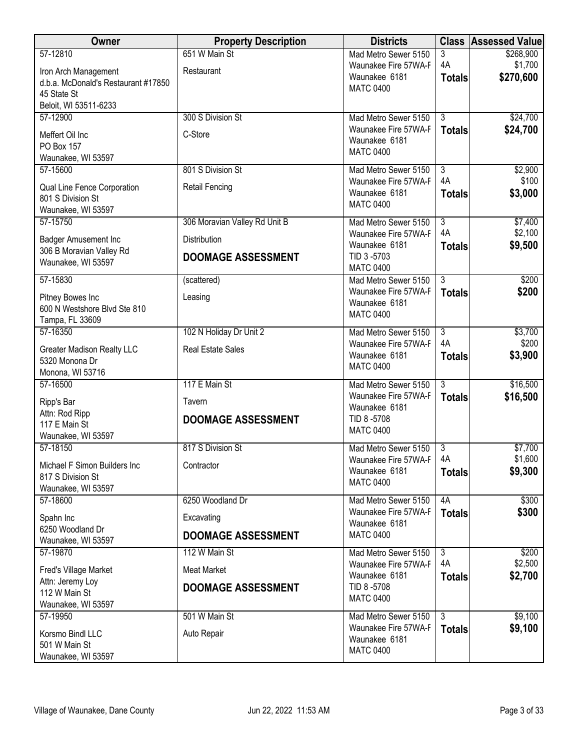| Owner                                               | <b>Property Description</b>   | <b>Districts</b>                             |                      | <b>Class Assessed Value</b> |
|-----------------------------------------------------|-------------------------------|----------------------------------------------|----------------------|-----------------------------|
| 57-12810                                            | 651 W Main St                 | Mad Metro Sewer 5150                         | 3                    | \$268,900                   |
| Iron Arch Management                                | Restaurant                    | Waunakee Fire 57WA-F<br>Waunakee 6181        | 4A                   | \$1,700<br>\$270,600        |
| d.b.a. McDonald's Restaurant #17850                 |                               | <b>MATC 0400</b>                             | <b>Totals</b>        |                             |
| 45 State St<br>Beloit, WI 53511-6233                |                               |                                              |                      |                             |
| 57-12900                                            | 300 S Division St             | Mad Metro Sewer 5150                         | $\overline{3}$       | \$24,700                    |
|                                                     |                               | Waunakee Fire 57WA-F                         | <b>Totals</b>        | \$24,700                    |
| Meffert Oil Inc<br>PO Box 157                       | C-Store                       | Waunakee 6181                                |                      |                             |
| Waunakee, WI 53597                                  |                               | <b>MATC 0400</b>                             |                      |                             |
| 57-15600                                            | 801 S Division St             | Mad Metro Sewer 5150                         | $\overline{3}$       | \$2,900                     |
| Qual Line Fence Corporation                         | <b>Retail Fencing</b>         | Waunakee Fire 57WA-F                         | 4A                   | \$100                       |
| 801 S Division St                                   |                               | Waunakee 6181<br><b>MATC 0400</b>            | <b>Totals</b>        | \$3,000                     |
| Waunakee, WI 53597                                  |                               |                                              |                      |                             |
| 57-15750                                            | 306 Moravian Valley Rd Unit B | Mad Metro Sewer 5150                         | $\overline{3}$<br>4A | \$7,400<br>\$2,100          |
| Badger Amusement Inc                                | <b>Distribution</b>           | Waunakee Fire 57WA-F<br>Waunakee 6181        | <b>Totals</b>        | \$9,500                     |
| 306 B Moravian Valley Rd                            | <b>DOOMAGE ASSESSMENT</b>     | TID 3-5703                                   |                      |                             |
| Waunakee, WI 53597                                  |                               | <b>MATC 0400</b>                             |                      |                             |
| 57-15830                                            | (scattered)                   | Mad Metro Sewer 5150                         | $\overline{3}$       | \$200                       |
| Pitney Bowes Inc                                    | Leasing                       | Waunakee Fire 57WA-F<br>Waunakee 6181        | <b>Totals</b>        | \$200                       |
| 600 N Westshore Blvd Ste 810                        |                               | <b>MATC 0400</b>                             |                      |                             |
| Tampa, FL 33609<br>57-16350                         | 102 N Holiday Dr Unit 2       | Mad Metro Sewer 5150                         | $\overline{3}$       | \$3,700                     |
|                                                     |                               | Waunakee Fire 57WA-F                         | 4A                   | \$200                       |
| <b>Greater Madison Realty LLC</b><br>5320 Monona Dr | <b>Real Estate Sales</b>      | Waunakee 6181                                | <b>Totals</b>        | \$3,900                     |
| Monona, WI 53716                                    |                               | <b>MATC 0400</b>                             |                      |                             |
| 57-16500                                            | 117 E Main St                 | Mad Metro Sewer 5150                         | 3                    | \$16,500                    |
| Ripp's Bar                                          | Tavern                        | Waunakee Fire 57WA-F                         | <b>Totals</b>        | \$16,500                    |
| Attn: Rod Ripp                                      |                               | Waunakee 6181                                |                      |                             |
| 117 E Main St                                       | <b>DOOMAGE ASSESSMENT</b>     | TID 8-5708<br><b>MATC 0400</b>               |                      |                             |
| Waunakee, WI 53597                                  |                               |                                              |                      |                             |
| 57-18150                                            | 817 S Division St             | Mad Metro Sewer 5150<br>Waunakee Fire 57WA-F | 3<br>4A              | \$7,700<br>\$1,600          |
| Michael F Simon Builders Inc                        | Contractor                    | Waunakee 6181                                | <b>Totals</b>        | \$9,300                     |
| 817 S Division St<br>Waunakee, WI 53597             |                               | <b>MATC 0400</b>                             |                      |                             |
| 57-18600                                            | 6250 Woodland Dr              | Mad Metro Sewer 5150                         | 4A                   | \$300                       |
| Spahn Inc                                           | Excavating                    | Waunakee Fire 57WA-F                         | <b>Totals</b>        | \$300                       |
| 6250 Woodland Dr                                    | <b>DOOMAGE ASSESSMENT</b>     | Waunakee 6181<br><b>MATC 0400</b>            |                      |                             |
| Waunakee, WI 53597                                  |                               |                                              |                      |                             |
| 57-19870                                            | 112 W Main St                 | Mad Metro Sewer 5150<br>Waunakee Fire 57WA-F | 3<br>4A              | \$200<br>\$2,500            |
| Fred's Village Market                               | Meat Market                   | Waunakee 6181                                | <b>Totals</b>        | \$2,700                     |
| Attn: Jeremy Loy<br>112 W Main St                   | <b>DOOMAGE ASSESSMENT</b>     | TID 8-5708                                   |                      |                             |
| Waunakee, WI 53597                                  |                               | <b>MATC 0400</b>                             |                      |                             |
| 57-19950                                            | 501 W Main St                 | Mad Metro Sewer 5150                         | $\overline{3}$       | \$9,100                     |
| Korsmo Bindl LLC                                    | Auto Repair                   | Waunakee Fire 57WA-F                         | <b>Totals</b>        | \$9,100                     |
| 501 W Main St                                       |                               | Waunakee 6181                                |                      |                             |
| Waunakee, WI 53597                                  |                               | <b>MATC 0400</b>                             |                      |                             |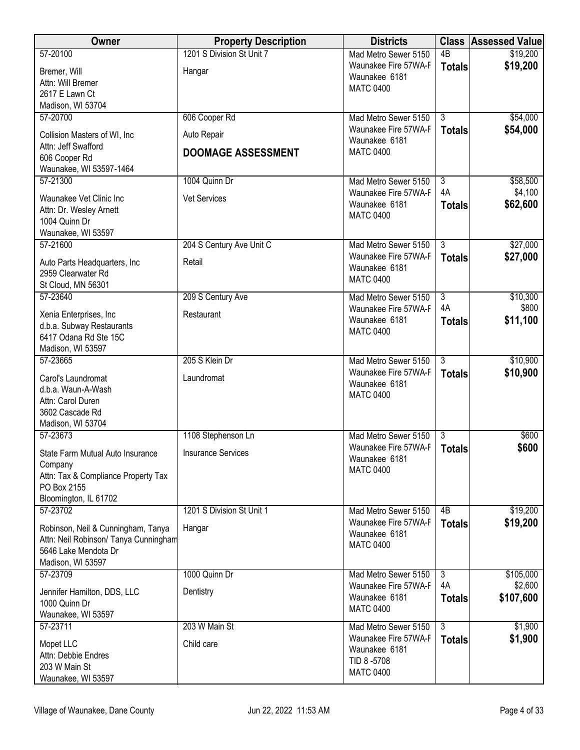| Owner                                              | <b>Property Description</b> | <b>Districts</b>                             |                      | <b>Class Assessed Value</b> |
|----------------------------------------------------|-----------------------------|----------------------------------------------|----------------------|-----------------------------|
| 57-20100                                           | 1201 S Division St Unit 7   | Mad Metro Sewer 5150                         | $\overline{AB}$      | \$19,200                    |
| Bremer, Will                                       | Hangar                      | Waunakee Fire 57WA-F<br>Waunakee 6181        | <b>Totals</b>        | \$19,200                    |
| Attn: Will Bremer                                  |                             | <b>MATC 0400</b>                             |                      |                             |
| 2617 E Lawn Ct<br>Madison, WI 53704                |                             |                                              |                      |                             |
| 57-20700                                           | 606 Cooper Rd               | Mad Metro Sewer 5150                         | $\overline{3}$       | \$54,000                    |
| Collision Masters of WI, Inc                       | Auto Repair                 | Waunakee Fire 57WA-F                         | <b>Totals</b>        | \$54,000                    |
| Attn: Jeff Swafford                                |                             | Waunakee 6181                                |                      |                             |
| 606 Cooper Rd                                      | <b>DOOMAGE ASSESSMENT</b>   | <b>MATC 0400</b>                             |                      |                             |
| Waunakee, WI 53597-1464                            |                             |                                              |                      |                             |
| 57-21300                                           | 1004 Quinn Dr               | Mad Metro Sewer 5150<br>Waunakee Fire 57WA-F | $\overline{3}$<br>4A | \$58,500<br>\$4,100         |
| Waunakee Vet Clinic Inc                            | Vet Services                | Waunakee 6181                                | <b>Totals</b>        | \$62,600                    |
| Attn: Dr. Wesley Arnett<br>1004 Quinn Dr           |                             | <b>MATC 0400</b>                             |                      |                             |
| Waunakee, WI 53597                                 |                             |                                              |                      |                             |
| 57-21600                                           | 204 S Century Ave Unit C    | Mad Metro Sewer 5150                         | $\overline{3}$       | \$27,000                    |
| Auto Parts Headquarters, Inc.                      | Retail                      | Waunakee Fire 57WA-F                         | <b>Totals</b>        | \$27,000                    |
| 2959 Clearwater Rd                                 |                             | Waunakee 6181<br><b>MATC 0400</b>            |                      |                             |
| St Cloud, MN 56301                                 |                             |                                              |                      |                             |
| 57-23640                                           | 209 S Century Ave           | Mad Metro Sewer 5150<br>Waunakee Fire 57WA-F | $\overline{3}$<br>4A | \$10,300<br>\$800           |
| Xenia Enterprises, Inc.                            | Restaurant                  | Waunakee 6181                                | <b>Totals</b>        | \$11,100                    |
| d.b.a. Subway Restaurants<br>6417 Odana Rd Ste 15C |                             | <b>MATC 0400</b>                             |                      |                             |
| Madison, WI 53597                                  |                             |                                              |                      |                             |
| 57-23665                                           | 205 S Klein Dr              | Mad Metro Sewer 5150                         | $\overline{3}$       | \$10,900                    |
| Carol's Laundromat                                 | Laundromat                  | Waunakee Fire 57WA-F<br>Waunakee 6181        | <b>Totals</b>        | \$10,900                    |
| d.b.a. Waun-A-Wash                                 |                             | <b>MATC 0400</b>                             |                      |                             |
| Attn: Carol Duren<br>3602 Cascade Rd               |                             |                                              |                      |                             |
| Madison, WI 53704                                  |                             |                                              |                      |                             |
| 57-23673                                           | 1108 Stephenson Ln          | Mad Metro Sewer 5150                         | $\overline{3}$       | \$600                       |
| State Farm Mutual Auto Insurance                   | <b>Insurance Services</b>   | Waunakee Fire 57WA-F                         | <b>Totals</b>        | \$600                       |
| Company                                            |                             | Waunakee 6181<br><b>MATC 0400</b>            |                      |                             |
| Attn: Tax & Compliance Property Tax                |                             |                                              |                      |                             |
| PO Box 2155<br>Bloomington, IL 61702               |                             |                                              |                      |                             |
| 57-23702                                           | 1201 S Division St Unit 1   | Mad Metro Sewer 5150                         | 4B                   | \$19,200                    |
| Robinson, Neil & Cunningham, Tanya                 | Hangar                      | Waunakee Fire 57WA-F                         | <b>Totals</b>        | \$19,200                    |
| Attn: Neil Robinson/ Tanya Cunningham              |                             | Waunakee 6181                                |                      |                             |
| 5646 Lake Mendota Dr                               |                             | <b>MATC 0400</b>                             |                      |                             |
| Madison, WI 53597                                  |                             |                                              |                      |                             |
| 57-23709                                           | 1000 Quinn Dr               | Mad Metro Sewer 5150<br>Waunakee Fire 57WA-F | $\overline{3}$<br>4A | \$105,000<br>\$2,600        |
| Jennifer Hamilton, DDS, LLC<br>1000 Quinn Dr       | Dentistry                   | Waunakee 6181                                | <b>Totals</b>        | \$107,600                   |
| Waunakee, WI 53597                                 |                             | <b>MATC 0400</b>                             |                      |                             |
| 57-23711                                           | 203 W Main St               | Mad Metro Sewer 5150                         | $\overline{3}$       | \$1,900                     |
| Mopet LLC                                          | Child care                  | Waunakee Fire 57WA-F                         | <b>Totals</b>        | \$1,900                     |
| Attn: Debbie Endres                                |                             | Waunakee 6181<br>TID 8-5708                  |                      |                             |
| 203 W Main St                                      |                             | <b>MATC 0400</b>                             |                      |                             |
| Waunakee, WI 53597                                 |                             |                                              |                      |                             |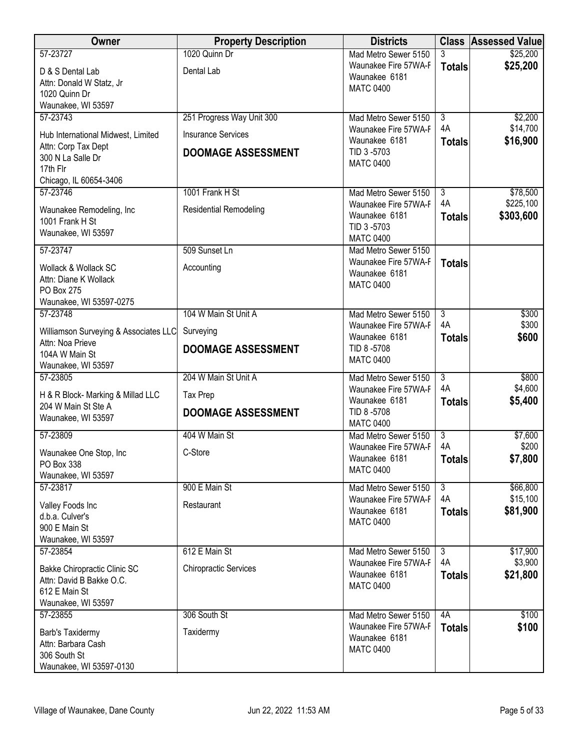| Owner                                  | <b>Property Description</b>   | <b>Districts</b>                      |                     | <b>Class Assessed Value</b> |
|----------------------------------------|-------------------------------|---------------------------------------|---------------------|-----------------------------|
| 57-23727                               | 1020 Quinn Dr                 | Mad Metro Sewer 5150                  | 3                   | \$25,200                    |
| D & S Dental Lab                       | Dental Lab                    | Waunakee Fire 57WA-F<br>Waunakee 6181 | <b>Totals</b>       | \$25,200                    |
| Attn: Donald W Statz, Jr               |                               | <b>MATC 0400</b>                      |                     |                             |
| 1020 Quinn Dr<br>Waunakee, WI 53597    |                               |                                       |                     |                             |
| 57-23743                               | 251 Progress Way Unit 300     | Mad Metro Sewer 5150                  | $\overline{3}$      | \$2,200                     |
| Hub International Midwest, Limited     | <b>Insurance Services</b>     | Waunakee Fire 57WA-F                  | 4A                  | \$14,700                    |
| Attn: Corp Tax Dept                    |                               | Waunakee 6181<br>TID 3-5703           | <b>Totals</b>       | \$16,900                    |
| 300 N La Salle Dr                      | <b>DOOMAGE ASSESSMENT</b>     | <b>MATC 0400</b>                      |                     |                             |
| 17th Flr<br>Chicago, IL 60654-3406     |                               |                                       |                     |                             |
| 57-23746                               | 1001 Frank H St               | Mad Metro Sewer 5150                  | $\overline{3}$      | \$78,500                    |
| Waunakee Remodeling, Inc               | <b>Residential Remodeling</b> | Waunakee Fire 57WA-F                  | 4A                  | \$225,100                   |
| 1001 Frank H St                        |                               | Waunakee 6181<br>TID 3-5703           | <b>Totals</b>       | \$303,600                   |
| Waunakee, WI 53597                     |                               | <b>MATC 0400</b>                      |                     |                             |
| 57-23747                               | 509 Sunset Ln                 | Mad Metro Sewer 5150                  |                     |                             |
| Wollack & Wollack SC                   | Accounting                    | Waunakee Fire 57WA-F<br>Waunakee 6181 | <b>Totals</b>       |                             |
| Attn: Diane K Wollack<br>PO Box 275    |                               | <b>MATC 0400</b>                      |                     |                             |
| Waunakee, WI 53597-0275                |                               |                                       |                     |                             |
| 57-23748                               | 104 W Main St Unit A          | Mad Metro Sewer 5150                  | $\overline{3}$      | \$300                       |
| Williamson Surveying & Associates LLC  | Surveying                     | Waunakee Fire 57WA-F<br>Waunakee 6181 | 4A<br><b>Totals</b> | \$300<br>\$600              |
| Attn: Noa Prieve                       | <b>DOOMAGE ASSESSMENT</b>     | TID 8-5708                            |                     |                             |
| 104A W Main St<br>Waunakee, WI 53597   |                               | <b>MATC 0400</b>                      |                     |                             |
| 57-23805                               | 204 W Main St Unit A          | Mad Metro Sewer 5150                  | $\overline{3}$      | \$800                       |
| H & R Block- Marking & Millad LLC      | <b>Tax Prep</b>               | Waunakee Fire 57WA-F                  | 4A                  | \$4,600                     |
| 204 W Main St Ste A                    | <b>DOOMAGE ASSESSMENT</b>     | Waunakee 6181<br>TID 8-5708           | <b>Totals</b>       | \$5,400                     |
| Waunakee, WI 53597                     |                               | <b>MATC 0400</b>                      |                     |                             |
| 57-23809                               | 404 W Main St                 | Mad Metro Sewer 5150                  | 3<br>4A             | \$7,600                     |
| Waunakee One Stop, Inc                 | C-Store                       | Waunakee Fire 57WA-F<br>Waunakee 6181 | <b>Totals</b>       | \$200<br>\$7,800            |
| PO Box 338<br>Waunakee, WI 53597       |                               | <b>MATC 0400</b>                      |                     |                             |
| 57-23817                               | 900 E Main St                 | Mad Metro Sewer 5150                  | $\overline{3}$      | \$66,800                    |
| Valley Foods Inc                       | Restaurant                    | Waunakee Fire 57WA-F                  | 4A                  | \$15,100                    |
| d.b.a. Culver's                        |                               | Waunakee 6181<br><b>MATC 0400</b>     | <b>Totals</b>       | \$81,900                    |
| 900 E Main St<br>Waunakee, WI 53597    |                               |                                       |                     |                             |
| 57-23854                               | 612 E Main St                 | Mad Metro Sewer 5150                  | $\overline{3}$      | \$17,900                    |
| Bakke Chiropractic Clinic SC           | <b>Chiropractic Services</b>  | Waunakee Fire 57WA-F                  | 4A                  | \$3,900                     |
| Attn: David B Bakke O.C.               |                               | Waunakee 6181                         | <b>Totals</b>       | \$21,800                    |
| 612 E Main St                          |                               | <b>MATC 0400</b>                      |                     |                             |
| Waunakee, WI 53597<br>57-23855         | 306 South St                  | Mad Metro Sewer 5150                  | 4A                  | \$100                       |
|                                        |                               | Waunakee Fire 57WA-F                  | <b>Totals</b>       | \$100                       |
| Barb's Taxidermy<br>Attn: Barbara Cash | Taxidermy                     | Waunakee 6181                         |                     |                             |
| 306 South St                           |                               | <b>MATC 0400</b>                      |                     |                             |
| Waunakee, WI 53597-0130                |                               |                                       |                     |                             |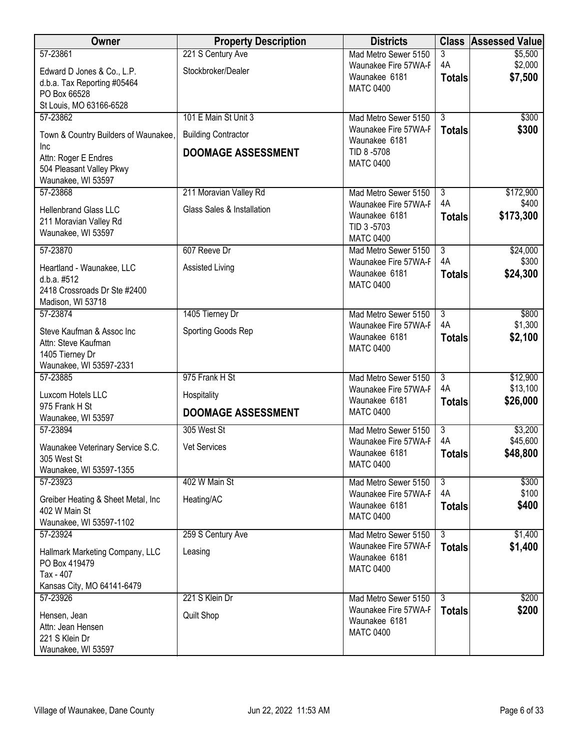| <b>Owner</b>                                      | <b>Property Description</b> | <b>Districts</b>                             | <b>Class</b>         | <b>Assessed Value</b> |
|---------------------------------------------------|-----------------------------|----------------------------------------------|----------------------|-----------------------|
| 57-23861                                          | 221 S Century Ave           | Mad Metro Sewer 5150                         | 3                    | \$5,500               |
| Edward D Jones & Co., L.P.                        | Stockbroker/Dealer          | Waunakee Fire 57WA-F                         | 4A                   | \$2,000               |
| d.b.a. Tax Reporting #05464                       |                             | Waunakee 6181<br><b>MATC 0400</b>            | <b>Totals</b>        | \$7,500               |
| PO Box 66528                                      |                             |                                              |                      |                       |
| St Louis, MO 63166-6528                           |                             |                                              |                      |                       |
| 57-23862                                          | 101 E Main St Unit 3        | Mad Metro Sewer 5150                         | $\overline{3}$       | \$300                 |
| Town & Country Builders of Waunakee,              | <b>Building Contractor</b>  | Waunakee Fire 57WA-F                         | <b>Totals</b>        | \$300                 |
| Inc                                               |                             | Waunakee 6181                                |                      |                       |
| Attn: Roger E Endres                              | <b>DOOMAGE ASSESSMENT</b>   | TID 8-5708<br><b>MATC 0400</b>               |                      |                       |
| 504 Pleasant Valley Pkwy                          |                             |                                              |                      |                       |
| Waunakee, WI 53597                                |                             |                                              |                      |                       |
| 57-23868                                          | 211 Moravian Valley Rd      | Mad Metro Sewer 5150                         | 3                    | \$172,900             |
| <b>Hellenbrand Glass LLC</b>                      | Glass Sales & Installation  | Waunakee Fire 57WA-F                         | 4A                   | \$400                 |
| 211 Moravian Valley Rd                            |                             | Waunakee 6181<br>TID 3-5703                  | <b>Totals</b>        | \$173,300             |
| Waunakee, WI 53597                                |                             | <b>MATC 0400</b>                             |                      |                       |
| 57-23870                                          | 607 Reeve Dr                | Mad Metro Sewer 5150                         | $\overline{3}$       | \$24,000              |
|                                                   |                             | Waunakee Fire 57WA-F                         | 4A                   | \$300                 |
| Heartland - Waunakee, LLC                         | <b>Assisted Living</b>      | Waunakee 6181                                | <b>Totals</b>        | \$24,300              |
| d.b.a. #512                                       |                             | <b>MATC 0400</b>                             |                      |                       |
| 2418 Crossroads Dr Ste #2400<br>Madison, WI 53718 |                             |                                              |                      |                       |
| 57-23874                                          | 1405 Tierney Dr             | Mad Metro Sewer 5150                         | $\overline{3}$       | \$800                 |
|                                                   |                             | Waunakee Fire 57WA-F                         | 4A                   | \$1,300               |
| Steve Kaufman & Assoc Inc                         | Sporting Goods Rep          | Waunakee 6181                                | <b>Totals</b>        | \$2,100               |
| Attn: Steve Kaufman                               |                             | <b>MATC 0400</b>                             |                      |                       |
| 1405 Tierney Dr<br>Waunakee, WI 53597-2331        |                             |                                              |                      |                       |
| 57-23885                                          | 975 Frank H St              | Mad Metro Sewer 5150                         | $\overline{3}$       | \$12,900              |
|                                                   |                             | Waunakee Fire 57WA-F                         | 4A                   | \$13,100              |
| Luxcom Hotels LLC                                 | Hospitality                 | Waunakee 6181                                | <b>Totals</b>        | \$26,000              |
| 975 Frank H St                                    | <b>DOOMAGE ASSESSMENT</b>   | <b>MATC 0400</b>                             |                      |                       |
| Waunakee, WI 53597<br>57-23894                    | 305 West St                 | Mad Metro Sewer 5150                         | $\overline{3}$       | \$3,200               |
|                                                   |                             | Waunakee Fire 57WA-F                         | 4A                   | \$45,600              |
| Waunakee Veterinary Service S.C.                  | Vet Services                | Waunakee 6181                                | <b>Totals</b>        | \$48,800              |
| 305 West St                                       |                             | <b>MATC 0400</b>                             |                      |                       |
| Waunakee, WI 53597-1355                           |                             |                                              |                      |                       |
| 57-23923                                          | 402 W Main St               | Mad Metro Sewer 5150<br>Waunakee Fire 57WA-F | $\overline{3}$<br>4A | \$300<br>\$100        |
| Greiber Heating & Sheet Metal, Inc.               | Heating/AC                  | Waunakee 6181                                |                      | \$400                 |
| 402 W Main St                                     |                             | <b>MATC 0400</b>                             | <b>Totals</b>        |                       |
| Waunakee, WI 53597-1102                           |                             |                                              |                      |                       |
| 57-23924                                          | 259 S Century Ave           | Mad Metro Sewer 5150                         | $\overline{3}$       | \$1,400               |
| Hallmark Marketing Company, LLC                   | Leasing                     | Waunakee Fire 57WA-F<br>Waunakee 6181        | <b>Totals</b>        | \$1,400               |
| PO Box 419479                                     |                             | <b>MATC 0400</b>                             |                      |                       |
| Tax - 407                                         |                             |                                              |                      |                       |
| Kansas City, MO 64141-6479                        |                             |                                              |                      |                       |
| 57-23926                                          | 221 S Klein Dr              | Mad Metro Sewer 5150                         | دی                   | \$200                 |
| Hensen, Jean                                      | Quilt Shop                  | Waunakee Fire 57WA-F                         | <b>Totals</b>        | \$200                 |
| Attn: Jean Hensen                                 |                             | Waunakee 6181<br><b>MATC 0400</b>            |                      |                       |
| 221 S Klein Dr                                    |                             |                                              |                      |                       |
| Waunakee, WI 53597                                |                             |                                              |                      |                       |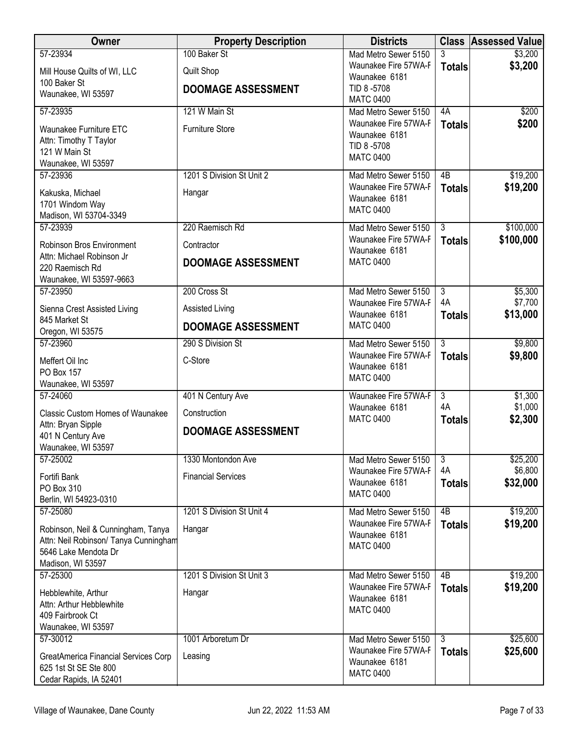| <b>Owner</b>                                                  | <b>Property Description</b> | <b>Districts</b>                             |                     | <b>Class Assessed Value</b> |
|---------------------------------------------------------------|-----------------------------|----------------------------------------------|---------------------|-----------------------------|
| 57-23934                                                      | 100 Baker St                | Mad Metro Sewer 5150                         | 3                   | \$3,200                     |
| Mill House Quilts of WI, LLC                                  | <b>Quilt Shop</b>           | Waunakee Fire 57WA-F<br>Waunakee 6181        | <b>Totals</b>       | \$3,200                     |
| 100 Baker St                                                  | <b>DOOMAGE ASSESSMENT</b>   | TID 8-5708                                   |                     |                             |
| Waunakee, WI 53597                                            |                             | <b>MATC 0400</b>                             |                     |                             |
| 57-23935                                                      | 121 W Main St               | Mad Metro Sewer 5150<br>Waunakee Fire 57WA-F | 4A                  | \$200                       |
| Waunakee Furniture ETC                                        | <b>Furniture Store</b>      | Waunakee 6181                                | <b>Totals</b>       | \$200                       |
| Attn: Timothy T Taylor<br>121 W Main St                       |                             | TID 8-5708                                   |                     |                             |
| Waunakee, WI 53597                                            |                             | <b>MATC 0400</b>                             |                     |                             |
| 57-23936                                                      | 1201 S Division St Unit 2   | Mad Metro Sewer 5150                         | 4B                  | \$19,200                    |
| Kakuska, Michael                                              | Hangar                      | Waunakee Fire 57WA-F                         | <b>Totals</b>       | \$19,200                    |
| 1701 Windom Way                                               |                             | Waunakee 6181<br><b>MATC 0400</b>            |                     |                             |
| Madison, WI 53704-3349                                        |                             |                                              |                     |                             |
| 57-23939                                                      | 220 Raemisch Rd             | Mad Metro Sewer 5150                         | $\overline{3}$      | \$100,000                   |
| Robinson Bros Environment                                     | Contractor                  | Waunakee Fire 57WA-F<br>Waunakee 6181        | <b>Totals</b>       | \$100,000                   |
| Attn: Michael Robinson Jr                                     | <b>DOOMAGE ASSESSMENT</b>   | <b>MATC 0400</b>                             |                     |                             |
| 220 Raemisch Rd<br>Waunakee, WI 53597-9663                    |                             |                                              |                     |                             |
| 57-23950                                                      | 200 Cross St                | Mad Metro Sewer 5150                         | $\overline{3}$      | \$5,300                     |
| Sienna Crest Assisted Living                                  | Assisted Living             | Waunakee Fire 57WA-F<br>Waunakee 6181        | 4A<br><b>Totals</b> | \$7,700<br>\$13,000         |
| 845 Market St                                                 | <b>DOOMAGE ASSESSMENT</b>   | <b>MATC 0400</b>                             |                     |                             |
| Oregon, WI 53575<br>57-23960                                  | 290 S Division St           | Mad Metro Sewer 5150                         | $\overline{3}$      | \$9,800                     |
|                                                               |                             | Waunakee Fire 57WA-F                         | <b>Totals</b>       | \$9,800                     |
| Meffert Oil Inc<br>PO Box 157                                 | C-Store                     | Waunakee 6181                                |                     |                             |
| Waunakee, WI 53597                                            |                             | <b>MATC 0400</b>                             |                     |                             |
| 57-24060                                                      | 401 N Century Ave           | Waunakee Fire 57WA-F                         | $\overline{3}$      | \$1,300                     |
| <b>Classic Custom Homes of Waunakee</b>                       | Construction                | Waunakee 6181<br><b>MATC 0400</b>            | 4A<br><b>Totals</b> | \$1,000<br>\$2,300          |
| Attn: Bryan Sipple<br>401 N Century Ave                       | <b>DOOMAGE ASSESSMENT</b>   |                                              |                     |                             |
| Waunakee, WI 53597                                            |                             |                                              |                     |                             |
| 57-25002                                                      | 1330 Montondon Ave          | Mad Metro Sewer 5150                         | $\overline{3}$      | \$25,200                    |
| Fortifi Bank                                                  | <b>Financial Services</b>   | Waunakee Fire 57WA-F                         | 4A                  | \$6,800                     |
| PO Box 310                                                    |                             | Waunakee 6181<br><b>MATC 0400</b>            | <b>Totals</b>       | \$32,000                    |
| Berlin, WI 54923-0310                                         |                             |                                              |                     |                             |
| 57-25080                                                      | 1201 S Division St Unit 4   | Mad Metro Sewer 5150<br>Waunakee Fire 57WA-F | 4B                  | \$19,200                    |
| Robinson, Neil & Cunningham, Tanya                            | Hangar                      | Waunakee 6181                                | <b>Totals</b>       | \$19,200                    |
| Attn: Neil Robinson/ Tanya Cunningham<br>5646 Lake Mendota Dr |                             | <b>MATC 0400</b>                             |                     |                             |
| Madison, WI 53597                                             |                             |                                              |                     |                             |
| 57-25300                                                      | 1201 S Division St Unit 3   | Mad Metro Sewer 5150                         | 4B                  | \$19,200                    |
| Hebblewhite, Arthur                                           | Hangar                      | Waunakee Fire 57WA-F                         | <b>Totals</b>       | \$19,200                    |
| Attn: Arthur Hebblewhite                                      |                             | Waunakee 6181<br><b>MATC 0400</b>            |                     |                             |
| 409 Fairbrook Ct                                              |                             |                                              |                     |                             |
| Waunakee, WI 53597<br>57-30012                                | 1001 Arboretum Dr           | Mad Metro Sewer 5150                         | $\overline{3}$      | \$25,600                    |
|                                                               |                             | Waunakee Fire 57WA-F                         | <b>Totals</b>       | \$25,600                    |
| GreatAmerica Financial Services Corp<br>625 1st St SE Ste 800 | Leasing                     | Waunakee 6181                                |                     |                             |
| Cedar Rapids, IA 52401                                        |                             | <b>MATC 0400</b>                             |                     |                             |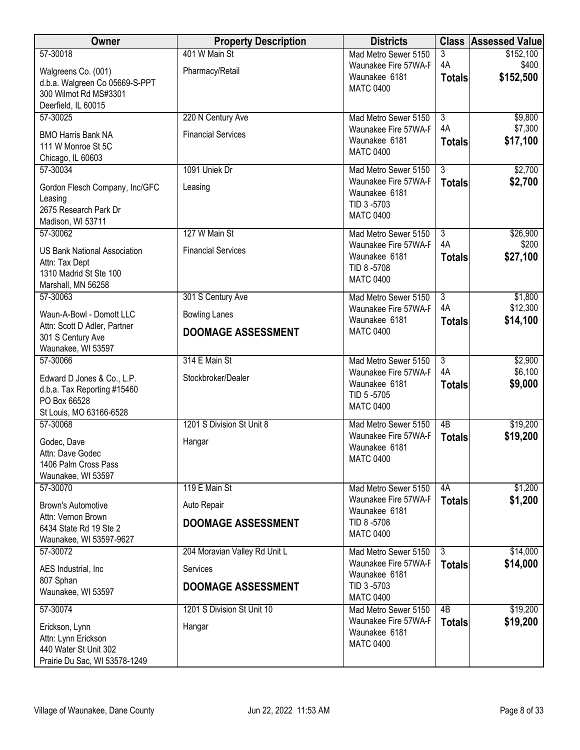| Owner                                                    | <b>Property Description</b>   | <b>Districts</b>                             |                                 | <b>Class Assessed Value</b> |
|----------------------------------------------------------|-------------------------------|----------------------------------------------|---------------------------------|-----------------------------|
| 57-30018                                                 | 401 W Main St                 | Mad Metro Sewer 5150                         | 3                               | \$152,100                   |
| Walgreens Co. (001)                                      | Pharmacy/Retail               | Waunakee Fire 57WA-F<br>Waunakee 6181        | 4A                              | \$400<br>\$152,500          |
| d.b.a. Walgreen Co 05669-S-PPT                           |                               | <b>MATC 0400</b>                             | <b>Totals</b>                   |                             |
| 300 Wilmot Rd MS#3301<br>Deerfield, IL 60015             |                               |                                              |                                 |                             |
| 57-30025                                                 | 220 N Century Ave             | Mad Metro Sewer 5150                         | $\overline{3}$                  | \$9,800                     |
|                                                          |                               | Waunakee Fire 57WA-F                         | 4A                              | \$7,300                     |
| <b>BMO Harris Bank NA</b><br>111 W Monroe St 5C          | <b>Financial Services</b>     | Waunakee 6181                                | <b>Totals</b>                   | \$17,100                    |
| Chicago, IL 60603                                        |                               | <b>MATC 0400</b>                             |                                 |                             |
| 57-30034                                                 | 1091 Uniek Dr                 | Mad Metro Sewer 5150                         | $\overline{3}$                  | \$2,700                     |
| Gordon Flesch Company, Inc/GFC                           | Leasing                       | Waunakee Fire 57WA-F                         | <b>Totals</b>                   | \$2,700                     |
| Leasing                                                  |                               | Waunakee 6181                                |                                 |                             |
| 2675 Research Park Dr                                    |                               | TID 3-5703<br><b>MATC 0400</b>               |                                 |                             |
| Madison, WI 53711                                        |                               |                                              |                                 |                             |
| 57-30062                                                 | 127 W Main St                 | Mad Metro Sewer 5150                         | $\overline{3}$                  | \$26,900                    |
| <b>US Bank National Association</b>                      | <b>Financial Services</b>     | Waunakee Fire 57WA-F<br>Waunakee 6181        | 4A<br><b>Totals</b>             | \$200<br>\$27,100           |
| Attn: Tax Dept                                           |                               | TID 8-5708                                   |                                 |                             |
| 1310 Madrid St Ste 100<br>Marshall, MN 56258             |                               | <b>MATC 0400</b>                             |                                 |                             |
| 57-30063                                                 | 301 S Century Ave             | Mad Metro Sewer 5150                         | $\overline{3}$                  | \$1,800                     |
|                                                          |                               | Waunakee Fire 57WA-F                         | 4A                              | \$12,300                    |
| Waun-A-Bowl - Domott LLC<br>Attn: Scott D Adler, Partner | <b>Bowling Lanes</b>          | Waunakee 6181                                | <b>Totals</b>                   | \$14,100                    |
| 301 S Century Ave                                        | <b>DOOMAGE ASSESSMENT</b>     | <b>MATC 0400</b>                             |                                 |                             |
| Waunakee, WI 53597                                       |                               |                                              |                                 |                             |
| 57-30066                                                 | 314 E Main St                 | Mad Metro Sewer 5150                         | $\overline{3}$                  | \$2,900                     |
| Edward D Jones & Co., L.P.                               | Stockbroker/Dealer            | Waunakee Fire 57WA-F                         | 4A                              | \$6,100                     |
| d.b.a. Tax Reporting #15460                              |                               | Waunakee 6181<br>TID 5-5705                  | <b>Totals</b>                   | \$9,000                     |
| PO Box 66528                                             |                               | <b>MATC 0400</b>                             |                                 |                             |
| St Louis, MO 63166-6528<br>57-30068                      | 1201 S Division St Unit 8     | Mad Metro Sewer 5150                         | $\overline{AB}$                 | \$19,200                    |
|                                                          |                               | Waunakee Fire 57WA-F                         | <b>Totals</b>                   | \$19,200                    |
| Godec, Dave                                              | Hangar                        | Waunakee 6181                                |                                 |                             |
| Attn: Dave Godec<br>1406 Palm Cross Pass                 |                               | <b>MATC 0400</b>                             |                                 |                             |
| Waunakee, WI 53597                                       |                               |                                              |                                 |                             |
| 57-30070                                                 | 119 E Main St                 | Mad Metro Sewer 5150                         | 4A                              | \$1,200                     |
| <b>Brown's Automotive</b>                                | Auto Repair                   | Waunakee Fire 57WA-F                         | <b>Totals</b>                   | \$1,200                     |
| Attn: Vernon Brown                                       |                               | Waunakee 6181<br>TID 8-5708                  |                                 |                             |
| 6434 State Rd 19 Ste 2                                   | <b>DOOMAGE ASSESSMENT</b>     | <b>MATC 0400</b>                             |                                 |                             |
| Waunakee, WI 53597-9627                                  |                               |                                              |                                 |                             |
| 57-30072                                                 | 204 Moravian Valley Rd Unit L | Mad Metro Sewer 5150<br>Waunakee Fire 57WA-F | $\overline{3}$<br><b>Totals</b> | \$14,000<br>\$14,000        |
| AES Industrial, Inc.                                     | Services                      | Waunakee 6181                                |                                 |                             |
| 807 Sphan<br>Waunakee, WI 53597                          | <b>DOOMAGE ASSESSMENT</b>     | TID 3-5703                                   |                                 |                             |
|                                                          |                               | <b>MATC 0400</b>                             |                                 |                             |
| 57-30074                                                 | 1201 S Division St Unit 10    | Mad Metro Sewer 5150<br>Waunakee Fire 57WA-F | 4B                              | \$19,200                    |
| Erickson, Lynn                                           | Hangar                        | Waunakee 6181                                | <b>Totals</b>                   | \$19,200                    |
| Attn: Lynn Erickson                                      |                               | <b>MATC 0400</b>                             |                                 |                             |
| 440 Water St Unit 302<br>Prairie Du Sac, WI 53578-1249   |                               |                                              |                                 |                             |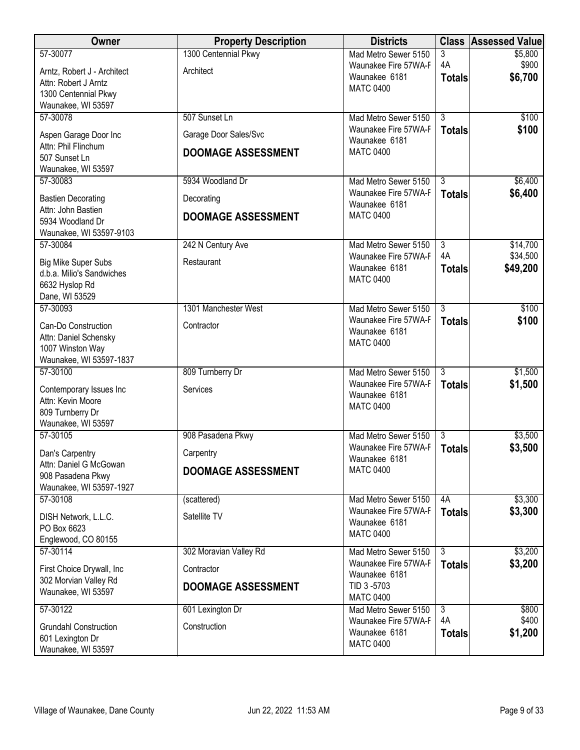| Owner                                                                                       | <b>Property Description</b>            | <b>Districts</b>                                          |                                 | <b>Class Assessed Value</b> |
|---------------------------------------------------------------------------------------------|----------------------------------------|-----------------------------------------------------------|---------------------------------|-----------------------------|
| 57-30077<br>Arntz, Robert J - Architect                                                     | 1300 Centennial Pkwy<br>Architect      | Mad Metro Sewer 5150<br>Waunakee Fire 57WA-F              | 3<br>4A                         | \$5,800<br>\$900            |
| Attn: Robert J Arntz<br>1300 Centennial Pkwy                                                |                                        | Waunakee 6181<br><b>MATC 0400</b>                         | <b>Totals</b>                   | \$6,700                     |
| Waunakee, WI 53597                                                                          |                                        |                                                           |                                 |                             |
| 57-30078<br>Aspen Garage Door Inc                                                           | 507 Sunset Ln<br>Garage Door Sales/Svc | Mad Metro Sewer 5150<br>Waunakee Fire 57WA-F              | $\overline{3}$<br><b>Totals</b> | \$100<br>\$100              |
| Attn: Phil Flinchum<br>507 Sunset Ln                                                        | <b>DOOMAGE ASSESSMENT</b>              | Waunakee 6181<br><b>MATC 0400</b>                         |                                 |                             |
| Waunakee, WI 53597<br>57-30083                                                              | 5934 Woodland Dr                       | Mad Metro Sewer 5150                                      | $\overline{3}$                  | \$6,400                     |
|                                                                                             |                                        | Waunakee Fire 57WA-F                                      | <b>Totals</b>                   | \$6,400                     |
| <b>Bastien Decorating</b><br>Attn: John Bastien                                             | Decorating                             | Waunakee 6181<br><b>MATC 0400</b>                         |                                 |                             |
| 5934 Woodland Dr<br>Waunakee, WI 53597-9103                                                 | <b>DOOMAGE ASSESSMENT</b>              |                                                           |                                 |                             |
| 57-30084                                                                                    | 242 N Century Ave                      | Mad Metro Sewer 5150                                      | $\overline{3}$                  | \$14,700                    |
| <b>Big Mike Super Subs</b><br>d.b.a. Milio's Sandwiches<br>6632 Hyslop Rd<br>Dane, WI 53529 | Restaurant                             | Waunakee Fire 57WA-F<br>Waunakee 6181<br><b>MATC 0400</b> | 4A<br><b>Totals</b>             | \$34,500<br>\$49,200        |
| 57-30093                                                                                    | 1301 Manchester West                   | Mad Metro Sewer 5150                                      | $\overline{3}$                  | \$100                       |
| Can-Do Construction<br>Attn: Daniel Schensky<br>1007 Winston Way<br>Waunakee, WI 53597-1837 | Contractor                             | Waunakee Fire 57WA-F<br>Waunakee 6181<br><b>MATC 0400</b> | <b>Totals</b>                   | \$100                       |
| 57-30100                                                                                    | 809 Turnberry Dr                       | Mad Metro Sewer 5150                                      | $\overline{3}$                  | \$1,500                     |
| Contemporary Issues Inc<br>Attn: Kevin Moore<br>809 Turnberry Dr<br>Waunakee, WI 53597      | Services                               | Waunakee Fire 57WA-F<br>Waunakee 6181<br><b>MATC 0400</b> | <b>Totals</b>                   | \$1,500                     |
| 57-30105                                                                                    | 908 Pasadena Pkwy                      | Mad Metro Sewer 5150<br>Waunakee Fire 57WA-F              | $\overline{3}$                  | \$3,500                     |
| Dan's Carpentry                                                                             | Carpentry                              | Waunakee 6181                                             | <b>Totals</b>                   | \$3,500                     |
| Attn: Daniel G McGowan<br>908 Pasadena Pkwy<br>Waunakee, WI 53597-1927                      | <b>DOOMAGE ASSESSMENT</b>              | <b>MATC 0400</b>                                          |                                 |                             |
| 57-30108                                                                                    | (scattered)                            | Mad Metro Sewer 5150                                      | 4A                              | \$3,300                     |
| DISH Network, L.L.C.<br>PO Box 6623                                                         | Satellite TV                           | Waunakee Fire 57WA-F<br>Waunakee 6181<br><b>MATC 0400</b> | <b>Totals</b>                   | \$3,300                     |
| Englewood, CO 80155<br>57-30114                                                             | 302 Moravian Valley Rd                 | Mad Metro Sewer 5150                                      | $\overline{3}$                  | \$3,200                     |
| First Choice Drywall, Inc                                                                   | Contractor                             | Waunakee Fire 57WA-F                                      | <b>Totals</b>                   | \$3,200                     |
| 302 Morvian Valley Rd<br>Waunakee, WI 53597                                                 | <b>DOOMAGE ASSESSMENT</b>              | Waunakee 6181<br>TID 3-5703<br><b>MATC 0400</b>           |                                 |                             |
| 57-30122                                                                                    | 601 Lexington Dr                       | Mad Metro Sewer 5150                                      | $\overline{3}$                  | \$800                       |
| <b>Grundahl Construction</b><br>601 Lexington Dr<br>Waunakee, WI 53597                      | Construction                           | Waunakee Fire 57WA-F<br>Waunakee 6181<br><b>MATC 0400</b> | 4A<br><b>Totals</b>             | \$400<br>\$1,200            |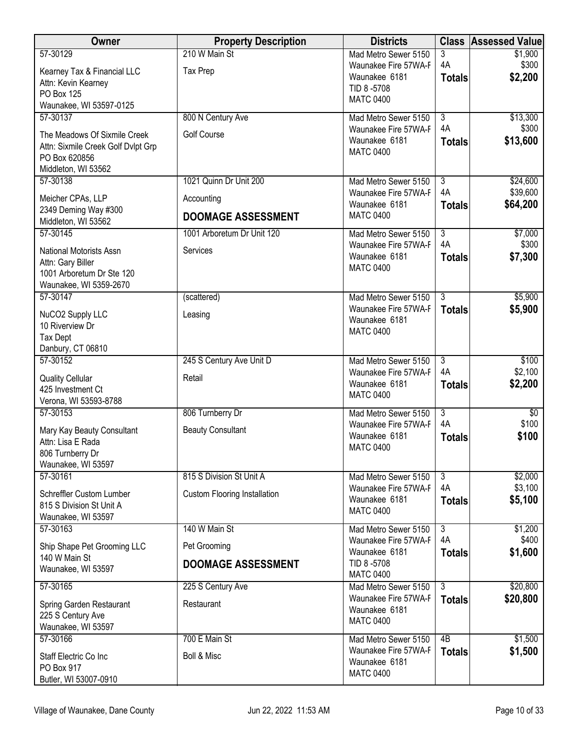| Owner                                               | <b>Property Description</b>         | <b>Districts</b>                             |                      | <b>Class Assessed Value</b> |
|-----------------------------------------------------|-------------------------------------|----------------------------------------------|----------------------|-----------------------------|
| 57-30129                                            | 210 W Main St                       | Mad Metro Sewer 5150                         | 3                    | \$1,900                     |
| Kearney Tax & Financial LLC                         | <b>Tax Prep</b>                     | Waunakee Fire 57WA-F<br>Waunakee 6181        | 4A                   | \$300<br>\$2,200            |
| Attn: Kevin Kearney                                 |                                     | TID 8-5708                                   | <b>Totals</b>        |                             |
| PO Box 125                                          |                                     | <b>MATC 0400</b>                             |                      |                             |
| Waunakee, WI 53597-0125<br>57-30137                 | 800 N Century Ave                   | Mad Metro Sewer 5150                         | $\overline{3}$       | \$13,300                    |
|                                                     |                                     | Waunakee Fire 57WA-F                         | 4A                   | \$300                       |
| The Meadows Of Sixmile Creek                        | <b>Golf Course</b>                  | Waunakee 6181                                | <b>Totals</b>        | \$13,600                    |
| Attn: Sixmile Creek Golf Dvlpt Grp<br>PO Box 620856 |                                     | <b>MATC 0400</b>                             |                      |                             |
| Middleton, WI 53562                                 |                                     |                                              |                      |                             |
| 57-30138                                            | 1021 Quinn Dr Unit 200              | Mad Metro Sewer 5150                         | $\overline{3}$       | \$24,600                    |
| Meicher CPAs, LLP                                   | Accounting                          | Waunakee Fire 57WA-F                         | 4A                   | \$39,600                    |
| 2349 Deming Way #300                                |                                     | Waunakee 6181                                | <b>Totals</b>        | \$64,200                    |
| Middleton, WI 53562                                 | <b>DOOMAGE ASSESSMENT</b>           | <b>MATC 0400</b>                             |                      |                             |
| 57-30145                                            | 1001 Arboretum Dr Unit 120          | Mad Metro Sewer 5150                         | $\overline{3}$       | \$7,000                     |
| <b>National Motorists Assn</b>                      | Services                            | Waunakee Fire 57WA-F                         | 4A                   | \$300                       |
| Attn: Gary Biller                                   |                                     | Waunakee 6181                                | <b>Totals</b>        | \$7,300                     |
| 1001 Arboretum Dr Ste 120                           |                                     | <b>MATC 0400</b>                             |                      |                             |
| Waunakee, WI 5359-2670                              |                                     |                                              |                      |                             |
| 57-30147                                            | (scattered)                         | Mad Metro Sewer 5150<br>Waunakee Fire 57WA-F | $\overline{3}$       | \$5,900                     |
| NuCO2 Supply LLC                                    | Leasing                             | Waunakee 6181                                | <b>Totals</b>        | \$5,900                     |
| 10 Riverview Dr                                     |                                     | <b>MATC 0400</b>                             |                      |                             |
| <b>Tax Dept</b><br>Danbury, CT 06810                |                                     |                                              |                      |                             |
| 57-30152                                            | 245 S Century Ave Unit D            | Mad Metro Sewer 5150                         | $\overline{3}$       | \$100                       |
| <b>Quality Cellular</b>                             | Retail                              | Waunakee Fire 57WA-F                         | 4A                   | \$2,100                     |
| 425 Investment Ct                                   |                                     | Waunakee 6181                                | <b>Totals</b>        | \$2,200                     |
| Verona, WI 53593-8788                               |                                     | <b>MATC 0400</b>                             |                      |                             |
| 57-30153                                            | 806 Turnberry Dr                    | Mad Metro Sewer 5150                         | $\overline{3}$       | $\sqrt[6]{}$                |
| Mary Kay Beauty Consultant                          | <b>Beauty Consultant</b>            | Waunakee Fire 57WA-F                         | 4A                   | \$100                       |
| Attn: Lisa E Rada                                   |                                     | Waunakee 6181<br><b>MATC 0400</b>            | <b>Totals</b>        | \$100                       |
| 806 Turnberry Dr                                    |                                     |                                              |                      |                             |
| Waunakee, WI 53597                                  |                                     |                                              |                      |                             |
| 57-30161                                            | 815 S Division St Unit A            | Mad Metro Sewer 5150<br>Waunakee Fire 57WA-F | $\overline{3}$<br>4A | \$2,000<br>\$3,100          |
| Schreffler Custom Lumber                            | <b>Custom Flooring Installation</b> | Waunakee 6181                                | <b>Totals</b>        | \$5,100                     |
| 815 S Division St Unit A                            |                                     | <b>MATC 0400</b>                             |                      |                             |
| Waunakee, WI 53597<br>57-30163                      | 140 W Main St                       | Mad Metro Sewer 5150                         | $\overline{3}$       | \$1,200                     |
|                                                     |                                     | Waunakee Fire 57WA-F                         | 4A                   | \$400                       |
| Ship Shape Pet Grooming LLC<br>140 W Main St        | Pet Grooming                        | Waunakee 6181                                | <b>Totals</b>        | \$1,600                     |
| Waunakee, WI 53597                                  | <b>DOOMAGE ASSESSMENT</b>           | TID 8-5708                                   |                      |                             |
|                                                     |                                     | <b>MATC 0400</b>                             |                      |                             |
| 57-30165                                            | 225 S Century Ave                   | Mad Metro Sewer 5150<br>Waunakee Fire 57WA-F | 3<br><b>Totals</b>   | \$20,800<br>\$20,800        |
| Spring Garden Restaurant                            | Restaurant                          | Waunakee 6181                                |                      |                             |
| 225 S Century Ave                                   |                                     | <b>MATC 0400</b>                             |                      |                             |
| Waunakee, WI 53597<br>57-30166                      | 700 E Main St                       | Mad Metro Sewer 5150                         | 4B                   | \$1,500                     |
|                                                     |                                     | Waunakee Fire 57WA-F                         | <b>Totals</b>        | \$1,500                     |
| Staff Electric Co Inc<br>PO Box 917                 | <b>Boll &amp; Misc</b>              | Waunakee 6181                                |                      |                             |
| Butler, WI 53007-0910                               |                                     | <b>MATC 0400</b>                             |                      |                             |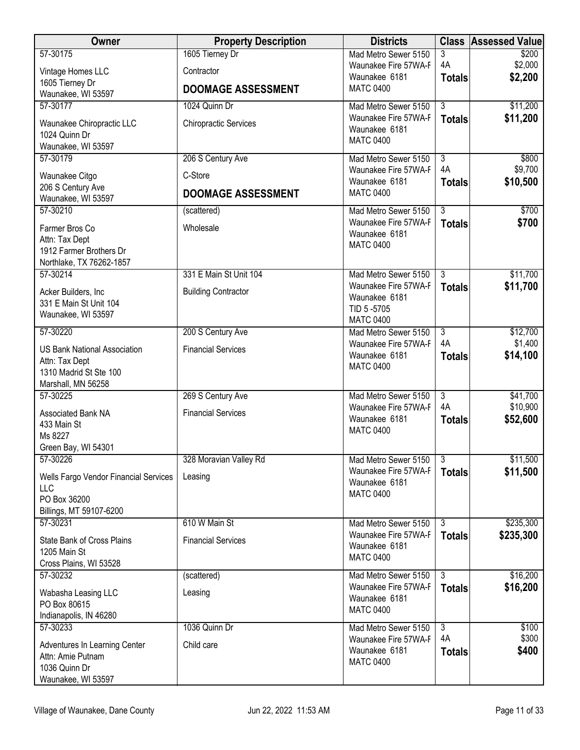| Owner                                                                                                 | <b>Property Description</b>  | <b>Districts</b>                                                                  | <b>Class</b>                    | <b>Assessed Value</b> |
|-------------------------------------------------------------------------------------------------------|------------------------------|-----------------------------------------------------------------------------------|---------------------------------|-----------------------|
| 57-30175                                                                                              | 1605 Tierney Dr              | Mad Metro Sewer 5150                                                              | 3                               | \$200                 |
| Vintage Homes LLC                                                                                     | Contractor                   | Waunakee Fire 57WA-F<br>Waunakee 6181                                             | 4A<br><b>Totals</b>             | \$2,000<br>\$2,200    |
| 1605 Tierney Dr                                                                                       | <b>DOOMAGE ASSESSMENT</b>    | <b>MATC 0400</b>                                                                  |                                 |                       |
| Waunakee, WI 53597<br>57-30177                                                                        | 1024 Quinn Dr                | Mad Metro Sewer 5150                                                              | $\overline{3}$                  | \$11,200              |
| Waunakee Chiropractic LLC<br>1024 Quinn Dr<br>Waunakee, WI 53597                                      | <b>Chiropractic Services</b> | Waunakee Fire 57WA-F<br>Waunakee 6181<br><b>MATC 0400</b>                         | <b>Totals</b>                   | \$11,200              |
| 57-30179                                                                                              | 206 S Century Ave            | Mad Metro Sewer 5150                                                              | $\overline{3}$                  | \$800                 |
| Waunakee Citgo<br>206 S Century Ave                                                                   | C-Store                      | Waunakee Fire 57WA-F<br>Waunakee 6181                                             | 4A<br><b>Totals</b>             | \$9,700<br>\$10,500   |
| Waunakee, WI 53597                                                                                    | <b>DOOMAGE ASSESSMENT</b>    | <b>MATC 0400</b>                                                                  |                                 |                       |
| 57-30210<br>Farmer Bros Co<br>Attn: Tax Dept<br>1912 Farmer Brothers Dr<br>Northlake, TX 76262-1857   | (scattered)<br>Wholesale     | Mad Metro Sewer 5150<br>Waunakee Fire 57WA-F<br>Waunakee 6181<br><b>MATC 0400</b> | $\overline{3}$<br><b>Totals</b> | \$700<br>\$700        |
| 57-30214                                                                                              | 331 E Main St Unit 104       | Mad Metro Sewer 5150                                                              | $\overline{3}$                  | \$11,700              |
| Acker Builders, Inc<br>331 E Main St Unit 104<br>Waunakee, WI 53597                                   | <b>Building Contractor</b>   | Waunakee Fire 57WA-F<br>Waunakee 6181<br>TID 5-5705<br><b>MATC 0400</b>           | <b>Totals</b>                   | \$11,700              |
| 57-30220                                                                                              | 200 S Century Ave            | Mad Metro Sewer 5150                                                              | $\overline{3}$                  | \$12,700              |
| <b>US Bank National Association</b><br>Attn: Tax Dept<br>1310 Madrid St Ste 100<br>Marshall, MN 56258 | <b>Financial Services</b>    | Waunakee Fire 57WA-F<br>Waunakee 6181<br><b>MATC 0400</b>                         | 4A<br><b>Totals</b>             | \$1,400<br>\$14,100   |
| 57-30225                                                                                              | 269 S Century Ave            | Mad Metro Sewer 5150                                                              | $\overline{3}$                  | \$41,700              |
| Associated Bank NA<br>433 Main St<br>Ms 8227<br>Green Bay, WI 54301                                   | <b>Financial Services</b>    | Waunakee Fire 57WA-F<br>Waunakee 6181<br><b>MATC 0400</b>                         | 4A<br><b>Totals</b>             | \$10,900<br>\$52,600  |
| 57-30226                                                                                              | 328 Moravian Valley Rd       | Mad Metro Sewer 5150 3                                                            |                                 | \$11,500              |
| Wells Fargo Vendor Financial Services<br>LLC<br>PO Box 36200<br>Billings, MT 59107-6200               | Leasing                      | Waunakee Fire 57WA-F<br>Waunakee 6181<br><b>MATC 0400</b>                         | <b>Totals</b>                   | \$11,500              |
| 57-30231                                                                                              | 610 W Main St                | Mad Metro Sewer 5150                                                              | $\overline{3}$                  | \$235,300             |
| State Bank of Cross Plains<br>1205 Main St<br>Cross Plains, WI 53528                                  | <b>Financial Services</b>    | Waunakee Fire 57WA-F<br>Waunakee 6181<br><b>MATC 0400</b>                         | <b>Totals</b>                   | \$235,300             |
| 57-30232                                                                                              | (scattered)                  | Mad Metro Sewer 5150                                                              | $\overline{3}$                  | \$16,200              |
| Wabasha Leasing LLC<br>PO Box 80615<br>Indianapolis, IN 46280                                         | Leasing                      | Waunakee Fire 57WA-F<br>Waunakee 6181<br><b>MATC 0400</b>                         | <b>Totals</b>                   | \$16,200              |
| 57-30233                                                                                              | 1036 Quinn Dr                | Mad Metro Sewer 5150                                                              | $\overline{3}$                  | \$100                 |
| Adventures In Learning Center<br>Attn: Amie Putnam<br>1036 Quinn Dr<br>Waunakee, WI 53597             | Child care                   | Waunakee Fire 57WA-F<br>Waunakee 6181<br><b>MATC 0400</b>                         | 4A<br><b>Totals</b>             | \$300<br>\$400        |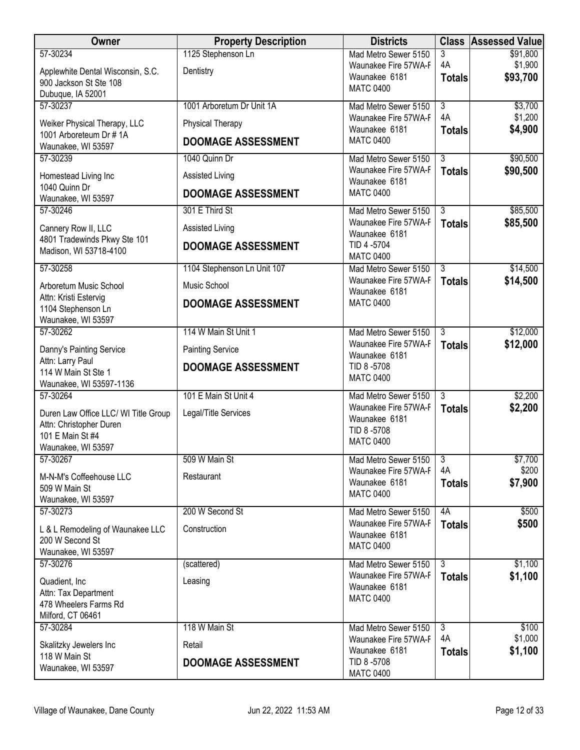| Owner                                                           | <b>Property Description</b> | <b>Districts</b>                               |                                 | <b>Class Assessed Value</b> |
|-----------------------------------------------------------------|-----------------------------|------------------------------------------------|---------------------------------|-----------------------------|
| 57-30234                                                        | 1125 Stephenson Ln          | Mad Metro Sewer 5150                           | 3                               | \$91,800                    |
| Applewhite Dental Wisconsin, S.C.                               | Dentistry                   | Waunakee Fire 57WA-F<br>Waunakee 6181          | 4A<br><b>Totals</b>             | \$1,900<br>\$93,700         |
| 900 Jackson St Ste 108                                          |                             | <b>MATC 0400</b>                               |                                 |                             |
| Dubuque, IA 52001<br>57-30237                                   | 1001 Arboretum Dr Unit 1A   | Mad Metro Sewer 5150                           | $\overline{3}$                  | \$3,700                     |
|                                                                 |                             | Waunakee Fire 57WA-F                           | 4A                              | \$1,200                     |
| Weiker Physical Therapy, LLC<br>1001 Arboreteum Dr #1A          | <b>Physical Therapy</b>     | Waunakee 6181                                  | <b>Totals</b>                   | \$4,900                     |
| Waunakee, WI 53597                                              | <b>DOOMAGE ASSESSMENT</b>   | <b>MATC 0400</b>                               |                                 |                             |
| 57-30239                                                        | 1040 Quinn Dr               | Mad Metro Sewer 5150                           | $\overline{3}$                  | \$90,500                    |
| Homestead Living Inc                                            | Assisted Living             | Waunakee Fire 57WA-F<br>Waunakee 6181          | <b>Totals</b>                   | \$90,500                    |
| 1040 Quinn Dr<br>Waunakee, WI 53597                             | <b>DOOMAGE ASSESSMENT</b>   | <b>MATC 0400</b>                               |                                 |                             |
| 57-30246                                                        | 301 E Third St              | Mad Metro Sewer 5150                           | $\overline{3}$                  | \$85,500                    |
| Cannery Row II, LLC                                             | Assisted Living             | Waunakee Fire 57WA-F                           | <b>Totals</b>                   | \$85,500                    |
| 4801 Tradewinds Pkwy Ste 101                                    |                             | Waunakee 6181<br>TID 4 -5704                   |                                 |                             |
| Madison, WI 53718-4100                                          | <b>DOOMAGE ASSESSMENT</b>   | <b>MATC 0400</b>                               |                                 |                             |
| 57-30258                                                        | 1104 Stephenson Ln Unit 107 | Mad Metro Sewer 5150                           | $\overline{3}$                  | \$14,500                    |
| Arboretum Music School                                          | Music School                | Waunakee Fire 57WA-F<br>Waunakee 6181          | <b>Totals</b>                   | \$14,500                    |
| Attn: Kristi Estervig                                           | <b>DOOMAGE ASSESSMENT</b>   | <b>MATC 0400</b>                               |                                 |                             |
| 1104 Stephenson Ln<br>Waunakee, WI 53597                        |                             |                                                |                                 |                             |
| 57-30262                                                        | 114 W Main St Unit 1        | Mad Metro Sewer 5150                           | $\overline{3}$                  | \$12,000                    |
| Danny's Painting Service                                        | <b>Painting Service</b>     | Waunakee Fire 57WA-F                           | <b>Totals</b>                   | \$12,000                    |
| Attn: Larry Paul                                                | <b>DOOMAGE ASSESSMENT</b>   | Waunakee 6181<br>TID 8-5708                    |                                 |                             |
| 114 W Main St Ste 1                                             |                             | <b>MATC 0400</b>                               |                                 |                             |
| Waunakee, WI 53597-1136<br>57-30264                             | 101 E Main St Unit 4        | Mad Metro Sewer 5150                           | $\overline{3}$                  | \$2,200                     |
|                                                                 | Legal/Title Services        | Waunakee Fire 57WA-F                           | <b>Totals</b>                   | \$2,200                     |
| Duren Law Office LLC/ WI Title Group<br>Attn: Christopher Duren |                             | Waunakee 6181                                  |                                 |                             |
| 101 E Main St #4                                                |                             | TID 8-5708<br><b>MATC 0400</b>                 |                                 |                             |
| Waunakee, WI 53597                                              |                             |                                                |                                 |                             |
| 57-30267                                                        | 509 W Main St               | Mad Metro Sewer 5150 3<br>Waunakee Fire 57WA-F | 4A                              | \$7,700<br>\$200            |
| M-N-M's Coffeehouse LLC                                         | Restaurant                  | Waunakee 6181                                  | <b>Totals</b>                   | \$7,900                     |
| 509 W Main St<br>Waunakee, WI 53597                             |                             | <b>MATC 0400</b>                               |                                 |                             |
| 57-30273                                                        | 200 W Second St             | Mad Metro Sewer 5150                           | 4A                              | \$500                       |
| L & L Remodeling of Waunakee LLC                                | Construction                | Waunakee Fire 57WA-F                           | <b>Totals</b>                   | \$500                       |
| 200 W Second St                                                 |                             | Waunakee 6181<br><b>MATC 0400</b>              |                                 |                             |
| Waunakee, WI 53597                                              |                             |                                                |                                 |                             |
| 57-30276                                                        | (scattered)                 | Mad Metro Sewer 5150<br>Waunakee Fire 57WA-F   | $\overline{3}$<br><b>Totals</b> | \$1,100<br>\$1,100          |
| Quadient, Inc.                                                  | Leasing                     | Waunakee 6181                                  |                                 |                             |
| Attn: Tax Department<br>478 Wheelers Farms Rd                   |                             | <b>MATC 0400</b>                               |                                 |                             |
| Milford, CT 06461                                               |                             |                                                |                                 |                             |
| 57-30284                                                        | 118 W Main St               | Mad Metro Sewer 5150                           | $\overline{3}$                  | \$100                       |
| Skalitzky Jewelers Inc                                          | Retail                      | Waunakee Fire 57WA-F<br>Waunakee 6181          | 4A<br><b>Totals</b>             | \$1,000<br>\$1,100          |
| 118 W Main St                                                   | <b>DOOMAGE ASSESSMENT</b>   | TID 8-5708                                     |                                 |                             |
| Waunakee, WI 53597                                              |                             | <b>MATC 0400</b>                               |                                 |                             |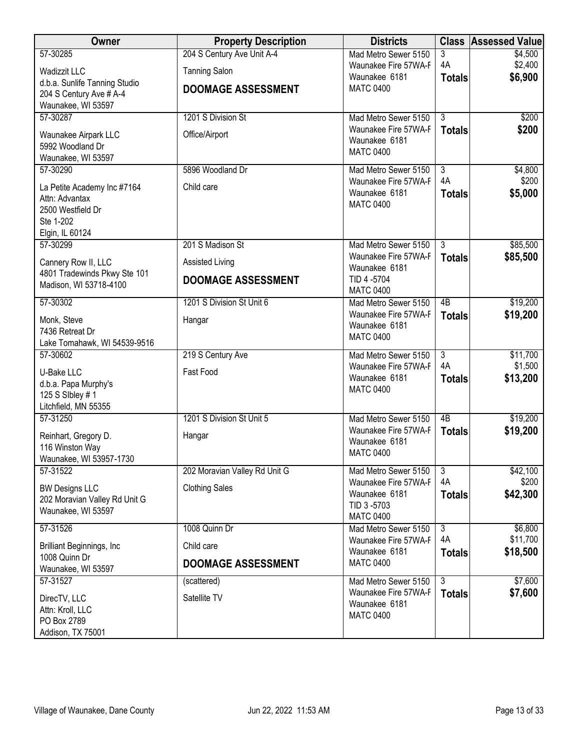| Owner                                           | <b>Property Description</b>   | <b>Districts</b>                             | <b>Class</b>         | <b>Assessed Value</b> |
|-------------------------------------------------|-------------------------------|----------------------------------------------|----------------------|-----------------------|
| 57-30285                                        | 204 S Century Ave Unit A-4    | Mad Metro Sewer 5150                         | 3                    | \$4,500               |
| <b>Wadizzit LLC</b>                             | <b>Tanning Salon</b>          | Waunakee Fire 57WA-F<br>Waunakee 6181        | 4A<br><b>Totals</b>  | \$2,400<br>\$6,900    |
| d.b.a. Sunlife Tanning Studio                   | <b>DOOMAGE ASSESSMENT</b>     | <b>MATC 0400</b>                             |                      |                       |
| 204 S Century Ave # A-4<br>Waunakee, WI 53597   |                               |                                              |                      |                       |
| 57-30287                                        | 1201 S Division St            | Mad Metro Sewer 5150                         | $\overline{3}$       | \$200                 |
| Waunakee Airpark LLC                            | Office/Airport                | Waunakee Fire 57WA-F                         | <b>Totals</b>        | \$200                 |
| 5992 Woodland Dr                                |                               | Waunakee 6181<br><b>MATC 0400</b>            |                      |                       |
| Waunakee, WI 53597                              |                               |                                              |                      |                       |
| 57-30290                                        | 5896 Woodland Dr              | Mad Metro Sewer 5150<br>Waunakee Fire 57WA-F | $\overline{3}$<br>4A | \$4,800<br>\$200      |
| La Petite Academy Inc #7164                     | Child care                    | Waunakee 6181                                | <b>Totals</b>        | \$5,000               |
| Attn: Advantax<br>2500 Westfield Dr             |                               | <b>MATC 0400</b>                             |                      |                       |
| Ste 1-202                                       |                               |                                              |                      |                       |
| Elgin, IL 60124                                 |                               |                                              |                      |                       |
| 57-30299                                        | 201 S Madison St              | Mad Metro Sewer 5150                         | $\overline{3}$       | \$85,500              |
| Cannery Row II, LLC                             | Assisted Living               | Waunakee Fire 57WA-F<br>Waunakee 6181        | <b>Totals</b>        | \$85,500              |
| 4801 Tradewinds Pkwy Ste 101                    | <b>DOOMAGE ASSESSMENT</b>     | TID 4 -5704                                  |                      |                       |
| Madison, WI 53718-4100                          |                               | <b>MATC 0400</b>                             |                      |                       |
| 57-30302                                        | 1201 S Division St Unit 6     | Mad Metro Sewer 5150<br>Waunakee Fire 57WA-F | 4B                   | \$19,200              |
| Monk, Steve                                     | Hangar                        | Waunakee 6181                                | <b>Totals</b>        | \$19,200              |
| 7436 Retreat Dr<br>Lake Tomahawk, WI 54539-9516 |                               | <b>MATC 0400</b>                             |                      |                       |
| 57-30602                                        | 219 S Century Ave             | Mad Metro Sewer 5150                         | $\overline{3}$       | \$11,700              |
| U-Bake LLC                                      | Fast Food                     | Waunakee Fire 57WA-F                         | 4A                   | \$1,500               |
| d.b.a. Papa Murphy's                            |                               | Waunakee 6181                                | <b>Totals</b>        | \$13,200              |
| 125 S Sibley # 1                                |                               | <b>MATC 0400</b>                             |                      |                       |
| Litchfield, MN 55355                            |                               |                                              |                      |                       |
| 57-31250                                        | 1201 S Division St Unit 5     | Mad Metro Sewer 5150<br>Waunakee Fire 57WA-F | 4B<br><b>Totals</b>  | \$19,200<br>\$19,200  |
| Reinhart, Gregory D.<br>116 Winston Way         | Hangar                        | Waunakee 6181                                |                      |                       |
| Waunakee, WI 53957-1730                         |                               | <b>MATC 0400</b>                             |                      |                       |
| 57-31522                                        | 202 Moravian Valley Rd Unit G | Mad Metro Sewer 5150                         | $\overline{3}$       | \$42,100              |
| <b>BW Designs LLC</b>                           | <b>Clothing Sales</b>         | Waunakee Fire 57WA-F                         | 4A                   | \$200                 |
| 202 Moravian Valley Rd Unit G                   |                               | Waunakee 6181<br>TID 3-5703                  | <b>Totals</b>        | \$42,300              |
| Waunakee, WI 53597                              |                               | <b>MATC 0400</b>                             |                      |                       |
| 57-31526                                        | 1008 Quinn Dr                 | Mad Metro Sewer 5150                         | $\overline{3}$       | \$6,800               |
| <b>Brilliant Beginnings, Inc.</b>               | Child care                    | Waunakee Fire 57WA-F<br>Waunakee 6181        | 4A                   | \$11,700<br>\$18,500  |
| 1008 Quinn Dr                                   | <b>DOOMAGE ASSESSMENT</b>     | <b>MATC 0400</b>                             | <b>Totals</b>        |                       |
| Waunakee, WI 53597<br>57-31527                  | (scattered)                   | Mad Metro Sewer 5150                         | $\overline{3}$       | \$7,600               |
|                                                 | Satellite TV                  | Waunakee Fire 57WA-F                         | <b>Totals</b>        | \$7,600               |
| DirecTV, LLC<br>Attn: Kroll, LLC                |                               | Waunakee 6181                                |                      |                       |
| PO Box 2789                                     |                               | <b>MATC 0400</b>                             |                      |                       |
| Addison, TX 75001                               |                               |                                              |                      |                       |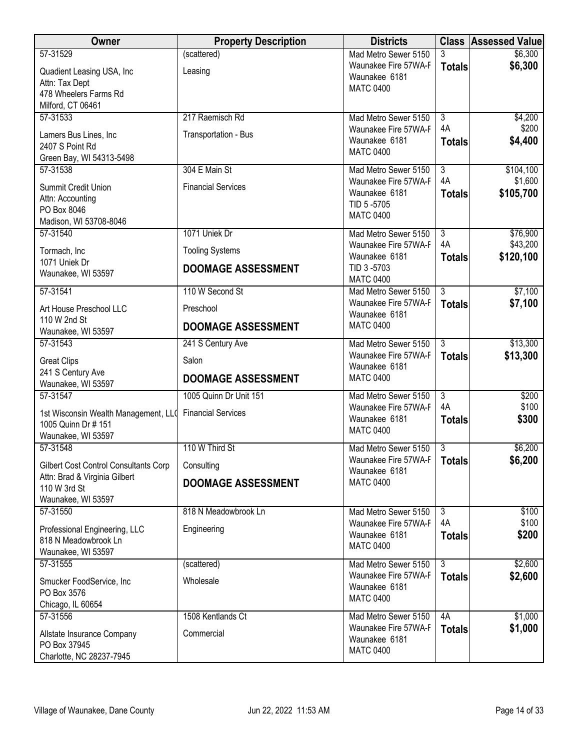| Owner                                         | <b>Property Description</b> | <b>Districts</b>                             |                | <b>Class Assessed Value</b> |
|-----------------------------------------------|-----------------------------|----------------------------------------------|----------------|-----------------------------|
| 57-31529                                      | (scattered)                 | Mad Metro Sewer 5150                         | 3              | \$6,300                     |
| Quadient Leasing USA, Inc                     | Leasing                     | Waunakee Fire 57WA-F<br>Waunakee 6181        | <b>Totals</b>  | \$6,300                     |
| Attn: Tax Dept                                |                             | <b>MATC 0400</b>                             |                |                             |
| 478 Wheelers Farms Rd                         |                             |                                              |                |                             |
| Milford, CT 06461<br>57-31533                 | 217 Raemisch Rd             | Mad Metro Sewer 5150                         | $\overline{3}$ | \$4,200                     |
|                                               |                             | Waunakee Fire 57WA-F                         | 4A             | \$200                       |
| Lamers Bus Lines, Inc                         | Transportation - Bus        | Waunakee 6181                                | <b>Totals</b>  | \$4,400                     |
| 2407 S Point Rd<br>Green Bay, WI 54313-5498   |                             | <b>MATC 0400</b>                             |                |                             |
| 57-31538                                      | 304 E Main St               | Mad Metro Sewer 5150                         | $\overline{3}$ | \$104,100                   |
|                                               |                             | Waunakee Fire 57WA-F                         | 4A             | \$1,600                     |
| Summit Credit Union<br>Attn: Accounting       | <b>Financial Services</b>   | Waunakee 6181                                | <b>Totals</b>  | \$105,700                   |
| PO Box 8046                                   |                             | TID 5-5705                                   |                |                             |
| Madison, WI 53708-8046                        |                             | <b>MATC 0400</b>                             |                |                             |
| 57-31540                                      | 1071 Uniek Dr               | Mad Metro Sewer 5150                         | $\overline{3}$ | \$76,900                    |
| Tormach, Inc                                  | <b>Tooling Systems</b>      | Waunakee Fire 57WA-F<br>Waunakee 6181        | 4A             | \$43,200<br>\$120,100       |
| 1071 Uniek Dr                                 | <b>DOOMAGE ASSESSMENT</b>   | TID 3-5703                                   | <b>Totals</b>  |                             |
| Waunakee, WI 53597                            |                             | <b>MATC 0400</b>                             |                |                             |
| 57-31541                                      | 110 W Second St             | Mad Metro Sewer 5150                         | $\overline{3}$ | \$7,100                     |
| Art House Preschool LLC                       | Preschool                   | Waunakee Fire 57WA-F<br>Waunakee 6181        | <b>Totals</b>  | \$7,100                     |
| 110 W 2nd St<br>Waunakee, WI 53597            | <b>DOOMAGE ASSESSMENT</b>   | <b>MATC 0400</b>                             |                |                             |
| 57-31543                                      | 241 S Century Ave           | Mad Metro Sewer 5150                         | $\overline{3}$ | \$13,300                    |
| <b>Great Clips</b>                            | Salon                       | Waunakee Fire 57WA-F                         | <b>Totals</b>  | \$13,300                    |
| 241 S Century Ave                             |                             | Waunakee 6181<br><b>MATC 0400</b>            |                |                             |
| Waunakee, WI 53597                            | <b>DOOMAGE ASSESSMENT</b>   |                                              |                |                             |
| 57-31547                                      | 1005 Quinn Dr Unit 151      | Mad Metro Sewer 5150                         | $\overline{3}$ | \$200                       |
| 1st Wisconsin Wealth Management, LLQ          | <b>Financial Services</b>   | Waunakee Fire 57WA-F<br>Waunakee 6181        | 4A             | \$100<br>\$300              |
| 1005 Quinn Dr # 151                           |                             | <b>MATC 0400</b>                             | <b>Totals</b>  |                             |
| Waunakee, WI 53597                            |                             |                                              |                |                             |
| 57-31548                                      | 110 W Third St              | Mad Metro Sewer 5150<br>Waunakee Fire 57WA-F | 3              | \$6,200<br>\$6,200          |
| <b>Gilbert Cost Control Consultants Corp</b>  | Consulting                  | Waunakee 6181                                | <b>Totals</b>  |                             |
| Attn: Brad & Virginia Gilbert<br>110 W 3rd St | <b>DOOMAGE ASSESSMENT</b>   | <b>MATC 0400</b>                             |                |                             |
| Waunakee, WI 53597                            |                             |                                              |                |                             |
| 57-31550                                      | 818 N Meadowbrook Ln        | Mad Metro Sewer 5150                         | 3              | \$100                       |
| Professional Engineering, LLC                 | Engineering                 | Waunakee Fire 57WA-F                         | 4A             | \$100                       |
| 818 N Meadowbrook Ln                          |                             | Waunakee 6181                                | <b>Totals</b>  | \$200                       |
| Waunakee, WI 53597                            |                             | <b>MATC 0400</b>                             |                |                             |
| 57-31555                                      | (scattered)                 | Mad Metro Sewer 5150                         | $\overline{3}$ | \$2,600                     |
| Smucker FoodService, Inc                      | Wholesale                   | Waunakee Fire 57WA-F                         | <b>Totals</b>  | \$2,600                     |
| PO Box 3576                                   |                             | Waunakee 6181<br><b>MATC 0400</b>            |                |                             |
| Chicago, IL 60654                             |                             |                                              |                |                             |
| 57-31556                                      | 1508 Kentlands Ct           | Mad Metro Sewer 5150                         | 4A             | \$1,000                     |
| Allstate Insurance Company                    | Commercial                  | Waunakee Fire 57WA-F<br>Waunakee 6181        | <b>Totals</b>  | \$1,000                     |
| PO Box 37945                                  |                             | <b>MATC 0400</b>                             |                |                             |
| Charlotte, NC 28237-7945                      |                             |                                              |                |                             |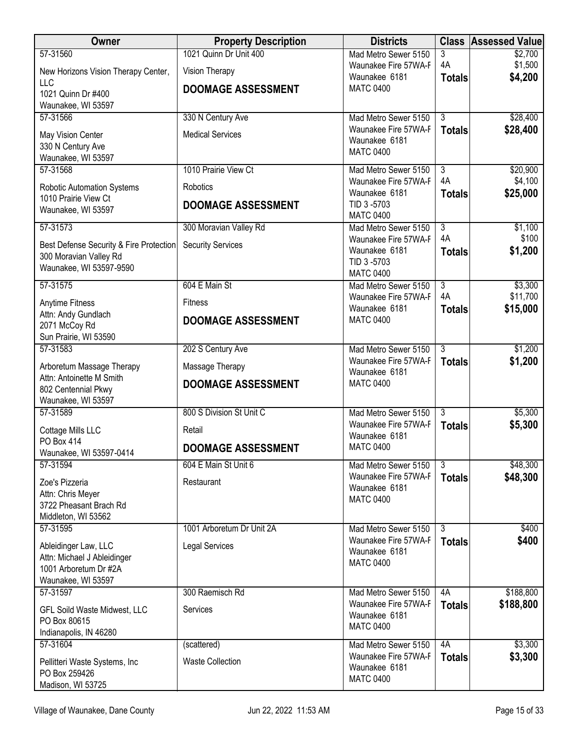| Owner                                                                                              | <b>Property Description</b> | <b>Districts</b>                                                        | <b>Class</b>         | <b>Assessed Value</b> |
|----------------------------------------------------------------------------------------------------|-----------------------------|-------------------------------------------------------------------------|----------------------|-----------------------|
| 57-31560                                                                                           | 1021 Quinn Dr Unit 400      | Mad Metro Sewer 5150                                                    | 3                    | \$2,700               |
| New Horizons Vision Therapy Center,                                                                | Vision Therapy              | Waunakee Fire 57WA-F<br>Waunakee 6181                                   | 4A<br><b>Totals</b>  | \$1,500<br>\$4,200    |
| LLC<br>1021 Quinn Dr #400<br>Waunakee, WI 53597                                                    | <b>DOOMAGE ASSESSMENT</b>   | <b>MATC 0400</b>                                                        |                      |                       |
| 57-31566                                                                                           | 330 N Century Ave           | Mad Metro Sewer 5150                                                    | $\overline{3}$       | \$28,400              |
| May Vision Center<br>330 N Century Ave<br>Waunakee, WI 53597                                       | <b>Medical Services</b>     | Waunakee Fire 57WA-F<br>Waunakee 6181<br><b>MATC 0400</b>               | <b>Totals</b>        | \$28,400              |
| 57-31568                                                                                           | 1010 Prairie View Ct        | Mad Metro Sewer 5150                                                    | $\overline{3}$<br>4A | \$20,900<br>\$4,100   |
| <b>Robotic Automation Systems</b>                                                                  | Robotics                    | Waunakee Fire 57WA-F<br>Waunakee 6181                                   | <b>Totals</b>        | \$25,000              |
| 1010 Prairie View Ct<br>Waunakee, WI 53597                                                         | <b>DOOMAGE ASSESSMENT</b>   | TID 3-5703<br><b>MATC 0400</b>                                          |                      |                       |
| 57-31573                                                                                           | 300 Moravian Valley Rd      | Mad Metro Sewer 5150                                                    | $\overline{3}$       | \$1,100               |
| Best Defense Security & Fire Protection<br>300 Moravian Valley Rd<br>Waunakee, WI 53597-9590       | <b>Security Services</b>    | Waunakee Fire 57WA-F<br>Waunakee 6181<br>TID 3-5703<br><b>MATC 0400</b> | 4A<br><b>Totals</b>  | \$100<br>\$1,200      |
| 57-31575                                                                                           | 604 E Main St               | Mad Metro Sewer 5150                                                    | $\overline{3}$       | \$3,300               |
| <b>Anytime Fitness</b>                                                                             | <b>Fitness</b>              | Waunakee Fire 57WA-F<br>Waunakee 6181                                   | 4A<br><b>Totals</b>  | \$11,700<br>\$15,000  |
| Attn: Andy Gundlach<br>2071 McCoy Rd<br>Sun Prairie, WI 53590                                      | <b>DOOMAGE ASSESSMENT</b>   | <b>MATC 0400</b>                                                        |                      |                       |
| 57-31583                                                                                           | 202 S Century Ave           | Mad Metro Sewer 5150                                                    | $\overline{3}$       | \$1,200               |
| Arboretum Massage Therapy                                                                          | Massage Therapy             | Waunakee Fire 57WA-F<br>Waunakee 6181                                   | <b>Totals</b>        | \$1,200               |
| Attn: Antoinette M Smith<br>802 Centennial Pkwy<br>Waunakee, WI 53597                              | <b>DOOMAGE ASSESSMENT</b>   | <b>MATC 0400</b>                                                        |                      |                       |
| 57-31589                                                                                           | 800 S Division St Unit C    | Mad Metro Sewer 5150                                                    | $\overline{3}$       | \$5,300               |
| Cottage Mills LLC<br>PO Box 414                                                                    | Retail                      | Waunakee Fire 57WA-F<br>Waunakee 6181                                   | <b>Totals</b>        | \$5,300               |
| Waunakee, WI 53597-0414                                                                            | <b>DOOMAGE ASSESSMENT</b>   | <b>MATC 0400</b>                                                        |                      |                       |
| 57-31594                                                                                           | 604 E Main St Unit 6        | Mad Metro Sewer 5150                                                    | $\overline{3}$       | \$48,300              |
| Zoe's Pizzeria<br>Attn: Chris Meyer<br>3722 Pheasant Brach Rd<br>Middleton, WI 53562               | Restaurant                  | Waunakee Fire 57WA-F<br>Waunakee 6181<br><b>MATC 0400</b>               | <b>Totals</b>        | \$48,300              |
| 57-31595                                                                                           | 1001 Arboretum Dr Unit 2A   | Mad Metro Sewer 5150                                                    | $\overline{3}$       | \$400                 |
| Ableidinger Law, LLC<br>Attn: Michael J Ableidinger<br>1001 Arboretum Dr #2A<br>Waunakee, WI 53597 | <b>Legal Services</b>       | Waunakee Fire 57WA-F<br>Waunakee 6181<br><b>MATC 0400</b>               | <b>Totals</b>        | \$400                 |
| 57-31597                                                                                           | 300 Raemisch Rd             | Mad Metro Sewer 5150                                                    | 4A                   | \$188,800             |
| <b>GFL Soild Waste Midwest, LLC</b><br>PO Box 80615<br>Indianapolis, IN 46280                      | Services                    | Waunakee Fire 57WA-F<br>Waunakee 6181<br><b>MATC 0400</b>               | <b>Totals</b>        | \$188,800             |
| 57-31604                                                                                           | (scattered)                 | Mad Metro Sewer 5150                                                    | 4A                   | \$3,300               |
| Pellitteri Waste Systems, Inc<br>PO Box 259426<br>Madison, WI 53725                                | <b>Waste Collection</b>     | Waunakee Fire 57WA-F<br>Waunakee 6181<br><b>MATC 0400</b>               | <b>Totals</b>        | \$3,300               |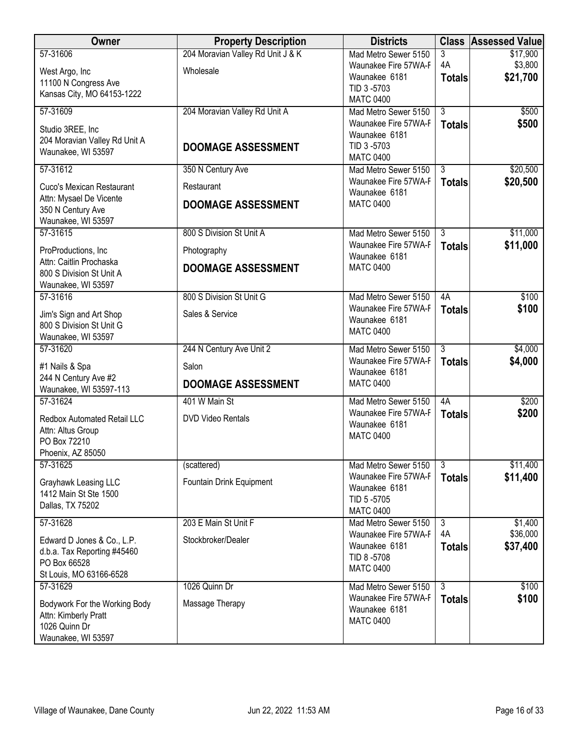| Owner                                                     | <b>Property Description</b>       | <b>Districts</b>                             |                | <b>Class Assessed Value</b> |
|-----------------------------------------------------------|-----------------------------------|----------------------------------------------|----------------|-----------------------------|
| 57-31606                                                  | 204 Moravian Valley Rd Unit J & K | Mad Metro Sewer 5150                         | 3<br>4A        | \$17,900                    |
| West Argo, Inc                                            | Wholesale                         | Waunakee Fire 57WA-F<br>Waunakee 6181        | <b>Totals</b>  | \$3,800<br>\$21,700         |
| 11100 N Congress Ave                                      |                                   | TID 3-5703                                   |                |                             |
| Kansas City, MO 64153-1222                                |                                   | <b>MATC 0400</b>                             |                |                             |
| 57-31609                                                  | 204 Moravian Valley Rd Unit A     | Mad Metro Sewer 5150                         | 3              | \$500                       |
| Studio 3REE, Inc                                          |                                   | Waunakee Fire 57WA-F<br>Waunakee 6181        | <b>Totals</b>  | \$500                       |
| 204 Moravian Valley Rd Unit A<br>Waunakee, WI 53597       | <b>DOOMAGE ASSESSMENT</b>         | TID 3-5703                                   |                |                             |
|                                                           |                                   | <b>MATC 0400</b>                             |                |                             |
| 57-31612                                                  | 350 N Century Ave                 | Mad Metro Sewer 5150                         | $\overline{3}$ | \$20,500                    |
| Cuco's Mexican Restaurant                                 | Restaurant                        | Waunakee Fire 57WA-F<br>Waunakee 6181        | <b>Totals</b>  | \$20,500                    |
| Attn: Mysael De Vicente                                   | <b>DOOMAGE ASSESSMENT</b>         | <b>MATC 0400</b>                             |                |                             |
| 350 N Century Ave<br>Waunakee, WI 53597                   |                                   |                                              |                |                             |
| 57-31615                                                  | 800 S Division St Unit A          | Mad Metro Sewer 5150                         | $\overline{3}$ | \$11,000                    |
| ProProductions, Inc.                                      | Photography                       | Waunakee Fire 57WA-F<br>Waunakee 6181        | <b>Totals</b>  | \$11,000                    |
| Attn: Caitlin Prochaska<br>800 S Division St Unit A       | <b>DOOMAGE ASSESSMENT</b>         | <b>MATC 0400</b>                             |                |                             |
| Waunakee, WI 53597                                        |                                   |                                              |                |                             |
| 57-31616                                                  | 800 S Division St Unit G          | Mad Metro Sewer 5150                         | 4A             | \$100                       |
| Jim's Sign and Art Shop                                   | Sales & Service                   | Waunakee Fire 57WA-F                         | <b>Totals</b>  | \$100                       |
| 800 S Division St Unit G                                  |                                   | Waunakee 6181<br><b>MATC 0400</b>            |                |                             |
| Waunakee, WI 53597                                        |                                   |                                              |                |                             |
| 57-31620                                                  | 244 N Century Ave Unit 2          | Mad Metro Sewer 5150<br>Waunakee Fire 57WA-F | $\overline{3}$ | \$4,000<br>\$4,000          |
| #1 Nails & Spa                                            | Salon                             | Waunakee 6181                                | <b>Totals</b>  |                             |
| 244 N Century Ave #2<br>Waunakee, WI 53597-113            | <b>DOOMAGE ASSESSMENT</b>         | <b>MATC 0400</b>                             |                |                             |
| 57-31624                                                  | 401 W Main St                     | Mad Metro Sewer 5150                         | 4A             | \$200                       |
| <b>Redbox Automated Retail LLC</b>                        | DVD Video Rentals                 | Waunakee Fire 57WA-F                         | <b>Totals</b>  | \$200                       |
| Attn: Altus Group                                         |                                   | Waunakee 6181<br><b>MATC 0400</b>            |                |                             |
| PO Box 72210                                              |                                   |                                              |                |                             |
| Phoenix, AZ 85050<br>57-31625                             | (scattered)                       |                                              | $\overline{3}$ |                             |
|                                                           |                                   | Mad Metro Sewer 5150<br>Waunakee Fire 57WA-F | <b>Totals</b>  | \$11,400<br>\$11,400        |
| Grayhawk Leasing LLC<br>1412 Main St Ste 1500             | Fountain Drink Equipment          | Waunakee 6181                                |                |                             |
| Dallas, TX 75202                                          |                                   | TID 5-5705                                   |                |                             |
| 57-31628                                                  | 203 E Main St Unit F              | <b>MATC 0400</b><br>Mad Metro Sewer 5150     | 3              | \$1,400                     |
|                                                           |                                   | Waunakee Fire 57WA-F                         | 4A             | \$36,000                    |
| Edward D Jones & Co., L.P.<br>d.b.a. Tax Reporting #45460 | Stockbroker/Dealer                | Waunakee 6181                                | <b>Totals</b>  | \$37,400                    |
| PO Box 66528                                              |                                   | TID 8-5708                                   |                |                             |
| St Louis, MO 63166-6528                                   |                                   | <b>MATC 0400</b>                             |                |                             |
| 57-31629                                                  | 1026 Quinn Dr                     | Mad Metro Sewer 5150                         | $\overline{3}$ | \$100                       |
| Bodywork For the Working Body                             | Massage Therapy                   | Waunakee Fire 57WA-F<br>Waunakee 6181        | <b>Totals</b>  | \$100                       |
| Attn: Kimberly Pratt<br>1026 Quinn Dr                     |                                   | <b>MATC 0400</b>                             |                |                             |
| Waunakee, WI 53597                                        |                                   |                                              |                |                             |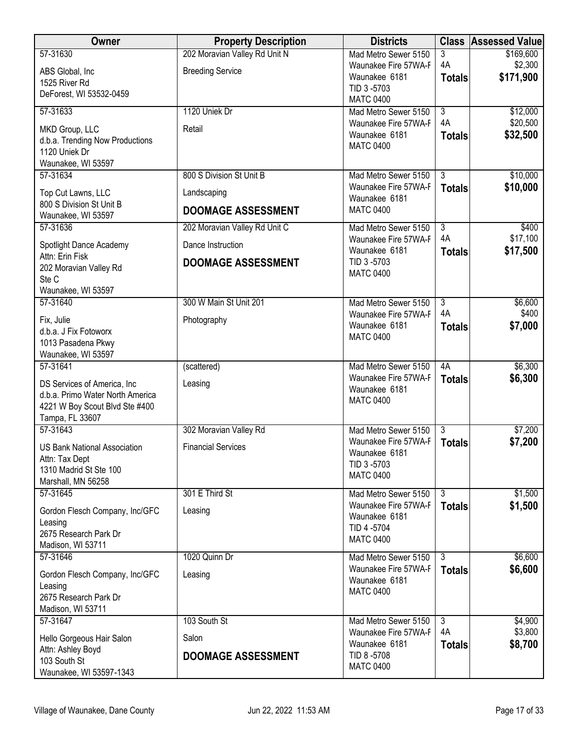| Owner                                    | <b>Property Description</b>   | <b>Districts</b>                             |                      | <b>Class Assessed Value</b> |
|------------------------------------------|-------------------------------|----------------------------------------------|----------------------|-----------------------------|
| 57-31630                                 | 202 Moravian Valley Rd Unit N | Mad Metro Sewer 5150                         | 3                    | \$169,600                   |
| ABS Global, Inc.                         | <b>Breeding Service</b>       | Waunakee Fire 57WA-F<br>Waunakee 6181        | 4A                   | \$2,300<br>\$171,900        |
| 1525 River Rd                            |                               | TID 3-5703                                   | <b>Totals</b>        |                             |
| DeForest, WI 53532-0459                  |                               | <b>MATC 0400</b>                             |                      |                             |
| 57-31633                                 | 1120 Uniek Dr                 | Mad Metro Sewer 5150                         | $\overline{3}$       | \$12,000                    |
| MKD Group, LLC                           | Retail                        | Waunakee Fire 57WA-F                         | 4A                   | \$20,500                    |
| d.b.a. Trending Now Productions          |                               | Waunakee 6181                                | <b>Totals</b>        | \$32,500                    |
| 1120 Uniek Dr                            |                               | <b>MATC 0400</b>                             |                      |                             |
| Waunakee, WI 53597                       |                               |                                              |                      |                             |
| 57-31634                                 | 800 S Division St Unit B      | Mad Metro Sewer 5150                         | $\overline{3}$       | \$10,000                    |
| Top Cut Lawns, LLC                       | Landscaping                   | Waunakee Fire 57WA-F<br>Waunakee 6181        | <b>Totals</b>        | \$10,000                    |
| 800 S Division St Unit B                 | <b>DOOMAGE ASSESSMENT</b>     | <b>MATC 0400</b>                             |                      |                             |
| Waunakee, WI 53597                       |                               |                                              |                      |                             |
| 57-31636                                 | 202 Moravian Valley Rd Unit C | Mad Metro Sewer 5150<br>Waunakee Fire 57WA-F | $\overline{3}$<br>4A | \$400<br>\$17,100           |
| Spotlight Dance Academy                  | Dance Instruction             | Waunakee 6181                                | <b>Totals</b>        | \$17,500                    |
| Attn: Erin Fisk                          | <b>DOOMAGE ASSESSMENT</b>     | TID 3-5703                                   |                      |                             |
| 202 Moravian Valley Rd<br>Ste C          |                               | <b>MATC 0400</b>                             |                      |                             |
| Waunakee, WI 53597                       |                               |                                              |                      |                             |
| 57-31640                                 | 300 W Main St Unit 201        | Mad Metro Sewer 5150                         | $\overline{3}$       | \$6,600                     |
| Fix, Julie                               | Photography                   | Waunakee Fire 57WA-F                         | 4A                   | \$400                       |
| d.b.a. J Fix Fotoworx                    |                               | Waunakee 6181                                | <b>Totals</b>        | \$7,000                     |
| 1013 Pasadena Pkwy                       |                               | <b>MATC 0400</b>                             |                      |                             |
| Waunakee, WI 53597                       |                               |                                              |                      |                             |
| 57-31641                                 | (scattered)                   | Mad Metro Sewer 5150                         | 4A                   | \$6,300                     |
| DS Services of America, Inc              | Leasing                       | Waunakee Fire 57WA-F<br>Waunakee 6181        | <b>Totals</b>        | \$6,300                     |
| d.b.a. Primo Water North America         |                               | <b>MATC 0400</b>                             |                      |                             |
| 4221 W Boy Scout Blvd Ste #400           |                               |                                              |                      |                             |
| Tampa, FL 33607<br>57-31643              | 302 Moravian Valley Rd        | Mad Metro Sewer 5150                         | $\overline{3}$       | \$7,200                     |
|                                          |                               | Waunakee Fire 57WA-F                         | <b>Totals</b>        | \$7,200                     |
| <b>US Bank National Association</b>      | <b>Financial Services</b>     | Waunakee 6181                                |                      |                             |
| Attn: Tax Dept<br>1310 Madrid St Ste 100 |                               | TID 3-5703                                   |                      |                             |
| Marshall, MN 56258                       |                               | <b>MATC 0400</b>                             |                      |                             |
| 57-31645                                 | 301 E Third St                | Mad Metro Sewer 5150                         | $\overline{3}$       | \$1,500                     |
| Gordon Flesch Company, Inc/GFC           | Leasing                       | Waunakee Fire 57WA-F                         | <b>Totals</b>        | \$1,500                     |
| Leasing                                  |                               | Waunakee 6181                                |                      |                             |
| 2675 Research Park Dr                    |                               | TID 4 -5704<br><b>MATC 0400</b>              |                      |                             |
| Madison, WI 53711                        |                               |                                              |                      |                             |
| 57-31646                                 | 1020 Quinn Dr                 | Mad Metro Sewer 5150                         | $\overline{3}$       | \$6,600                     |
| Gordon Flesch Company, Inc/GFC           | Leasing                       | Waunakee Fire 57WA-F<br>Waunakee 6181        | <b>Totals</b>        | \$6,600                     |
| Leasing                                  |                               | <b>MATC 0400</b>                             |                      |                             |
| 2675 Research Park Dr                    |                               |                                              |                      |                             |
| Madison, WI 53711<br>57-31647            | 103 South St                  | Mad Metro Sewer 5150                         | 3                    | \$4,900                     |
|                                          |                               | Waunakee Fire 57WA-F                         | 4A                   | \$3,800                     |
| Hello Gorgeous Hair Salon                | Salon                         | Waunakee 6181                                | <b>Totals</b>        | \$8,700                     |
| Attn: Ashley Boyd<br>103 South St        | <b>DOOMAGE ASSESSMENT</b>     | TID 8-5708                                   |                      |                             |
| Waunakee, WI 53597-1343                  |                               | <b>MATC 0400</b>                             |                      |                             |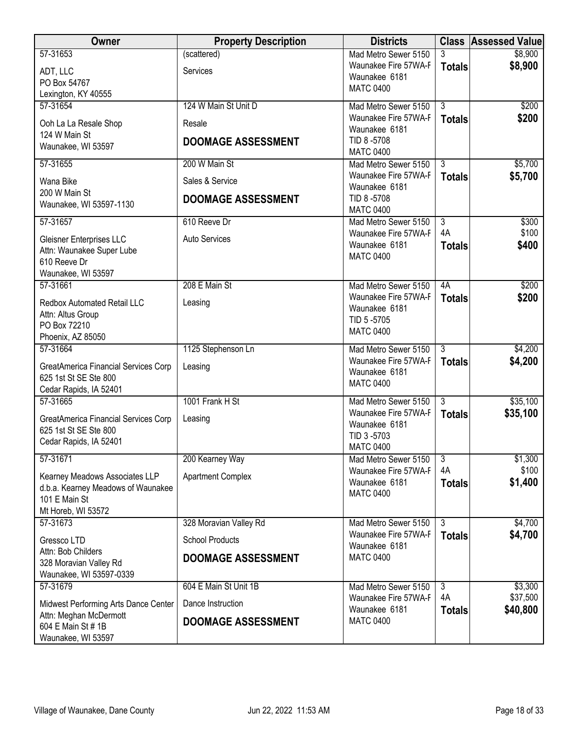| Owner                                                                                   | <b>Property Description</b> | <b>Districts</b>                                                        |                           | <b>Class Assessed Value</b> |
|-----------------------------------------------------------------------------------------|-----------------------------|-------------------------------------------------------------------------|---------------------------|-----------------------------|
| 57-31653<br>ADT, LLC                                                                    | (scattered)<br>Services     | Mad Metro Sewer 5150<br>Waunakee Fire 57WA-F                            | 3<br><b>Totals</b>        | \$8,900<br>\$8,900          |
| PO Box 54767<br>Lexington, KY 40555                                                     |                             | Waunakee 6181<br><b>MATC 0400</b>                                       |                           |                             |
| 57-31654                                                                                | 124 W Main St Unit D        | Mad Metro Sewer 5150                                                    | $\overline{3}$            | \$200                       |
| Ooh La La Resale Shop<br>124 W Main St                                                  | Resale                      | Waunakee Fire 57WA-F<br>Waunakee 6181                                   | <b>Totals</b>             | \$200                       |
| Waunakee, WI 53597                                                                      | <b>DOOMAGE ASSESSMENT</b>   | TID 8-5708<br><b>MATC 0400</b>                                          |                           |                             |
| 57-31655                                                                                | 200 W Main St               | Mad Metro Sewer 5150                                                    | $\overline{3}$            | \$5,700                     |
| Wana Bike<br>200 W Main St                                                              | Sales & Service             | Waunakee Fire 57WA-F<br>Waunakee 6181                                   | <b>Totals</b>             | \$5,700                     |
| Waunakee, WI 53597-1130                                                                 | <b>DOOMAGE ASSESSMENT</b>   | TID 8-5708<br><b>MATC 0400</b>                                          |                           |                             |
| 57-31657                                                                                | 610 Reeve Dr                | Mad Metro Sewer 5150                                                    | $\overline{3}$            | \$300                       |
| Gleisner Enterprises LLC<br>Attn: Waunakee Super Lube<br>610 Reeve Dr                   | <b>Auto Services</b>        | Waunakee Fire 57WA-F<br>Waunakee 6181<br><b>MATC 0400</b>               | 4A<br><b>Totals</b>       | \$100<br>\$400              |
| Waunakee, WI 53597                                                                      |                             |                                                                         |                           |                             |
| 57-31661                                                                                | 208 E Main St               | Mad Metro Sewer 5150                                                    | 4A                        | \$200                       |
| <b>Redbox Automated Retail LLC</b><br>Attn: Altus Group<br>PO Box 72210                 | Leasing                     | Waunakee Fire 57WA-F<br>Waunakee 6181<br>TID 5-5705                     | <b>Totals</b>             | \$200                       |
| Phoenix, AZ 85050                                                                       |                             | <b>MATC 0400</b>                                                        |                           |                             |
| 57-31664                                                                                | 1125 Stephenson Ln          | Mad Metro Sewer 5150<br>Waunakee Fire 57WA-F                            | 3                         | \$4,200<br>\$4,200          |
| GreatAmerica Financial Services Corp<br>625 1st St SE Ste 800<br>Cedar Rapids, IA 52401 | Leasing                     | Waunakee 6181<br><b>MATC 0400</b>                                       | <b>Totals</b>             |                             |
| 57-31665                                                                                | 1001 Frank H St             | Mad Metro Sewer 5150                                                    | $\overline{\overline{3}}$ | \$35,100                    |
| GreatAmerica Financial Services Corp<br>625 1st St SE Ste 800<br>Cedar Rapids, IA 52401 | Leasing                     | Waunakee Fire 57WA-F<br>Waunakee 6181<br>TID 3-5703<br><b>MATC 0400</b> | <b>Totals</b>             | \$35,100                    |
| 57-31671                                                                                | 200 Kearney Way             | Mad Metro Sewer 5150                                                    | $\overline{3}$            | \$1,300                     |
| Kearney Meadows Associates LLP                                                          | <b>Apartment Complex</b>    | Waunakee Fire 57WA-F                                                    | 4A                        | \$100                       |
| d.b.a. Kearney Meadows of Waunakee<br>101 E Main St<br>Mt Horeb, WI 53572               |                             | Waunakee 6181<br><b>MATC 0400</b>                                       | <b>Totals</b>             | \$1,400                     |
| 57-31673                                                                                | 328 Moravian Valley Rd      | Mad Metro Sewer 5150                                                    | $\overline{3}$            | \$4,700                     |
| Gressco LTD                                                                             | <b>School Products</b>      | Waunakee Fire 57WA-F<br>Waunakee 6181                                   | <b>Totals</b>             | \$4,700                     |
| Attn: Bob Childers<br>328 Moravian Valley Rd<br>Waunakee, WI 53597-0339                 | <b>DOOMAGE ASSESSMENT</b>   | <b>MATC 0400</b>                                                        |                           |                             |
| 57-31679                                                                                | 604 E Main St Unit 1B       | Mad Metro Sewer 5150                                                    | $\overline{3}$            | \$3,300                     |
| Midwest Performing Arts Dance Center                                                    | Dance Instruction           | Waunakee Fire 57WA-F<br>Waunakee 6181                                   | 4A<br><b>Totals</b>       | \$37,500<br>\$40,800        |
| Attn: Meghan McDermott<br>604 E Main St # 1B<br>Waunakee, WI 53597                      | <b>DOOMAGE ASSESSMENT</b>   | <b>MATC 0400</b>                                                        |                           |                             |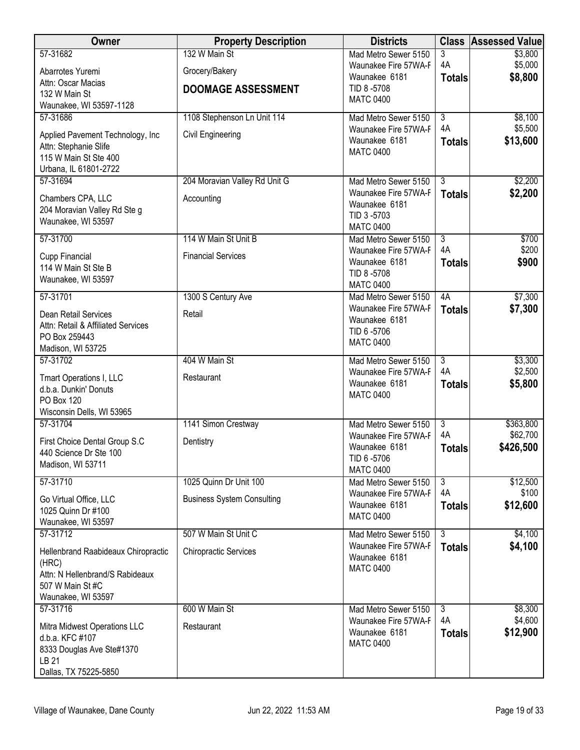| Owner                                               | <b>Property Description</b>       | <b>Districts</b>                             |                      | <b>Class Assessed Value</b> |
|-----------------------------------------------------|-----------------------------------|----------------------------------------------|----------------------|-----------------------------|
| 57-31682                                            | 132 W Main St                     | Mad Metro Sewer 5150                         | 3                    | \$3,800                     |
| Abarrotes Yuremi                                    | Grocery/Bakery                    | Waunakee Fire 57WA-F<br>Waunakee 6181        | 4A<br><b>Totals</b>  | \$5,000<br>\$8,800          |
| Attn: Oscar Macias<br>132 W Main St                 | <b>DOOMAGE ASSESSMENT</b>         | TID 8-5708                                   |                      |                             |
| Waunakee, WI 53597-1128                             |                                   | <b>MATC 0400</b>                             |                      |                             |
| 57-31686                                            | 1108 Stephenson Ln Unit 114       | Mad Metro Sewer 5150                         | $\overline{3}$       | \$8,100                     |
| Applied Pavement Technology, Inc                    | Civil Engineering                 | Waunakee Fire 57WA-F<br>Waunakee 6181        | 4A                   | \$5,500                     |
| Attn: Stephanie Slife                               |                                   | <b>MATC 0400</b>                             | <b>Totals</b>        | \$13,600                    |
| 115 W Main St Ste 400<br>Urbana, IL 61801-2722      |                                   |                                              |                      |                             |
| 57-31694                                            | 204 Moravian Valley Rd Unit G     | Mad Metro Sewer 5150                         | $\overline{3}$       | \$2,200                     |
| Chambers CPA, LLC                                   | Accounting                        | Waunakee Fire 57WA-F                         | <b>Totals</b>        | \$2,200                     |
| 204 Moravian Valley Rd Ste g                        |                                   | Waunakee 6181<br>TID 3-5703                  |                      |                             |
| Waunakee, WI 53597                                  |                                   | <b>MATC 0400</b>                             |                      |                             |
| 57-31700                                            | 114 W Main St Unit B              | Mad Metro Sewer 5150                         | $\overline{3}$       | \$700                       |
| Cupp Financial                                      | <b>Financial Services</b>         | Waunakee Fire 57WA-F<br>Waunakee 6181        | 4A<br><b>Totals</b>  | \$200<br>\$900              |
| 114 W Main St Ste B                                 |                                   | TID 8-5708                                   |                      |                             |
| Waunakee, WI 53597                                  |                                   | <b>MATC 0400</b>                             |                      |                             |
| 57-31701                                            | 1300 S Century Ave                | Mad Metro Sewer 5150<br>Waunakee Fire 57WA-F | 4A<br><b>Totals</b>  | \$7,300<br>\$7,300          |
| Dean Retail Services                                | Retail                            | Waunakee 6181                                |                      |                             |
| Attn: Retail & Affiliated Services<br>PO Box 259443 |                                   | TID 6-5706                                   |                      |                             |
| Madison, WI 53725                                   |                                   | <b>MATC 0400</b>                             |                      |                             |
| 57-31702                                            | 404 W Main St                     | Mad Metro Sewer 5150                         | $\overline{3}$       | \$3,300                     |
| Tmart Operations I, LLC                             | Restaurant                        | Waunakee Fire 57WA-F<br>Waunakee 6181        | 4A<br><b>Totals</b>  | \$2,500<br>\$5,800          |
| d.b.a. Dunkin' Donuts<br>PO Box 120                 |                                   | <b>MATC 0400</b>                             |                      |                             |
| Wisconsin Dells, WI 53965                           |                                   |                                              |                      |                             |
| 57-31704                                            | 1141 Simon Crestway               | Mad Metro Sewer 5150                         | $\overline{3}$       | \$363,800                   |
| First Choice Dental Group S.C                       | Dentistry                         | Waunakee Fire 57WA-F                         | 4A                   | \$62,700                    |
| 440 Science Dr Ste 100                              |                                   | Waunakee 6181<br>TID 6-5706                  | <b>Totals</b>        | \$426,500                   |
| Madison, WI 53711                                   |                                   | <b>MATC 0400</b>                             |                      |                             |
| 57-31710                                            | 1025 Quinn Dr Unit 100            | Mad Metro Sewer 5150                         | $\overline{3}$<br>4A | \$12,500<br>\$100           |
| Go Virtual Office, LLC                              | <b>Business System Consulting</b> | Waunakee Fire 57WA-F<br>Waunakee 6181        | <b>Totals</b>        | \$12,600                    |
| 1025 Quinn Dr #100<br>Waunakee, WI 53597            |                                   | <b>MATC 0400</b>                             |                      |                             |
| 57-31712                                            | 507 W Main St Unit C              | Mad Metro Sewer 5150                         | $\overline{3}$       | \$4,100                     |
| Hellenbrand Raabideaux Chiropractic                 | <b>Chiropractic Services</b>      | Waunakee Fire 57WA-F                         | <b>Totals</b>        | \$4,100                     |
| (HRC)                                               |                                   | Waunakee 6181<br><b>MATC 0400</b>            |                      |                             |
| Attn: N Hellenbrand/S Rabideaux                     |                                   |                                              |                      |                             |
| 507 W Main St #C<br>Waunakee, WI 53597              |                                   |                                              |                      |                             |
| 57-31716                                            | 600 W Main St                     | Mad Metro Sewer 5150                         | 3                    | \$8,300                     |
| Mitra Midwest Operations LLC                        | Restaurant                        | Waunakee Fire 57WA-F                         | 4A                   | \$4,600                     |
| d.b.a. KFC #107                                     |                                   | Waunakee 6181<br><b>MATC 0400</b>            | <b>Totals</b>        | \$12,900                    |
| 8333 Douglas Ave Ste#1370<br>LB 21                  |                                   |                                              |                      |                             |
| Dallas, TX 75225-5850                               |                                   |                                              |                      |                             |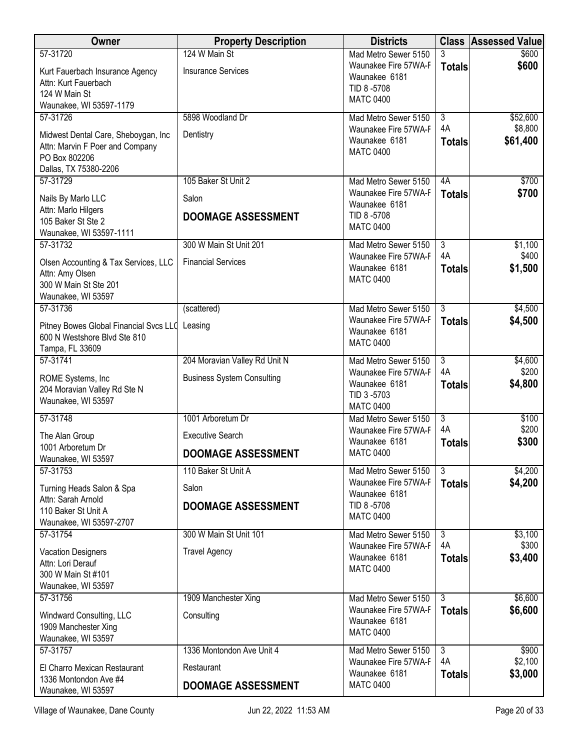| Owner                                                                                                                        | <b>Property Description</b>                                               | <b>Districts</b>                                                                                |                                       | <b>Class Assessed Value</b>     |
|------------------------------------------------------------------------------------------------------------------------------|---------------------------------------------------------------------------|-------------------------------------------------------------------------------------------------|---------------------------------------|---------------------------------|
| 57-31720<br>Kurt Fauerbach Insurance Agency<br>Attn: Kurt Fauerbach<br>124 W Main St<br>Waunakee, WI 53597-1179              | 124 W Main St<br><b>Insurance Services</b>                                | Mad Metro Sewer 5150<br>Waunakee Fire 57WA-F<br>Waunakee 6181<br>TID 8-5708<br><b>MATC 0400</b> | 3<br><b>Totals</b>                    | \$600<br>\$600                  |
| 57-31726<br>Midwest Dental Care, Sheboygan, Inc<br>Attn: Marvin F Poer and Company<br>PO Box 802206<br>Dallas, TX 75380-2206 | 5898 Woodland Dr<br>Dentistry                                             | Mad Metro Sewer 5150<br>Waunakee Fire 57WA-F<br>Waunakee 6181<br><b>MATC 0400</b>               | $\overline{3}$<br>4A<br><b>Totals</b> | \$52,600<br>\$8,800<br>\$61,400 |
| 57-31729<br>Nails By Marlo LLC<br>Attn: Marlo Hilgers<br>105 Baker St Ste 2<br>Waunakee, WI 53597-1111                       | 105 Baker St Unit 2<br>Salon<br><b>DOOMAGE ASSESSMENT</b>                 | Mad Metro Sewer 5150<br>Waunakee Fire 57WA-F<br>Waunakee 6181<br>TID 8-5708<br><b>MATC 0400</b> | 4A<br><b>Totals</b>                   | \$700<br>\$700                  |
| 57-31732<br>Olsen Accounting & Tax Services, LLC<br>Attn: Amy Olsen<br>300 W Main St Ste 201<br>Waunakee, WI 53597           | 300 W Main St Unit 201<br><b>Financial Services</b>                       | Mad Metro Sewer 5150<br>Waunakee Fire 57WA-F<br>Waunakee 6181<br><b>MATC 0400</b>               | $\overline{3}$<br>4A<br><b>Totals</b> | \$1,100<br>\$400<br>\$1,500     |
| 57-31736<br>Pitney Bowes Global Financial Svcs LLO<br>600 N Westshore Blvd Ste 810<br>Tampa, FL 33609                        | (scattered)<br>Leasing                                                    | Mad Metro Sewer 5150<br>Waunakee Fire 57WA-F<br>Waunakee 6181<br><b>MATC 0400</b>               | $\overline{3}$<br><b>Totals</b>       | \$4,500<br>\$4,500              |
| 57-31741<br>ROME Systems, Inc<br>204 Moravian Valley Rd Ste N<br>Waunakee, WI 53597                                          | 204 Moravian Valley Rd Unit N<br><b>Business System Consulting</b>        | Mad Metro Sewer 5150<br>Waunakee Fire 57WA-F<br>Waunakee 6181<br>TID 3-5703<br><b>MATC 0400</b> | $\overline{3}$<br>4A<br><b>Totals</b> | \$4,600<br>\$200<br>\$4,800     |
| 57-31748<br>The Alan Group<br>1001 Arboretum Dr<br>Waunakee, WI 53597                                                        | 1001 Arboretum Dr<br><b>Executive Search</b><br><b>DOOMAGE ASSESSMENT</b> | Mad Metro Sewer 5150<br>Waunakee Fire 57WA-F<br>Waunakee 6181<br><b>MATC 0400</b>               | $\overline{3}$<br>4A<br><b>Totals</b> | \$100<br>\$200<br>\$300         |
| 57-31753<br>Turning Heads Salon & Spa<br>Attn: Sarah Arnold<br>110 Baker St Unit A<br>Waunakee, WI 53597-2707                | 110 Baker St Unit A<br>Salon<br><b>DOOMAGE ASSESSMENT</b>                 | Mad Metro Sewer 5150<br>Waunakee Fire 57WA-F<br>Waunakee 6181<br>TID 8-5708<br><b>MATC 0400</b> | 3<br><b>Totals</b>                    | \$4,200<br>\$4,200              |
| 57-31754<br><b>Vacation Designers</b><br>Attn: Lori Derauf<br>300 W Main St #101<br>Waunakee, WI 53597                       | 300 W Main St Unit 101<br><b>Travel Agency</b>                            | Mad Metro Sewer 5150<br>Waunakee Fire 57WA-F<br>Waunakee 6181<br><b>MATC 0400</b>               | $\overline{3}$<br>4A<br><b>Totals</b> | \$3,100<br>\$300<br>\$3,400     |
| 57-31756<br>Windward Consulting, LLC<br>1909 Manchester Xing<br>Waunakee, WI 53597                                           | 1909 Manchester Xing<br>Consulting                                        | Mad Metro Sewer 5150<br>Waunakee Fire 57WA-F<br>Waunakee 6181<br><b>MATC 0400</b>               | $\overline{3}$<br><b>Totals</b>       | \$6,600<br>\$6,600              |
| 57-31757<br>El Charro Mexican Restaurant<br>1336 Montondon Ave #4<br>Waunakee, WI 53597                                      | 1336 Montondon Ave Unit 4<br>Restaurant<br><b>DOOMAGE ASSESSMENT</b>      | Mad Metro Sewer 5150<br>Waunakee Fire 57WA-F<br>Waunakee 6181<br><b>MATC 0400</b>               | $\overline{3}$<br>4A<br><b>Totals</b> | \$900<br>\$2,100<br>\$3,000     |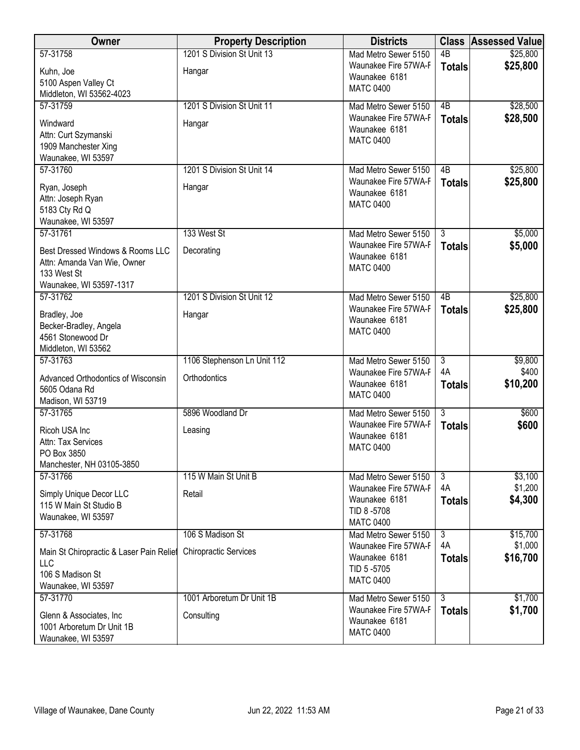| <b>Owner</b>                                                                                                          | <b>Property Description</b>                      | <b>Districts</b>                                                                                |                                       | <b>Class Assessed Value</b>     |
|-----------------------------------------------------------------------------------------------------------------------|--------------------------------------------------|-------------------------------------------------------------------------------------------------|---------------------------------------|---------------------------------|
| 57-31758<br>Kuhn, Joe<br>5100 Aspen Valley Ct<br>Middleton, WI 53562-4023                                             | 1201 S Division St Unit 13<br>Hangar             | Mad Metro Sewer 5150<br>Waunakee Fire 57WA-F<br>Waunakee 6181<br><b>MATC 0400</b>               | $\overline{AB}$<br><b>Totals</b>      | \$25,800<br>\$25,800            |
| 57-31759<br>Windward<br>Attn: Curt Szymanski<br>1909 Manchester Xing<br>Waunakee, WI 53597                            | 1201 S Division St Unit 11<br>Hangar             | Mad Metro Sewer 5150<br>Waunakee Fire 57WA-F<br>Waunakee 6181<br><b>MATC 0400</b>               | 4B<br><b>Totals</b>                   | \$28,500<br>\$28,500            |
| 57-31760<br>Ryan, Joseph<br>Attn: Joseph Ryan<br>5183 Cty Rd Q<br>Waunakee, WI 53597                                  | 1201 S Division St Unit 14<br>Hangar             | Mad Metro Sewer 5150<br>Waunakee Fire 57WA-F<br>Waunakee 6181<br><b>MATC 0400</b>               | 4B<br><b>Totals</b>                   | \$25,800<br>\$25,800            |
| 57-31761<br>Best Dressed Windows & Rooms LLC<br>Attn: Amanda Van Wie, Owner<br>133 West St<br>Waunakee, WI 53597-1317 | 133 West St<br>Decorating                        | Mad Metro Sewer 5150<br>Waunakee Fire 57WA-F<br>Waunakee 6181<br><b>MATC 0400</b>               | $\overline{3}$<br><b>Totals</b>       | \$5,000<br>\$5,000              |
| 57-31762<br>Bradley, Joe<br>Becker-Bradley, Angela<br>4561 Stonewood Dr<br>Middleton, WI 53562                        | 1201 S Division St Unit 12<br>Hangar             | Mad Metro Sewer 5150<br>Waunakee Fire 57WA-F<br>Waunakee 6181<br><b>MATC 0400</b>               | 4B<br><b>Totals</b>                   | \$25,800<br>\$25,800            |
| 57-31763<br>Advanced Orthodontics of Wisconsin<br>5605 Odana Rd<br>Madison, WI 53719                                  | 1106 Stephenson Ln Unit 112<br>Orthodontics      | Mad Metro Sewer 5150<br>Waunakee Fire 57WA-F<br>Waunakee 6181<br><b>MATC 0400</b>               | $\overline{3}$<br>4A<br><b>Totals</b> | \$9,800<br>\$400<br>\$10,200    |
| 57-31765<br>Ricoh USA Inc<br>Attn: Tax Services<br>PO Box 3850<br>Manchester, NH 03105-3850                           | 5896 Woodland Dr<br>Leasing                      | Mad Metro Sewer 5150<br>Waunakee Fire 57WA-F<br>Waunakee 6181<br><b>MATC 0400</b>               | $\overline{3}$<br><b>Totals</b>       | \$600<br>\$600                  |
| 57-31766<br>Simply Unique Decor LLC<br>115 W Main St Studio B<br>Waunakee, WI 53597                                   | 115 W Main St Unit B<br>Retail                   | Mad Metro Sewer 5150<br>Waunakee Fire 57WA-F<br>Waunakee 6181<br>TID 8-5708<br><b>MATC 0400</b> | 3<br>4A<br><b>Totals</b>              | \$3,100<br>\$1,200<br>\$4,300   |
| 57-31768<br>Main St Chiropractic & Laser Pain Relief<br>LLC<br>106 S Madison St<br>Waunakee, WI 53597                 | 106 S Madison St<br><b>Chiropractic Services</b> | Mad Metro Sewer 5150<br>Waunakee Fire 57WA-F<br>Waunakee 6181<br>TID 5-5705<br><b>MATC 0400</b> | $\overline{3}$<br>4A<br><b>Totals</b> | \$15,700<br>\$1,000<br>\$16,700 |
| 57-31770<br>Glenn & Associates, Inc.<br>1001 Arboretum Dr Unit 1B<br>Waunakee, WI 53597                               | 1001 Arboretum Dr Unit 1B<br>Consulting          | Mad Metro Sewer 5150<br>Waunakee Fire 57WA-F<br>Waunakee 6181<br><b>MATC 0400</b>               | دی<br><b>Totals</b>                   | \$1,700<br>\$1,700              |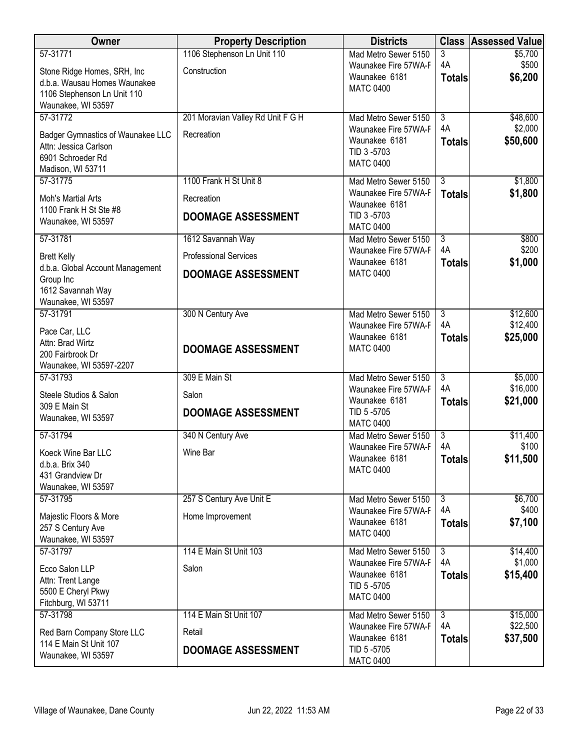| Owner                                             | <b>Property Description</b>       | <b>Districts</b>                             |                      | <b>Class Assessed Value</b> |
|---------------------------------------------------|-----------------------------------|----------------------------------------------|----------------------|-----------------------------|
| 57-31771                                          | 1106 Stephenson Ln Unit 110       | Mad Metro Sewer 5150                         | 3                    | \$5,700                     |
| Stone Ridge Homes, SRH, Inc                       | Construction                      | Waunakee Fire 57WA-F<br>Waunakee 6181        | 4A                   | \$500<br>\$6,200            |
| d.b.a. Wausau Homes Waunakee                      |                                   | <b>MATC 0400</b>                             | <b>Totals</b>        |                             |
| 1106 Stephenson Ln Unit 110<br>Waunakee, WI 53597 |                                   |                                              |                      |                             |
| 57-31772                                          | 201 Moravian Valley Rd Unit F G H | Mad Metro Sewer 5150                         | $\overline{3}$       | \$48,600                    |
| Badger Gymnastics of Waunakee LLC                 | Recreation                        | Waunakee Fire 57WA-F                         | 4A                   | \$2,000                     |
| Attn: Jessica Carlson                             |                                   | Waunakee 6181                                | <b>Totals</b>        | \$50,600                    |
| 6901 Schroeder Rd                                 |                                   | TID 3-5703<br><b>MATC 0400</b>               |                      |                             |
| Madison, WI 53711                                 |                                   |                                              | $\overline{3}$       |                             |
| 57-31775                                          | 1100 Frank H St Unit 8            | Mad Metro Sewer 5150<br>Waunakee Fire 57WA-F | <b>Totals</b>        | \$1,800<br>\$1,800          |
| Moh's Martial Arts                                | Recreation                        | Waunakee 6181                                |                      |                             |
| 1100 Frank H St Ste #8<br>Waunakee, WI 53597      | <b>DOOMAGE ASSESSMENT</b>         | TID 3-5703<br><b>MATC 0400</b>               |                      |                             |
| 57-31781                                          | 1612 Savannah Way                 | Mad Metro Sewer 5150                         | $\overline{3}$<br>4A | \$800<br>\$200              |
| <b>Brett Kelly</b>                                | <b>Professional Services</b>      | Waunakee Fire 57WA-F<br>Waunakee 6181        | <b>Totals</b>        | \$1,000                     |
| d.b.a. Global Account Management<br>Group Inc     | <b>DOOMAGE ASSESSMENT</b>         | <b>MATC 0400</b>                             |                      |                             |
| 1612 Savannah Way                                 |                                   |                                              |                      |                             |
| Waunakee, WI 53597                                |                                   |                                              |                      |                             |
| 57-31791                                          | 300 N Century Ave                 | Mad Metro Sewer 5150<br>Waunakee Fire 57WA-F | $\overline{3}$<br>4A | \$12,600<br>\$12,400        |
| Pace Car, LLC                                     |                                   | Waunakee 6181                                | <b>Totals</b>        | \$25,000                    |
| Attn: Brad Wirtz<br>200 Fairbrook Dr              | <b>DOOMAGE ASSESSMENT</b>         | <b>MATC 0400</b>                             |                      |                             |
| Waunakee, WI 53597-2207                           |                                   |                                              |                      |                             |
| 57-31793                                          | 309 E Main St                     | Mad Metro Sewer 5150                         | $\overline{3}$       | \$5,000                     |
| Steele Studios & Salon                            | Salon                             | Waunakee Fire 57WA-F<br>Waunakee 6181        | 4A                   | \$16,000                    |
| 309 E Main St                                     | <b>DOOMAGE ASSESSMENT</b>         | TID 5-5705                                   | <b>Totals</b>        | \$21,000                    |
| Waunakee, WI 53597                                |                                   | <b>MATC 0400</b>                             |                      |                             |
| 57-31794                                          | 340 N Century Ave                 | Mad Metro Sewer 5150                         | $\overline{3}$       | \$11,400                    |
| Koeck Wine Bar LLC                                | Wine Bar                          | Waunakee Fire 57WA-F<br>Waunakee 6181        | 4A<br><b>Totals</b>  | \$100<br>\$11,500           |
| d.b.a. Brix 340                                   |                                   | <b>MATC 0400</b>                             |                      |                             |
| 431 Grandview Dr<br>Waunakee, WI 53597            |                                   |                                              |                      |                             |
| 57-31795                                          | 257 S Century Ave Unit E          | Mad Metro Sewer 5150                         | $\overline{3}$       | \$6,700                     |
| Majestic Floors & More                            | Home Improvement                  | Waunakee Fire 57WA-F                         | 4A                   | \$400                       |
| 257 S Century Ave                                 |                                   | Waunakee 6181<br><b>MATC 0400</b>            | <b>Totals</b>        | \$7,100                     |
| Waunakee, WI 53597                                |                                   |                                              |                      |                             |
| 57-31797                                          | 114 E Main St Unit 103            | Mad Metro Sewer 5150<br>Waunakee Fire 57WA-F | $\overline{3}$<br>4A | \$14,400<br>\$1,000         |
| Ecco Salon LLP                                    | Salon                             | Waunakee 6181                                | <b>Totals</b>        | \$15,400                    |
| Attn: Trent Lange<br>5500 E Cheryl Pkwy           |                                   | TID 5-5705                                   |                      |                             |
| Fitchburg, WI 53711                               |                                   | <b>MATC 0400</b>                             |                      |                             |
| 57-31798                                          | 114 E Main St Unit 107            | Mad Metro Sewer 5150                         | 3                    | \$15,000                    |
| Red Barn Company Store LLC                        | Retail                            | Waunakee Fire 57WA-F<br>Waunakee 6181        | 4A<br><b>Totals</b>  | \$22,500<br>\$37,500        |
| 114 E Main St Unit 107                            | <b>DOOMAGE ASSESSMENT</b>         | TID 5-5705                                   |                      |                             |
| Waunakee, WI 53597                                |                                   | <b>MATC 0400</b>                             |                      |                             |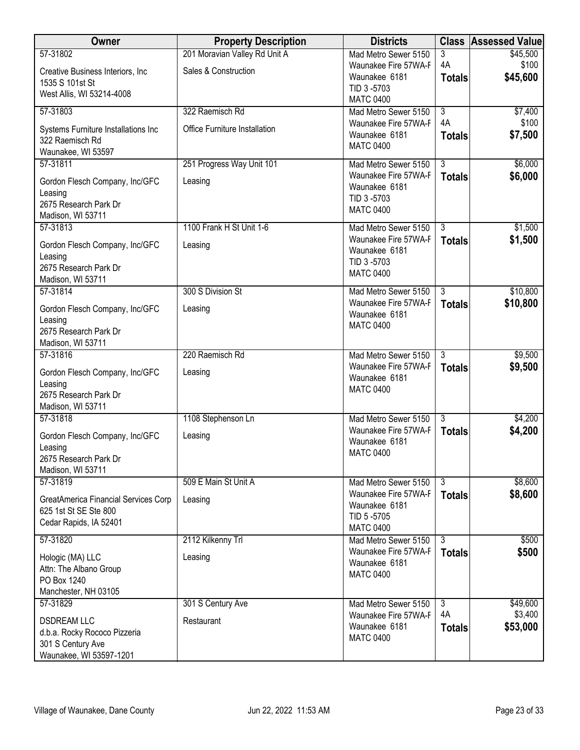| <b>Owner</b>                                                  | <b>Property Description</b>          | <b>Districts</b>                             |                                 | <b>Class Assessed Value</b> |
|---------------------------------------------------------------|--------------------------------------|----------------------------------------------|---------------------------------|-----------------------------|
| 57-31802                                                      | 201 Moravian Valley Rd Unit A        | Mad Metro Sewer 5150                         | 3                               | \$45,500                    |
| Creative Business Interiors, Inc.<br>1535 S 101st St          | Sales & Construction                 | Waunakee Fire 57WA-F<br>Waunakee 6181        | 4A<br><b>Totals</b>             | \$100<br>\$45,600           |
| West Allis, WI 53214-4008                                     |                                      | TID 3-5703<br><b>MATC 0400</b>               |                                 |                             |
| 57-31803                                                      | 322 Raemisch Rd                      | Mad Metro Sewer 5150                         | $\overline{3}$                  | \$7,400                     |
| Systems Furniture Installations Inc                           | <b>Office Furniture Installation</b> | Waunakee Fire 57WA-F                         | 4A                              | \$100                       |
| 322 Raemisch Rd                                               |                                      | Waunakee 6181<br><b>MATC 0400</b>            | <b>Totals</b>                   | \$7,500                     |
| Waunakee, WI 53597                                            |                                      |                                              |                                 |                             |
| 57-31811                                                      | 251 Progress Way Unit 101            | Mad Metro Sewer 5150<br>Waunakee Fire 57WA-F | $\overline{3}$<br><b>Totals</b> | \$6,000<br>\$6,000          |
| Gordon Flesch Company, Inc/GFC                                | Leasing                              | Waunakee 6181                                |                                 |                             |
| Leasing<br>2675 Research Park Dr                              |                                      | TID 3-5703                                   |                                 |                             |
| Madison, WI 53711                                             |                                      | <b>MATC 0400</b>                             |                                 |                             |
| 57-31813                                                      | 1100 Frank H St Unit 1-6             | Mad Metro Sewer 5150                         | $\overline{3}$                  | \$1,500                     |
| Gordon Flesch Company, Inc/GFC                                | Leasing                              | Waunakee Fire 57WA-F                         | <b>Totals</b>                   | \$1,500                     |
| Leasing                                                       |                                      | Waunakee 6181<br>TID 3-5703                  |                                 |                             |
| 2675 Research Park Dr                                         |                                      | <b>MATC 0400</b>                             |                                 |                             |
| Madison, WI 53711<br>57-31814                                 | 300 S Division St                    | Mad Metro Sewer 5150                         | $\overline{3}$                  | \$10,800                    |
|                                                               |                                      | Waunakee Fire 57WA-F                         | <b>Totals</b>                   | \$10,800                    |
| Gordon Flesch Company, Inc/GFC<br>Leasing                     | Leasing                              | Waunakee 6181                                |                                 |                             |
| 2675 Research Park Dr                                         |                                      | <b>MATC 0400</b>                             |                                 |                             |
| Madison, WI 53711                                             |                                      |                                              |                                 |                             |
| 57-31816                                                      | 220 Raemisch Rd                      | Mad Metro Sewer 5150                         | $\overline{3}$                  | \$9,500                     |
| Gordon Flesch Company, Inc/GFC                                | Leasing                              | Waunakee Fire 57WA-F<br>Waunakee 6181        | <b>Totals</b>                   | \$9,500                     |
| Leasing                                                       |                                      | <b>MATC 0400</b>                             |                                 |                             |
| 2675 Research Park Dr<br>Madison, WI 53711                    |                                      |                                              |                                 |                             |
| 57-31818                                                      | 1108 Stephenson Ln                   | Mad Metro Sewer 5150                         | $\overline{3}$                  | \$4,200                     |
| Gordon Flesch Company, Inc/GFC                                | Leasing                              | Waunakee Fire 57WA-F                         | <b>Totals</b>                   | \$4,200                     |
| Leasing                                                       |                                      | Waunakee 6181                                |                                 |                             |
| 2675 Research Park Dr                                         |                                      | <b>MATC 0400</b>                             |                                 |                             |
| Madison, WI 53711<br>57-31819                                 | 509 E Main St Unit A                 |                                              | $\overline{3}$                  | \$8,600                     |
|                                                               |                                      | Mad Metro Sewer 5150<br>Waunakee Fire 57WA-F | <b>Totals</b>                   | \$8,600                     |
| GreatAmerica Financial Services Corp<br>625 1st St SE Ste 800 | Leasing                              | Waunakee 6181                                |                                 |                             |
| Cedar Rapids, IA 52401                                        |                                      | TID 5-5705                                   |                                 |                             |
| 57-31820                                                      | 2112 Kilkenny Trl                    | <b>MATC 0400</b><br>Mad Metro Sewer 5150     | $\overline{3}$                  | \$500                       |
|                                                               |                                      | Waunakee Fire 57WA-F                         | <b>Totals</b>                   | \$500                       |
| Hologic (MA) LLC<br>Attn: The Albano Group                    | Leasing                              | Waunakee 6181                                |                                 |                             |
| PO Box 1240                                                   |                                      | <b>MATC 0400</b>                             |                                 |                             |
| Manchester, NH 03105                                          |                                      |                                              |                                 |                             |
| 57-31829                                                      | 301 S Century Ave                    | Mad Metro Sewer 5150                         | $\overline{3}$                  | \$49,600                    |
| <b>DSDREAM LLC</b>                                            | Restaurant                           | Waunakee Fire 57WA-F<br>Waunakee 6181        | 4A<br><b>Totals</b>             | \$3,400<br>\$53,000         |
| d.b.a. Rocky Rococo Pizzeria                                  |                                      | <b>MATC 0400</b>                             |                                 |                             |
| 301 S Century Ave<br>Waunakee, WI 53597-1201                  |                                      |                                              |                                 |                             |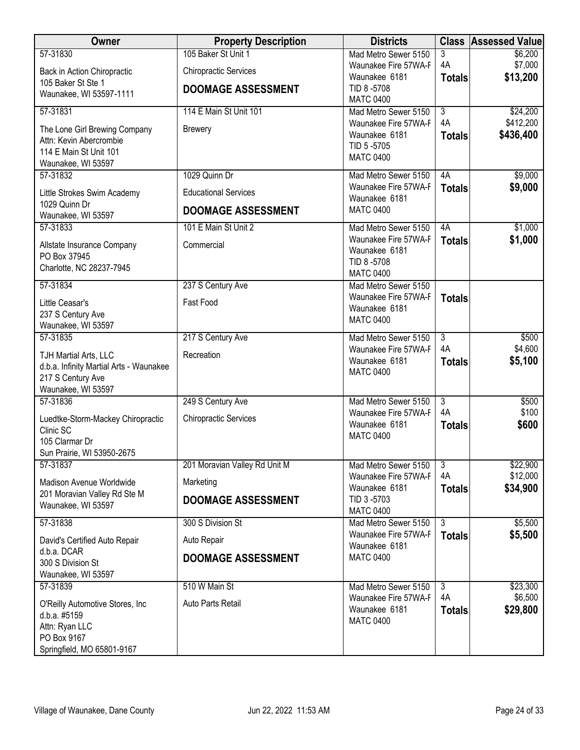| Owner                                                                                                                       | <b>Property Description</b>                                                      | <b>Districts</b>                                                                                                    |                                            | <b>Class Assessed Value</b>        |
|-----------------------------------------------------------------------------------------------------------------------------|----------------------------------------------------------------------------------|---------------------------------------------------------------------------------------------------------------------|--------------------------------------------|------------------------------------|
| 57-31830<br>Back in Action Chiropractic<br>105 Baker St Ste 1<br>Waunakee, WI 53597-1111                                    | 105 Baker St Unit 1<br><b>Chiropractic Services</b><br><b>DOOMAGE ASSESSMENT</b> | Mad Metro Sewer 5150<br>Waunakee Fire 57WA-F<br>Waunakee 6181<br>TID 8-5708                                         | 3<br>4A<br><b>Totals</b>                   | \$6,200<br>\$7,000<br>\$13,200     |
| 57-31831<br>The Lone Girl Brewing Company<br>Attn: Kevin Abercrombie<br>114 E Main St Unit 101<br>Waunakee, WI 53597        | 114 E Main St Unit 101<br><b>Brewery</b>                                         | <b>MATC 0400</b><br>Mad Metro Sewer 5150<br>Waunakee Fire 57WA-F<br>Waunakee 6181<br>TID 5-5705<br><b>MATC 0400</b> | $\overline{3}$<br>4A<br><b>Totals</b>      | \$24,200<br>\$412,200<br>\$436,400 |
| 57-31832<br>Little Strokes Swim Academy<br>1029 Quinn Dr<br>Waunakee, WI 53597                                              | 1029 Quinn Dr<br><b>Educational Services</b><br><b>DOOMAGE ASSESSMENT</b>        | Mad Metro Sewer 5150<br>Waunakee Fire 57WA-F<br>Waunakee 6181<br><b>MATC 0400</b>                                   | 4A<br><b>Totals</b>                        | \$9,000<br>\$9,000                 |
| 57-31833<br>Allstate Insurance Company<br>PO Box 37945<br>Charlotte, NC 28237-7945                                          | 101 E Main St Unit 2<br>Commercial                                               | Mad Metro Sewer 5150<br>Waunakee Fire 57WA-F<br>Waunakee 6181<br>TID 8-5708<br><b>MATC 0400</b>                     | 4A<br><b>Totals</b>                        | \$1,000<br>\$1,000                 |
| 57-31834<br>Little Ceasar's<br>237 S Century Ave<br>Waunakee, WI 53597                                                      | 237 S Century Ave<br>Fast Food                                                   | Mad Metro Sewer 5150<br>Waunakee Fire 57WA-F<br>Waunakee 6181<br><b>MATC 0400</b>                                   | <b>Totals</b>                              |                                    |
| 57-31835<br>TJH Martial Arts, LLC<br>d.b.a. Infinity Martial Arts - Waunakee<br>217 S Century Ave<br>Waunakee, WI 53597     | 217 S Century Ave<br>Recreation                                                  | Mad Metro Sewer 5150<br>Waunakee Fire 57WA-F<br>Waunakee 6181<br><b>MATC 0400</b>                                   | $\overline{3}$<br>4A<br><b>Totals</b>      | \$500<br>\$4,600<br>\$5,100        |
| 57-31836<br>Luedtke-Storm-Mackey Chiropractic<br>Clinic SC<br>105 Clarmar Dr<br>Sun Prairie, WI 53950-2675                  | 249 S Century Ave<br><b>Chiropractic Services</b>                                | Mad Metro Sewer 5150<br>Waunakee Fire 57WA-F<br>Waunakee 6181<br><b>MATC 0400</b>                                   | $\overline{3}$<br>4A<br><b>Totals</b>      | \$500<br>\$100<br>\$600            |
| 57-31837<br>Madison Avenue Worldwide<br>201 Moravian Valley Rd Ste M<br>Waunakee, WI 53597                                  | 201 Moravian Valley Rd Unit M<br>Marketing<br><b>DOOMAGE ASSESSMENT</b>          | Mad Metro Sewer 5150<br>Waunakee Fire 57WA-F<br>Waunakee 6181<br>TID 3-5703<br><b>MATC 0400</b>                     | $\overline{3}$<br>4A<br><b>Totals</b>      | \$22,900<br>\$12,000<br>\$34,900   |
| 57-31838<br>David's Certified Auto Repair<br>d.b.a. DCAR<br>300 S Division St<br>Waunakee, WI 53597                         | 300 S Division St<br>Auto Repair<br><b>DOOMAGE ASSESSMENT</b>                    | Mad Metro Sewer 5150<br>Waunakee Fire 57WA-F<br>Waunakee 6181<br><b>MATC 0400</b>                                   | $\overline{\overline{3}}$<br><b>Totals</b> | \$5,500<br>\$5,500                 |
| 57-31839<br>O'Reilly Automotive Stores, Inc.<br>d.b.a. #5159<br>Attn: Ryan LLC<br>PO Box 9167<br>Springfield, MO 65801-9167 | 510 W Main St<br>Auto Parts Retail                                               | Mad Metro Sewer 5150<br>Waunakee Fire 57WA-F<br>Waunakee 6181<br><b>MATC 0400</b>                                   | $\overline{3}$<br>4A<br><b>Totals</b>      | \$23,300<br>\$6,500<br>\$29,800    |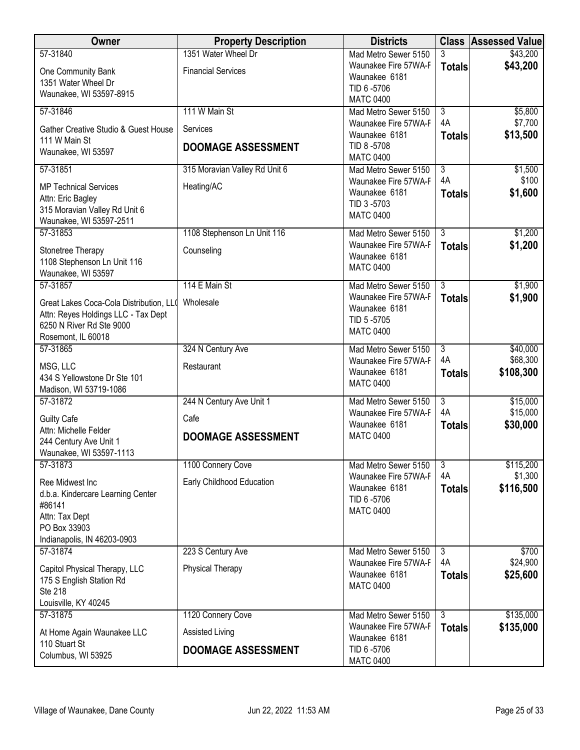| Owner                                             | <b>Property Description</b>   | <b>Districts</b>                             |                      | <b>Class Assessed Value</b> |
|---------------------------------------------------|-------------------------------|----------------------------------------------|----------------------|-----------------------------|
| 57-31840                                          | 1351 Water Wheel Dr           | Mad Metro Sewer 5150                         |                      | \$43,200                    |
| One Community Bank                                | <b>Financial Services</b>     | Waunakee Fire 57WA-F<br>Waunakee 6181        | <b>Totals</b>        | \$43,200                    |
| 1351 Water Wheel Dr<br>Waunakee, WI 53597-8915    |                               | TID 6-5706                                   |                      |                             |
|                                                   |                               | <b>MATC 0400</b>                             |                      |                             |
| 57-31846                                          | 111 W Main St                 | Mad Metro Sewer 5150<br>Waunakee Fire 57WA-F | $\overline{3}$<br>4A | \$5,800<br>\$7,700          |
| Gather Creative Studio & Guest House              | Services                      | Waunakee 6181                                | <b>Totals</b>        | \$13,500                    |
| 111 W Main St<br>Waunakee, WI 53597               | <b>DOOMAGE ASSESSMENT</b>     | TID 8-5708                                   |                      |                             |
|                                                   |                               | <b>MATC 0400</b>                             | $\overline{3}$       |                             |
| 57-31851                                          | 315 Moravian Valley Rd Unit 6 | Mad Metro Sewer 5150<br>Waunakee Fire 57WA-F | 4A                   | \$1,500<br>\$100            |
| <b>MP Technical Services</b><br>Attn: Eric Bagley | Heating/AC                    | Waunakee 6181                                | <b>Totals</b>        | \$1,600                     |
| 315 Moravian Valley Rd Unit 6                     |                               | TID 3-5703                                   |                      |                             |
| Waunakee, WI 53597-2511                           |                               | <b>MATC 0400</b>                             |                      |                             |
| 57-31853                                          | 1108 Stephenson Ln Unit 116   | Mad Metro Sewer 5150<br>Waunakee Fire 57WA-F | $\overline{3}$       | \$1,200                     |
| Stonetree Therapy                                 | Counseling                    | Waunakee 6181                                | <b>Totals</b>        | \$1,200                     |
| 1108 Stephenson Ln Unit 116<br>Waunakee, WI 53597 |                               | <b>MATC 0400</b>                             |                      |                             |
| 57-31857                                          | 114 E Main St                 | Mad Metro Sewer 5150                         | $\overline{3}$       | \$1,900                     |
| Great Lakes Coca-Cola Distribution, LLO           | Wholesale                     | Waunakee Fire 57WA-F                         | <b>Totals</b>        | \$1,900                     |
| Attn: Reyes Holdings LLC - Tax Dept               |                               | Waunakee 6181<br>TID 5-5705                  |                      |                             |
| 6250 N River Rd Ste 9000                          |                               | <b>MATC 0400</b>                             |                      |                             |
| Rosemont, IL 60018<br>57-31865                    | 324 N Century Ave             | Mad Metro Sewer 5150                         | $\overline{3}$       | \$40,000                    |
|                                                   |                               | Waunakee Fire 57WA-F                         | 4A                   | \$68,300                    |
| MSG, LLC<br>434 S Yellowstone Dr Ste 101          | Restaurant                    | Waunakee 6181                                | <b>Totals</b>        | \$108,300                   |
| Madison, WI 53719-1086                            |                               | <b>MATC 0400</b>                             |                      |                             |
| 57-31872                                          | 244 N Century Ave Unit 1      | Mad Metro Sewer 5150                         | $\overline{3}$       | \$15,000                    |
| <b>Guilty Cafe</b>                                | Cafe                          | Waunakee Fire 57WA-F<br>Waunakee 6181        | 4A<br><b>Totals</b>  | \$15,000<br>\$30,000        |
| Attn: Michelle Felder<br>244 Century Ave Unit 1   | <b>DOOMAGE ASSESSMENT</b>     | <b>MATC 0400</b>                             |                      |                             |
| Waunakee, WI 53597-1113                           |                               |                                              |                      |                             |
| 57-31873                                          | 1100 Connery Cove             | Mad Metro Sewer 5150                         | $\overline{3}$       | \$115,200                   |
| Ree Midwest Inc                                   | Early Childhood Education     | Waunakee Fire 57WA-F<br>Waunakee 6181        | 4A                   | \$1,300                     |
| d.b.a. Kindercare Learning Center                 |                               | TID 6-5706                                   | <b>Totals</b>        | \$116,500                   |
| #86141<br>Attn: Tax Dept                          |                               | <b>MATC 0400</b>                             |                      |                             |
| PO Box 33903                                      |                               |                                              |                      |                             |
| Indianapolis, IN 46203-0903                       |                               |                                              |                      |                             |
| 57-31874                                          | 223 S Century Ave             | Mad Metro Sewer 5150<br>Waunakee Fire 57WA-F | $\overline{3}$<br>4A | \$700<br>\$24,900           |
| Capitol Physical Therapy, LLC                     | <b>Physical Therapy</b>       | Waunakee 6181                                | <b>Totals</b>        | \$25,600                    |
| 175 S English Station Rd<br><b>Ste 218</b>        |                               | <b>MATC 0400</b>                             |                      |                             |
| Louisville, KY 40245                              |                               |                                              |                      |                             |
| 57-31875                                          | 1120 Connery Cove             | Mad Metro Sewer 5150                         | $\overline{3}$       | \$135,000                   |
| At Home Again Waunakee LLC                        | Assisted Living               | Waunakee Fire 57WA-F<br>Waunakee 6181        | <b>Totals</b>        | \$135,000                   |
| 110 Stuart St<br>Columbus, WI 53925               | <b>DOOMAGE ASSESSMENT</b>     | TID 6 -5706                                  |                      |                             |
|                                                   |                               | <b>MATC 0400</b>                             |                      |                             |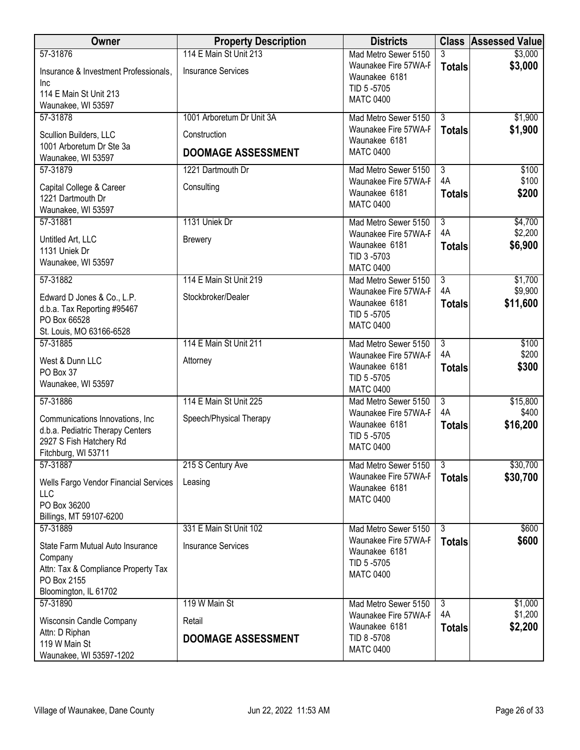| <b>Owner</b>                                                                                                           | <b>Property Description</b> | <b>Districts</b>                                                        |                     | <b>Class Assessed Value</b> |
|------------------------------------------------------------------------------------------------------------------------|-----------------------------|-------------------------------------------------------------------------|---------------------|-----------------------------|
| 57-31876                                                                                                               | 114 E Main St Unit 213      | Mad Metro Sewer 5150                                                    |                     | \$3,000                     |
| Insurance & Investment Professionals,<br>Inc                                                                           | <b>Insurance Services</b>   | Waunakee Fire 57WA-F<br>Waunakee 6181                                   | <b>Totals</b>       | \$3,000                     |
| 114 E Main St Unit 213<br>Waunakee, WI 53597                                                                           |                             | TID 5-5705<br><b>MATC 0400</b>                                          |                     |                             |
| 57-31878                                                                                                               | 1001 Arboretum Dr Unit 3A   | Mad Metro Sewer 5150                                                    | $\overline{3}$      | \$1,900                     |
| Scullion Builders, LLC                                                                                                 | Construction                | Waunakee Fire 57WA-F<br>Waunakee 6181                                   | <b>Totals</b>       | \$1,900                     |
| 1001 Arboretum Dr Ste 3a<br>Waunakee, WI 53597                                                                         | <b>DOOMAGE ASSESSMENT</b>   | <b>MATC 0400</b>                                                        |                     |                             |
| 57-31879                                                                                                               | 1221 Dartmouth Dr           | Mad Metro Sewer 5150                                                    | $\overline{3}$      | \$100                       |
| Capital College & Career<br>1221 Dartmouth Dr<br>Waunakee, WI 53597                                                    | Consulting                  | Waunakee Fire 57WA-F<br>Waunakee 6181<br><b>MATC 0400</b>               | 4A<br><b>Totals</b> | \$100<br>\$200              |
| 57-31881                                                                                                               | 1131 Uniek Dr               | Mad Metro Sewer 5150                                                    | $\overline{3}$      | \$4,700                     |
| Untitled Art, LLC<br>1131 Uniek Dr<br>Waunakee, WI 53597                                                               | <b>Brewery</b>              | Waunakee Fire 57WA-F<br>Waunakee 6181<br>TID 3-5703<br><b>MATC 0400</b> | 4A<br><b>Totals</b> | \$2,200<br>\$6,900          |
| 57-31882                                                                                                               | 114 E Main St Unit 219      | Mad Metro Sewer 5150                                                    | $\overline{3}$      | \$1,700                     |
| Edward D Jones & Co., L.P.<br>d.b.a. Tax Reporting #95467<br>PO Box 66528<br>St. Louis, MO 63166-6528                  | Stockbroker/Dealer          | Waunakee Fire 57WA-F<br>Waunakee 6181<br>TID 5-5705<br><b>MATC 0400</b> | 4A<br><b>Totals</b> | \$9,900<br>\$11,600         |
| 57-31885                                                                                                               | 114 E Main St Unit 211      | Mad Metro Sewer 5150                                                    | $\overline{3}$      | \$100                       |
| West & Dunn LLC<br>PO Box 37<br>Waunakee, WI 53597                                                                     | Attorney                    | Waunakee Fire 57WA-F<br>Waunakee 6181<br>TID 5-5705<br><b>MATC 0400</b> | 4A<br><b>Totals</b> | \$200<br>\$300              |
| 57-31886                                                                                                               | 114 E Main St Unit 225      | Mad Metro Sewer 5150                                                    | $\overline{3}$      | \$15,800                    |
| Communications Innovations, Inc.<br>d.b.a. Pediatric Therapy Centers<br>2927 S Fish Hatchery Rd<br>Fitchburg, WI 53711 | Speech/Physical Therapy     | Waunakee Fire 57WA-F<br>Waunakee 6181<br>TID 5-5705<br><b>MATC 0400</b> | 4A<br><b>Totals</b> | \$400<br>\$16,200           |
| 57-31887                                                                                                               | 215 S Century Ave           | Mad Metro Sewer 5150                                                    | $\overline{3}$      | \$30,700                    |
| Wells Fargo Vendor Financial Services<br>LLC<br>PO Box 36200<br>Billings, MT 59107-6200                                | Leasing                     | Waunakee Fire 57WA-F<br>Waunakee 6181<br><b>MATC 0400</b>               | <b>Totals</b>       | \$30,700                    |
| 57-31889                                                                                                               | 331 E Main St Unit 102      | Mad Metro Sewer 5150                                                    | $\overline{3}$      | \$600                       |
| State Farm Mutual Auto Insurance<br>Company<br>Attn: Tax & Compliance Property Tax                                     | <b>Insurance Services</b>   | Waunakee Fire 57WA-F<br>Waunakee 6181<br>TID 5-5705<br><b>MATC 0400</b> | <b>Totals</b>       | \$600                       |
| PO Box 2155                                                                                                            |                             |                                                                         |                     |                             |
| Bloomington, IL 61702                                                                                                  |                             |                                                                         |                     |                             |
| 57-31890                                                                                                               | 119 W Main St               | Mad Metro Sewer 5150<br>Waunakee Fire 57WA-F                            | 3<br>4A             | \$1,000<br>\$1,200          |
| <b>Wisconsin Candle Company</b><br>Attn: D Riphan                                                                      | Retail                      | Waunakee 6181                                                           | <b>Totals</b>       | \$2,200                     |
| 119 W Main St<br>Waunakee, WI 53597-1202                                                                               | <b>DOOMAGE ASSESSMENT</b>   | TID 8-5708<br><b>MATC 0400</b>                                          |                     |                             |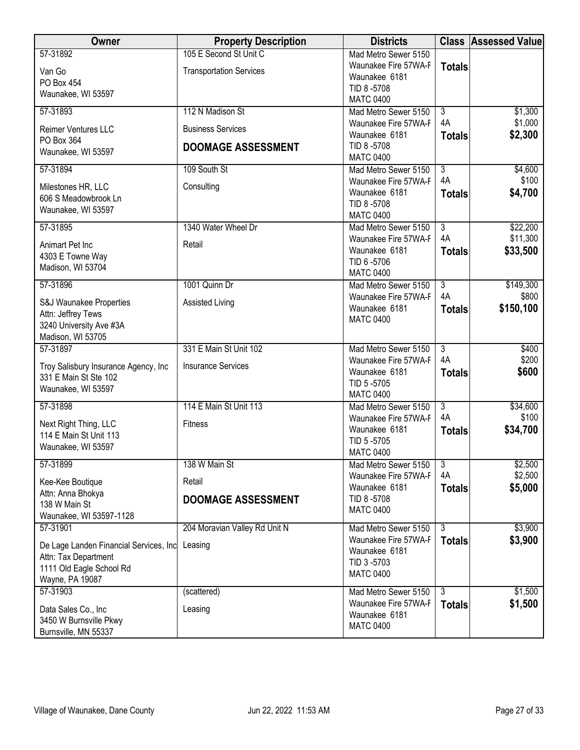| Owner                                                                                                         | <b>Property Description</b>                              | <b>Districts</b>                                                                                |                                       | <b>Class Assessed Value</b>   |
|---------------------------------------------------------------------------------------------------------------|----------------------------------------------------------|-------------------------------------------------------------------------------------------------|---------------------------------------|-------------------------------|
| 57-31892<br>Van Go<br>PO Box 454<br>Waunakee, WI 53597                                                        | 105 E Second St Unit C<br><b>Transportation Services</b> | Mad Metro Sewer 5150<br>Waunakee Fire 57WA-F<br>Waunakee 6181<br>TID 8-5708<br><b>MATC 0400</b> | <b>Totals</b>                         |                               |
| 57-31893<br>Reimer Ventures LLC                                                                               | 112 N Madison St<br><b>Business Services</b>             | Mad Metro Sewer 5150<br>Waunakee Fire 57WA-F<br>Waunakee 6181                                   | $\overline{3}$<br>4A<br><b>Totals</b> | \$1,300<br>\$1,000<br>\$2,300 |
| PO Box 364<br>Waunakee, WI 53597                                                                              | <b>DOOMAGE ASSESSMENT</b>                                | TID 8-5708<br><b>MATC 0400</b>                                                                  |                                       |                               |
| 57-31894                                                                                                      | 109 South St                                             | Mad Metro Sewer 5150                                                                            | $\overline{3}$<br>4A                  | \$4,600<br>\$100              |
| Milestones HR, LLC<br>606 S Meadowbrook Ln<br>Waunakee, WI 53597                                              | Consulting                                               | Waunakee Fire 57WA-F<br>Waunakee 6181<br>TID 8-5708<br><b>MATC 0400</b>                         | <b>Totals</b>                         | \$4,700                       |
| 57-31895                                                                                                      | 1340 Water Wheel Dr                                      | Mad Metro Sewer 5150                                                                            | $\overline{3}$                        | \$22,200                      |
| Animart Pet Inc<br>4303 E Towne Way<br>Madison, WI 53704                                                      | Retail                                                   | Waunakee Fire 57WA-F<br>Waunakee 6181<br>TID 6-5706<br><b>MATC 0400</b>                         | 4A<br><b>Totals</b>                   | \$11,300<br>\$33,500          |
| 57-31896                                                                                                      | 1001 Quinn Dr                                            | Mad Metro Sewer 5150                                                                            | $\overline{3}$                        | \$149,300                     |
| S&J Waunakee Properties<br>Attn: Jeffrey Tews<br>3240 University Ave #3A<br>Madison, WI 53705                 | Assisted Living                                          | Waunakee Fire 57WA-F<br>Waunakee 6181<br><b>MATC 0400</b>                                       | 4A<br><b>Totals</b>                   | \$800<br>\$150,100            |
| 57-31897                                                                                                      | 331 E Main St Unit 102                                   | Mad Metro Sewer 5150                                                                            | $\overline{3}$                        | \$400                         |
| Troy Salisbury Insurance Agency, Inc<br>331 E Main St Ste 102<br>Waunakee, WI 53597                           | <b>Insurance Services</b>                                | Waunakee Fire 57WA-F<br>Waunakee 6181<br>TID 5-5705<br><b>MATC 0400</b>                         | 4A<br><b>Totals</b>                   | \$200<br>\$600                |
| 57-31898                                                                                                      | 114 E Main St Unit 113                                   | Mad Metro Sewer 5150                                                                            | $\overline{3}$                        | \$34,600                      |
| Next Right Thing, LLC<br>114 E Main St Unit 113<br>Waunakee, WI 53597                                         | <b>Fitness</b>                                           | Waunakee Fire 57WA-F<br>Waunakee 6181<br>TID 5-5705<br><b>MATC 0400</b>                         | 4A<br><b>Totals</b>                   | \$100<br>\$34,700             |
| 57-31899                                                                                                      | 138 W Main St                                            | Mad Metro Sewer 5150                                                                            | $\overline{3}$                        | \$2,500                       |
| Kee-Kee Boutique                                                                                              | Retail                                                   | Waunakee Fire 57WA-F                                                                            | 4A                                    | \$2,500                       |
| Attn: Anna Bhokya<br>138 W Main St<br>Waunakee, WI 53597-1128                                                 | <b>DOOMAGE ASSESSMENT</b>                                | Waunakee 6181<br>TID 8-5708<br><b>MATC 0400</b>                                                 | <b>Totals</b>                         | \$5,000                       |
| 57-31901                                                                                                      | 204 Moravian Valley Rd Unit N                            | Mad Metro Sewer 5150                                                                            | $\overline{3}$                        | \$3,900                       |
| De Lage Landen Financial Services, Inc<br>Attn: Tax Department<br>1111 Old Eagle School Rd<br>Wayne, PA 19087 | Leasing                                                  | Waunakee Fire 57WA-F<br>Waunakee 6181<br>TID 3-5703<br><b>MATC 0400</b>                         | <b>Totals</b>                         | \$3,900                       |
| 57-31903                                                                                                      | (scattered)                                              | Mad Metro Sewer 5150                                                                            | دی                                    | \$1,500                       |
| Data Sales Co., Inc<br>3450 W Burnsville Pkwy<br>Burnsville, MN 55337                                         | Leasing                                                  | Waunakee Fire 57WA-F<br>Waunakee 6181<br><b>MATC 0400</b>                                       | <b>Totals</b>                         | \$1,500                       |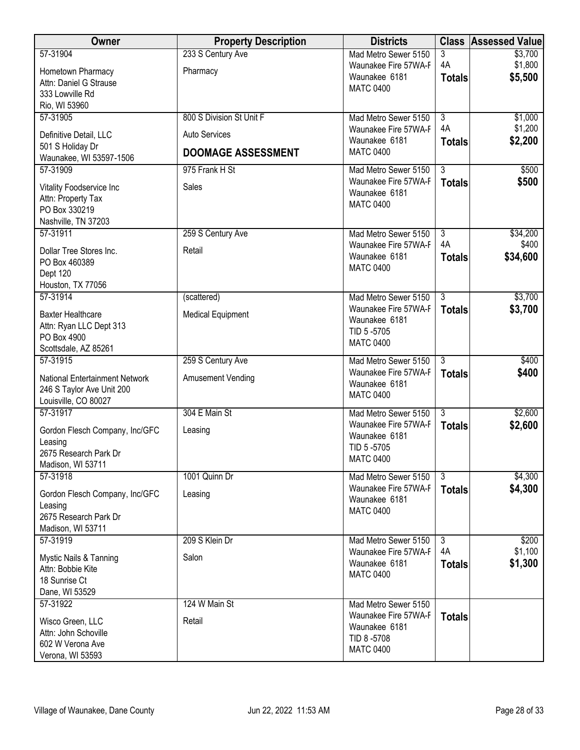| Owner                                                              | <b>Property Description</b> | <b>Districts</b>                             | <b>Class</b>              | <b>Assessed Value</b> |
|--------------------------------------------------------------------|-----------------------------|----------------------------------------------|---------------------------|-----------------------|
| 57-31904                                                           | 233 S Century Ave           | Mad Metro Sewer 5150                         | 3                         | \$3,700               |
| Hometown Pharmacy                                                  | Pharmacy                    | Waunakee Fire 57WA-F                         | 4A                        | \$1,800               |
| Attn: Daniel G Strause                                             |                             | Waunakee 6181<br><b>MATC 0400</b>            | <b>Totals</b>             | \$5,500               |
| 333 Lowville Rd                                                    |                             |                                              |                           |                       |
| Rio, WI 53960                                                      |                             |                                              |                           |                       |
| 57-31905                                                           | 800 S Division St Unit F    | Mad Metro Sewer 5150                         | $\overline{3}$            | \$1,000               |
| Definitive Detail, LLC                                             | <b>Auto Services</b>        | Waunakee Fire 57WA-F<br>Waunakee 6181        | 4A                        | \$1,200<br>\$2,200    |
| 501 S Holiday Dr                                                   | <b>DOOMAGE ASSESSMENT</b>   | <b>MATC 0400</b>                             | <b>Totals</b>             |                       |
| Waunakee, WI 53597-1506                                            |                             |                                              |                           |                       |
| 57-31909                                                           | 975 Frank H St              | Mad Metro Sewer 5150                         | $\overline{\overline{3}}$ | \$500                 |
| Vitality Foodservice Inc                                           | Sales                       | Waunakee Fire 57WA-F<br>Waunakee 6181        | <b>Totals</b>             | \$500                 |
| Attn: Property Tax                                                 |                             | <b>MATC 0400</b>                             |                           |                       |
| PO Box 330219                                                      |                             |                                              |                           |                       |
| Nashville, TN 37203                                                |                             |                                              |                           |                       |
| 57-31911                                                           | 259 S Century Ave           | Mad Metro Sewer 5150<br>Waunakee Fire 57WA-F | $\overline{3}$<br>4A      | \$34,200<br>\$400     |
| Dollar Tree Stores Inc.                                            | Retail                      | Waunakee 6181                                | <b>Totals</b>             | \$34,600              |
| PO Box 460389                                                      |                             | <b>MATC 0400</b>                             |                           |                       |
| Dept 120                                                           |                             |                                              |                           |                       |
| Houston, TX 77056<br>57-31914                                      | (scattered)                 | Mad Metro Sewer 5150                         | $\overline{3}$            | \$3,700               |
|                                                                    |                             | Waunakee Fire 57WA-F                         | <b>Totals</b>             | \$3,700               |
| <b>Baxter Healthcare</b>                                           | <b>Medical Equipment</b>    | Waunakee 6181                                |                           |                       |
| Attn: Ryan LLC Dept 313<br>PO Box 4900                             |                             | TID 5-5705                                   |                           |                       |
| Scottsdale, AZ 85261                                               |                             | <b>MATC 0400</b>                             |                           |                       |
| 57-31915                                                           | 259 S Century Ave           | Mad Metro Sewer 5150                         | $\overline{3}$            | \$400                 |
|                                                                    |                             | Waunakee Fire 57WA-F                         | <b>Totals</b>             | \$400                 |
| <b>National Entertainment Network</b><br>246 S Taylor Ave Unit 200 | Amusement Vending           | Waunakee 6181                                |                           |                       |
| Louisville, CO 80027                                               |                             | <b>MATC 0400</b>                             |                           |                       |
| 57-31917                                                           | 304 E Main St               | Mad Metro Sewer 5150                         | $\overline{3}$            | \$2,600               |
|                                                                    |                             | Waunakee Fire 57WA-F                         | <b>Totals</b>             | \$2,600               |
| Gordon Flesch Company, Inc/GFC<br>Leasing                          | Leasing                     | Waunakee 6181                                |                           |                       |
| 2675 Research Park Dr                                              |                             | TID 5-5705                                   |                           |                       |
| Madison, WI 53711                                                  |                             | <b>MATC 0400</b>                             |                           |                       |
| 57-31918                                                           | 1001 Quinn Dr               | Mad Metro Sewer 5150                         | $\overline{3}$            | \$4,300               |
| Gordon Flesch Company, Inc/GFC                                     | Leasing                     | Waunakee Fire 57WA-F                         | <b>Totals</b>             | \$4,300               |
| Leasing                                                            |                             | Waunakee 6181                                |                           |                       |
| 2675 Research Park Dr                                              |                             | <b>MATC 0400</b>                             |                           |                       |
| Madison, WI 53711                                                  |                             |                                              |                           |                       |
| 57-31919                                                           | 209 S Klein Dr              | Mad Metro Sewer 5150                         | 3                         | \$200                 |
| Mystic Nails & Tanning                                             | Salon                       | Waunakee Fire 57WA-F                         | 4A                        | \$1,100               |
| Attn: Bobbie Kite                                                  |                             | Waunakee 6181                                | <b>Totals</b>             | \$1,300               |
| 18 Sunrise Ct                                                      |                             | <b>MATC 0400</b>                             |                           |                       |
| Dane, WI 53529                                                     |                             |                                              |                           |                       |
| 57-31922                                                           | 124 W Main St               | Mad Metro Sewer 5150                         |                           |                       |
| Wisco Green, LLC                                                   | Retail                      | Waunakee Fire 57WA-F                         | <b>Totals</b>             |                       |
| Attn: John Schoville                                               |                             | Waunakee 6181<br>TID 8-5708                  |                           |                       |
| 602 W Verona Ave                                                   |                             | <b>MATC 0400</b>                             |                           |                       |
| Verona, WI 53593                                                   |                             |                                              |                           |                       |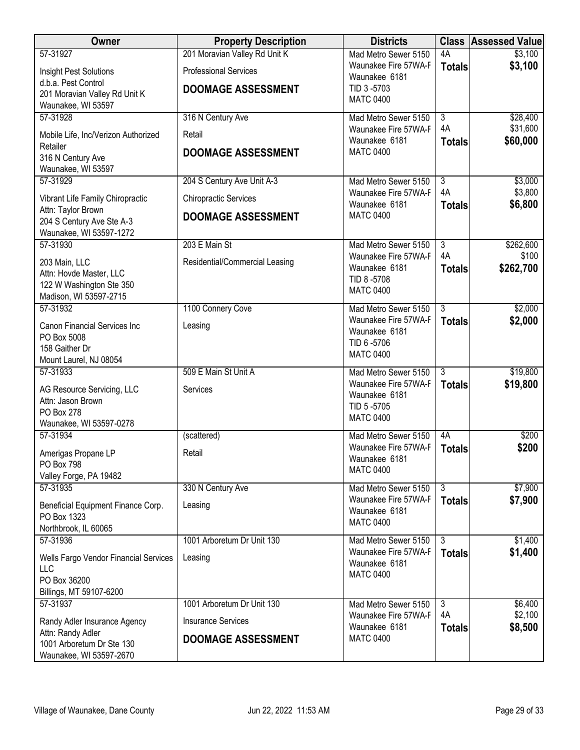| Owner                                                                      | <b>Property Description</b>    | <b>Districts</b>                      | <b>Class</b>        | Assessed Value     |
|----------------------------------------------------------------------------|--------------------------------|---------------------------------------|---------------------|--------------------|
| 57-31927                                                                   | 201 Moravian Valley Rd Unit K  | Mad Metro Sewer 5150                  | 4A                  | \$3,100            |
| Insight Pest Solutions                                                     | <b>Professional Services</b>   | Waunakee Fire 57WA-F                  | <b>Totals</b>       | \$3,100            |
| d.b.a. Pest Control                                                        | <b>DOOMAGE ASSESSMENT</b>      | Waunakee 6181<br>TID 3-5703           |                     |                    |
| 201 Moravian Valley Rd Unit K                                              |                                | <b>MATC 0400</b>                      |                     |                    |
| Waunakee, WI 53597<br>57-31928                                             | 316 N Century Ave              | Mad Metro Sewer 5150                  | $\overline{3}$      | \$28,400           |
|                                                                            |                                | Waunakee Fire 57WA-F                  | 4A                  | \$31,600           |
| Mobile Life, Inc/Verizon Authorized                                        | Retail                         | Waunakee 6181                         | <b>Totals</b>       | \$60,000           |
| Retailer<br>316 N Century Ave                                              | <b>DOOMAGE ASSESSMENT</b>      | <b>MATC 0400</b>                      |                     |                    |
| Waunakee, WI 53597                                                         |                                |                                       |                     |                    |
| 57-31929                                                                   | 204 S Century Ave Unit A-3     | Mad Metro Sewer 5150                  | $\overline{3}$      | \$3,000            |
| Vibrant Life Family Chiropractic                                           | <b>Chiropractic Services</b>   | Waunakee Fire 57WA-F<br>Waunakee 6181 | 4A<br><b>Totals</b> | \$3,800<br>\$6,800 |
| Attn: Taylor Brown<br>204 S Century Ave Ste A-3<br>Waunakee, WI 53597-1272 | <b>DOOMAGE ASSESSMENT</b>      | <b>MATC 0400</b>                      |                     |                    |
| 57-31930                                                                   | 203 E Main St                  | Mad Metro Sewer 5150                  | $\overline{3}$      | \$262,600          |
| 203 Main, LLC                                                              | Residential/Commercial Leasing | Waunakee Fire 57WA-F<br>Waunakee 6181 | 4A                  | \$100              |
| Attn: Hovde Master, LLC                                                    |                                | TID 8-5708                            | <b>Totals</b>       | \$262,700          |
| 122 W Washington Ste 350<br>Madison, WI 53597-2715                         |                                | <b>MATC 0400</b>                      |                     |                    |
| 57-31932                                                                   | 1100 Connery Cove              | Mad Metro Sewer 5150                  | $\overline{3}$      | \$2,000            |
| Canon Financial Services Inc                                               | Leasing                        | Waunakee Fire 57WA-F                  | <b>Totals</b>       | \$2,000            |
| PO Box 5008                                                                |                                | Waunakee 6181                         |                     |                    |
| 158 Gaither Dr                                                             |                                | TID 6-5706<br><b>MATC 0400</b>        |                     |                    |
| Mount Laurel, NJ 08054                                                     |                                |                                       |                     |                    |
| 57-31933                                                                   | 509 E Main St Unit A           | Mad Metro Sewer 5150                  | $\overline{3}$      | \$19,800           |
| AG Resource Servicing, LLC                                                 | Services                       | Waunakee Fire 57WA-F<br>Waunakee 6181 | <b>Totals</b>       | \$19,800           |
| Attn: Jason Brown                                                          |                                | TID 5-5705                            |                     |                    |
| PO Box 278<br>Waunakee, WI 53597-0278                                      |                                | <b>MATC 0400</b>                      |                     |                    |
| 57-31934                                                                   | (scattered)                    | Mad Metro Sewer 5150                  | 4A                  | \$200              |
| Amerigas Propane LP                                                        | Retail                         | Waunakee Fire 57WA-F                  | <b>Totals</b>       | \$200              |
| PO Box 798                                                                 |                                | Waunakee 6181                         |                     |                    |
| Valley Forge, PA 19482                                                     |                                | <b>MATC 0400</b>                      |                     |                    |
| 57-31935                                                                   | 330 N Century Ave              | Mad Metro Sewer 5150                  | $\overline{3}$      | \$7,900            |
| Beneficial Equipment Finance Corp.                                         | Leasing                        | Waunakee Fire 57WA-F<br>Waunakee 6181 | <b>Totals</b>       | \$7,900            |
| PO Box 1323                                                                |                                | <b>MATC 0400</b>                      |                     |                    |
| Northbrook, IL 60065<br>57-31936                                           | 1001 Arboretum Dr Unit 130     | Mad Metro Sewer 5150                  | $\overline{3}$      | \$1,400            |
|                                                                            |                                | Waunakee Fire 57WA-F                  | <b>Totals</b>       | \$1,400            |
| Wells Fargo Vendor Financial Services<br>LLC                               | Leasing                        | Waunakee 6181                         |                     |                    |
| PO Box 36200                                                               |                                | <b>MATC 0400</b>                      |                     |                    |
| Billings, MT 59107-6200                                                    |                                |                                       |                     |                    |
| 57-31937                                                                   | 1001 Arboretum Dr Unit 130     | Mad Metro Sewer 5150                  | 3                   | \$6,400            |
| Randy Adler Insurance Agency                                               | <b>Insurance Services</b>      | Waunakee Fire 57WA-F<br>Waunakee 6181 | 4A<br><b>Totals</b> | \$2,100<br>\$8,500 |
| Attn: Randy Adler                                                          | <b>DOOMAGE ASSESSMENT</b>      | <b>MATC 0400</b>                      |                     |                    |
| 1001 Arboretum Dr Ste 130<br>Waunakee, WI 53597-2670                       |                                |                                       |                     |                    |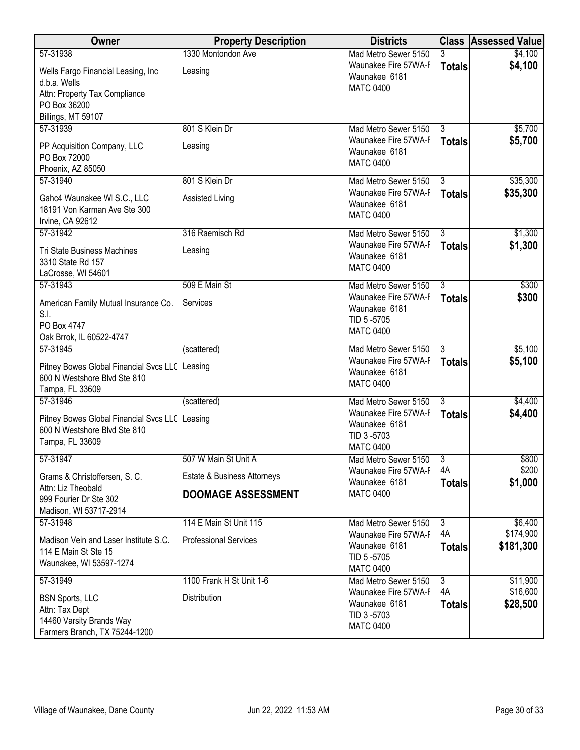| <b>Owner</b>                                                                                                    | <b>Property Description</b>            | <b>Districts</b>                                                                  |                                 | <b>Class Assessed Value</b> |
|-----------------------------------------------------------------------------------------------------------------|----------------------------------------|-----------------------------------------------------------------------------------|---------------------------------|-----------------------------|
| 57-31938<br>Wells Fargo Financial Leasing, Inc<br>d.b.a. Wells<br>Attn: Property Tax Compliance<br>PO Box 36200 | 1330 Montondon Ave<br>Leasing          | Mad Metro Sewer 5150<br>Waunakee Fire 57WA-F<br>Waunakee 6181<br><b>MATC 0400</b> | 3<br><b>Totals</b>              | \$4,100<br>\$4,100          |
| Billings, MT 59107                                                                                              |                                        |                                                                                   |                                 |                             |
| 57-31939<br>PP Acquisition Company, LLC<br>PO Box 72000<br>Phoenix, AZ 85050                                    | 801 S Klein Dr<br>Leasing              | Mad Metro Sewer 5150<br>Waunakee Fire 57WA-F<br>Waunakee 6181<br><b>MATC 0400</b> | $\overline{3}$<br><b>Totals</b> | \$5,700<br>\$5,700          |
| 57-31940                                                                                                        | 801 S Klein Dr                         | Mad Metro Sewer 5150                                                              | 3                               | \$35,300                    |
| Gahc4 Waunakee WI S.C., LLC<br>18191 Von Karman Ave Ste 300<br>Irvine, CA 92612                                 | <b>Assisted Living</b>                 | Waunakee Fire 57WA-F<br>Waunakee 6181<br><b>MATC 0400</b>                         | <b>Totals</b>                   | \$35,300                    |
| 57-31942                                                                                                        | 316 Raemisch Rd                        | Mad Metro Sewer 5150                                                              | $\overline{3}$                  | \$1,300                     |
| <b>Tri State Business Machines</b><br>3310 State Rd 157<br>LaCrosse, WI 54601                                   | Leasing                                | Waunakee Fire 57WA-F<br>Waunakee 6181<br><b>MATC 0400</b>                         | <b>Totals</b>                   | \$1,300                     |
| 57-31943                                                                                                        | 509 E Main St                          | Mad Metro Sewer 5150                                                              | $\overline{3}$                  | \$300                       |
| American Family Mutual Insurance Co.<br>S.I.<br>PO Box 4747<br>Oak Brrok, IL 60522-4747                         | Services                               | Waunakee Fire 57WA-F<br>Waunakee 6181<br>TID 5-5705<br><b>MATC 0400</b>           | <b>Totals</b>                   | \$300                       |
| 57-31945                                                                                                        | (scattered)                            | Mad Metro Sewer 5150                                                              | 3                               | \$5,100                     |
| Pitney Bowes Global Financial Svcs LLC<br>600 N Westshore Blvd Ste 810<br>Tampa, FL 33609                       | Leasing                                | Waunakee Fire 57WA-F<br>Waunakee 6181<br><b>MATC 0400</b>                         | <b>Totals</b>                   | \$5,100                     |
| 57-31946                                                                                                        | (scattered)                            | Mad Metro Sewer 5150                                                              | $\overline{3}$                  | \$4,400                     |
| Pitney Bowes Global Financial Svcs LLO<br>600 N Westshore Blvd Ste 810<br>Tampa, FL 33609                       | Leasing                                | Waunakee Fire 57WA-F<br>Waunakee 6181<br>TID 3-5703<br><b>MATC 0400</b>           | <b>Totals</b>                   | \$4,400                     |
| 57-31947                                                                                                        | 507 W Main St Unit A                   | Mad Metro Sewer 5150                                                              | $\overline{3}$                  | \$800                       |
| Grams & Christoffersen, S. C.<br>Attn: Liz Theobald                                                             | <b>Estate &amp; Business Attorneys</b> | Waunakee Fire 57WA-F<br>Waunakee 6181                                             | 4A<br><b>Totals</b>             | \$200<br>\$1,000            |
| 999 Fourier Dr Ste 302<br>Madison, WI 53717-2914                                                                | <b>DOOMAGE ASSESSMENT</b>              | <b>MATC 0400</b>                                                                  |                                 |                             |
| 57-31948                                                                                                        | 114 E Main St Unit 115                 | Mad Metro Sewer 5150                                                              | 3                               | \$6,400                     |
| Madison Vein and Laser Institute S.C.<br>114 E Main St Ste 15<br>Waunakee, WI 53597-1274                        | <b>Professional Services</b>           | Waunakee Fire 57WA-F<br>Waunakee 6181<br>TID 5-5705<br><b>MATC 0400</b>           | 4A<br><b>Totals</b>             | \$174,900<br>\$181,300      |
| 57-31949                                                                                                        | 1100 Frank H St Unit 1-6               | Mad Metro Sewer 5150                                                              | 3<br>4A                         | \$11,900                    |
| <b>BSN Sports, LLC</b><br>Attn: Tax Dept<br>14460 Varsity Brands Way<br>Farmers Branch, TX 75244-1200           | Distribution                           | Waunakee Fire 57WA-F<br>Waunakee 6181<br>TID 3-5703<br><b>MATC 0400</b>           | <b>Totals</b>                   | \$16,600<br>\$28,500        |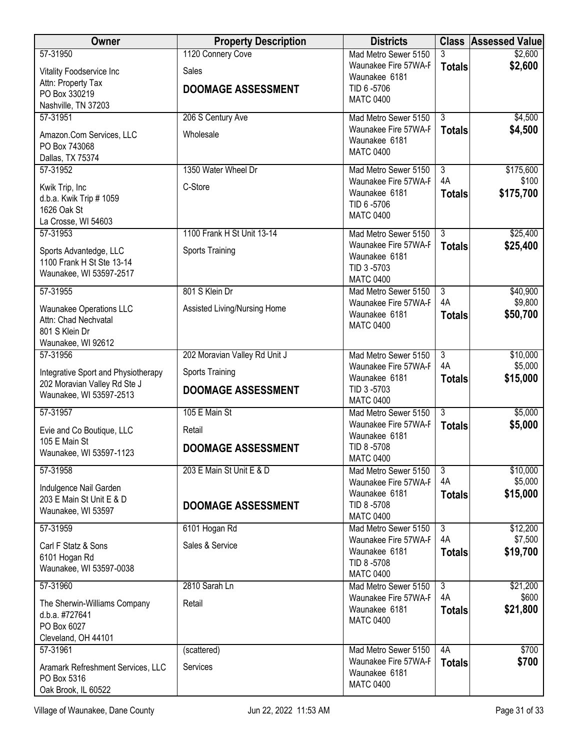| Owner                                                               | <b>Property Description</b>   | <b>Districts</b>                             |                      | <b>Class Assessed Value</b> |
|---------------------------------------------------------------------|-------------------------------|----------------------------------------------|----------------------|-----------------------------|
| 57-31950                                                            | 1120 Connery Cove             | Mad Metro Sewer 5150                         | 3                    | \$2,600                     |
| Vitality Foodservice Inc                                            | Sales                         | Waunakee Fire 57WA-F<br>Waunakee 6181        | <b>Totals</b>        | \$2,600                     |
| Attn: Property Tax<br>PO Box 330219                                 | <b>DOOMAGE ASSESSMENT</b>     | TID 6-5706                                   |                      |                             |
| Nashville, TN 37203                                                 |                               | <b>MATC 0400</b>                             |                      |                             |
| 57-31951                                                            | 206 S Century Ave             | Mad Metro Sewer 5150                         | $\overline{3}$       | \$4,500                     |
| Amazon.Com Services, LLC                                            | Wholesale                     | Waunakee Fire 57WA-F                         | <b>Totals</b>        | \$4,500                     |
| PO Box 743068                                                       |                               | Waunakee 6181<br><b>MATC 0400</b>            |                      |                             |
| Dallas, TX 75374                                                    |                               |                                              |                      |                             |
| 57-31952                                                            | 1350 Water Wheel Dr           | Mad Metro Sewer 5150<br>Waunakee Fire 57WA-F | $\overline{3}$<br>4A | \$175,600<br>\$100          |
| Kwik Trip, Inc                                                      | C-Store                       | Waunakee 6181                                | <b>Totals</b>        | \$175,700                   |
| d.b.a. Kwik Trip # 1059<br>1626 Oak St                              |                               | TID 6-5706                                   |                      |                             |
| La Crosse, WI 54603                                                 |                               | <b>MATC 0400</b>                             |                      |                             |
| 57-31953                                                            | 1100 Frank H St Unit 13-14    | Mad Metro Sewer 5150                         | $\overline{3}$       | \$25,400                    |
| Sports Advantedge, LLC                                              | Sports Training               | Waunakee Fire 57WA-F                         | <b>Totals</b>        | \$25,400                    |
| 1100 Frank H St Ste 13-14                                           |                               | Waunakee 6181<br>TID 3-5703                  |                      |                             |
| Waunakee, WI 53597-2517                                             |                               | <b>MATC 0400</b>                             |                      |                             |
| 57-31955                                                            | 801 S Klein Dr                | Mad Metro Sewer 5150                         | $\overline{3}$       | \$40,900                    |
| <b>Waunakee Operations LLC</b>                                      | Assisted Living/Nursing Home  | Waunakee Fire 57WA-F                         | 4A                   | \$9,800                     |
| Attn: Chad Nechvatal                                                |                               | Waunakee 6181<br><b>MATC 0400</b>            | <b>Totals</b>        | \$50,700                    |
| 801 S Klein Dr                                                      |                               |                                              |                      |                             |
| Waunakee, WI 92612<br>57-31956                                      | 202 Moravian Valley Rd Unit J | Mad Metro Sewer 5150                         | $\overline{3}$       | \$10,000                    |
|                                                                     |                               | Waunakee Fire 57WA-F                         | 4A                   | \$5,000                     |
| Integrative Sport and Physiotherapy<br>202 Moravian Valley Rd Ste J | Sports Training               | Waunakee 6181                                | <b>Totals</b>        | \$15,000                    |
| Waunakee, WI 53597-2513                                             | <b>DOOMAGE ASSESSMENT</b>     | TID 3-5703<br><b>MATC 0400</b>               |                      |                             |
| 57-31957                                                            | 105 E Main St                 | Mad Metro Sewer 5150                         | $\overline{3}$       | \$5,000                     |
|                                                                     | Retail                        | Waunakee Fire 57WA-F                         | <b>Totals</b>        | \$5,000                     |
| Evie and Co Boutique, LLC<br>105 E Main St                          |                               | Waunakee 6181                                |                      |                             |
| Waunakee, WI 53597-1123                                             | <b>DOOMAGE ASSESSMENT</b>     | TID 8-5708<br><b>MATC 0400</b>               |                      |                             |
| 57-31958                                                            | 203 E Main St Unit E & D      | Mad Metro Sewer 5150                         | $\overline{3}$       | \$10,000                    |
| Indulgence Nail Garden                                              |                               | Waunakee Fire 57WA-F                         | 4A                   | \$5,000                     |
| 203 E Main St Unit E & D                                            |                               | Waunakee 6181<br>TID 8-5708                  | <b>Totals</b>        | \$15,000                    |
| Waunakee, WI 53597                                                  | <b>DOOMAGE ASSESSMENT</b>     | <b>MATC 0400</b>                             |                      |                             |
| 57-31959                                                            | 6101 Hogan Rd                 | Mad Metro Sewer 5150                         | $\overline{3}$       | \$12,200                    |
| Carl F Statz & Sons                                                 | Sales & Service               | Waunakee Fire 57WA-F                         | 4A                   | \$7,500                     |
| 6101 Hogan Rd                                                       |                               | Waunakee 6181<br>TID 8-5708                  | <b>Totals</b>        | \$19,700                    |
| Waunakee, WI 53597-0038                                             |                               | <b>MATC 0400</b>                             |                      |                             |
| 57-31960                                                            | 2810 Sarah Ln                 | Mad Metro Sewer 5150                         | 3                    | \$21,200                    |
| The Sherwin-Williams Company                                        | Retail                        | Waunakee Fire 57WA-F<br>Waunakee 6181        | 4A                   | \$600                       |
| d.b.a. #727641                                                      |                               | <b>MATC 0400</b>                             | <b>Totals</b>        | \$21,800                    |
| PO Box 6027<br>Cleveland, OH 44101                                  |                               |                                              |                      |                             |
| 57-31961                                                            | (scattered)                   | Mad Metro Sewer 5150                         | 4A                   | \$700                       |
| Aramark Refreshment Services, LLC                                   | Services                      | Waunakee Fire 57WA-F                         | <b>Totals</b>        | \$700                       |
| PO Box 5316                                                         |                               | Waunakee 6181                                |                      |                             |
| Oak Brook, IL 60522                                                 |                               | <b>MATC 0400</b>                             |                      |                             |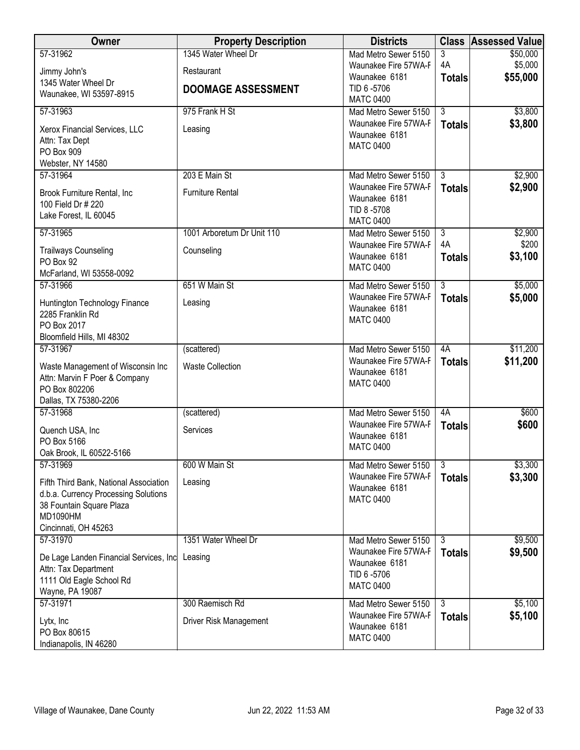| Owner                                             | <b>Property Description</b> | <b>Districts</b>                             |                     | <b>Class Assessed Value</b> |
|---------------------------------------------------|-----------------------------|----------------------------------------------|---------------------|-----------------------------|
| 57-31962                                          | 1345 Water Wheel Dr         | Mad Metro Sewer 5150                         | 3                   | \$50,000                    |
| Jimmy John's                                      | Restaurant                  | Waunakee Fire 57WA-F<br>Waunakee 6181        | 4A                  | \$5,000<br>\$55,000         |
| 1345 Water Wheel Dr                               | <b>DOOMAGE ASSESSMENT</b>   | TID 6-5706                                   | <b>Totals</b>       |                             |
| Waunakee, WI 53597-8915                           |                             | <b>MATC 0400</b>                             |                     |                             |
| 57-31963                                          | 975 Frank H St              | Mad Metro Sewer 5150                         | $\overline{3}$      | \$3,800                     |
| Xerox Financial Services, LLC                     | Leasing                     | Waunakee Fire 57WA-F                         | <b>Totals</b>       | \$3,800                     |
| Attn: Tax Dept                                    |                             | Waunakee 6181<br><b>MATC 0400</b>            |                     |                             |
| PO Box 909                                        |                             |                                              |                     |                             |
| Webster, NY 14580<br>57-31964                     | 203 E Main St               | Mad Metro Sewer 5150                         | $\overline{3}$      | \$2,900                     |
|                                                   |                             | Waunakee Fire 57WA-F                         | <b>Totals</b>       | \$2,900                     |
| Brook Furniture Rental, Inc<br>100 Field Dr # 220 | <b>Furniture Rental</b>     | Waunakee 6181                                |                     |                             |
| Lake Forest, IL 60045                             |                             | TID 8-5708                                   |                     |                             |
| 57-31965                                          | 1001 Arboretum Dr Unit 110  | <b>MATC 0400</b><br>Mad Metro Sewer 5150     | $\overline{3}$      | \$2,900                     |
|                                                   |                             | Waunakee Fire 57WA-F                         | 4A                  | \$200                       |
| <b>Trailways Counseling</b><br>PO Box 92          | Counseling                  | Waunakee 6181                                | <b>Totals</b>       | \$3,100                     |
| McFarland, WI 53558-0092                          |                             | <b>MATC 0400</b>                             |                     |                             |
| 57-31966                                          | 651 W Main St               | Mad Metro Sewer 5150                         | $\overline{3}$      | \$5,000                     |
| Huntington Technology Finance                     | Leasing                     | Waunakee Fire 57WA-F                         | <b>Totals</b>       | \$5,000                     |
| 2285 Franklin Rd                                  |                             | Waunakee 6181<br><b>MATC 0400</b>            |                     |                             |
| PO Box 2017                                       |                             |                                              |                     |                             |
| Bloomfield Hills, MI 48302                        |                             |                                              |                     |                             |
| 57-31967                                          | (scattered)                 | Mad Metro Sewer 5150<br>Waunakee Fire 57WA-F | 4A<br><b>Totals</b> | \$11,200<br>\$11,200        |
| Waste Management of Wisconsin Inc                 | <b>Waste Collection</b>     | Waunakee 6181                                |                     |                             |
| Attn: Marvin F Poer & Company<br>PO Box 802206    |                             | <b>MATC 0400</b>                             |                     |                             |
| Dallas, TX 75380-2206                             |                             |                                              |                     |                             |
| 57-31968                                          | (scattered)                 | Mad Metro Sewer 5150                         | 4A                  | \$600                       |
| Quench USA, Inc                                   | Services                    | Waunakee Fire 57WA-F                         | <b>Totals</b>       | \$600                       |
| PO Box 5166                                       |                             | Waunakee 6181<br><b>MATC 0400</b>            |                     |                             |
| Oak Brook, IL 60522-5166                          |                             |                                              |                     |                             |
| 57-31969                                          | 600 W Main St               | Mad Metro Sewer 5150                         | $\overline{3}$      | \$3,300                     |
| Fifth Third Bank, National Association            | Leasing                     | Waunakee Fire 57WA-F<br>Waunakee 6181        | <b>Totals</b>       | \$3,300                     |
| d.b.a. Currency Processing Solutions              |                             | <b>MATC 0400</b>                             |                     |                             |
| 38 Fountain Square Plaza<br>MD1090HM              |                             |                                              |                     |                             |
| Cincinnati, OH 45263                              |                             |                                              |                     |                             |
| 57-31970                                          | 1351 Water Wheel Dr         | Mad Metro Sewer 5150                         | $\overline{3}$      | \$9,500                     |
| De Lage Landen Financial Services, Inc            | Leasing                     | Waunakee Fire 57WA-F                         | <b>Totals</b>       | \$9,500                     |
| Attn: Tax Department                              |                             | Waunakee 6181<br>TID 6-5706                  |                     |                             |
| 1111 Old Eagle School Rd                          |                             | <b>MATC 0400</b>                             |                     |                             |
| Wayne, PA 19087<br>57-31971                       | 300 Raemisch Rd             | Mad Metro Sewer 5150                         | $\overline{3}$      | \$5,100                     |
|                                                   |                             | Waunakee Fire 57WA-F                         | <b>Totals</b>       | \$5,100                     |
| Lytx, Inc                                         | Driver Risk Management      | Waunakee 6181                                |                     |                             |
| PO Box 80615<br>Indianapolis, IN 46280            |                             | <b>MATC 0400</b>                             |                     |                             |